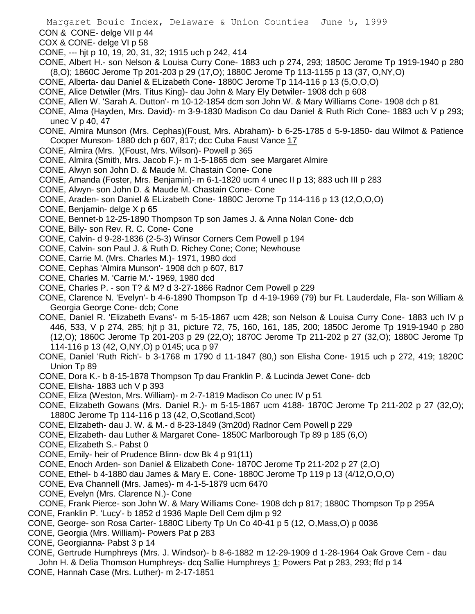CON & CONE- delge VII p 44

- COX & CONE- delge VI p 58
- CONE, --- hjt p 10, 19, 20, 31, 32; 1915 uch p 242, 414
- CONE, Albert H.- son Nelson & Louisa Curry Cone- 1883 uch p 274, 293; 1850C Jerome Tp 1919-1940 p 280 (8,O); 1860C Jerome Tp 201-203 p 29 (17,O); 1880C Jerome Tp 113-1155 p 13 (37, O,NY,O)
- CONE, Alberta- dau Daniel & ELizabeth Cone- 1880C Jerome Tp 114-116 p 13 (5,O,O,O)
- CONE, Alice Detwiler (Mrs. Titus King)- dau John & Mary Ely Detwiler- 1908 dch p 608
- CONE, Allen W. 'Sarah A. Dutton'- m 10-12-1854 dcm son John W. & Mary Williams Cone- 1908 dch p 81
- CONE, Alma (Hayden, Mrs. David)- m 3-9-1830 Madison Co dau Daniel & Ruth Rich Cone- 1883 uch V p 293; unec V p 40, 47
- CONE, Almira Munson (Mrs. Cephas)(Foust, Mrs. Abraham)- b 6-25-1785 d 5-9-1850- dau Wilmot & Patience Cooper Munson- 1880 dch p 607, 817; dcc Cuba Faust Vance 17
- CONE, Almira (Mrs. )(Foust, Mrs. Wilson)- Powell p 365
- CONE, Almira (Smith, Mrs. Jacob F.)- m 1-5-1865 dcm see Margaret Almire
- CONE, Alwyn son John D. & Maude M. Chastain Cone- Cone
- CONE, Amanda (Foster, Mrs. Benjamin)- m 6-1-1820 ucm 4 unec II p 13; 883 uch III p 283
- CONE, Alwyn- son John D. & Maude M. Chastain Cone- Cone
- CONE, Araden- son Daniel & ELizabeth Cone- 1880C Jerome Tp 114-116 p 13 (12,O,O,O)
- CONE, Benjamin- delge X p 65
- CONE, Bennet-b 12-25-1890 Thompson Tp son James J. & Anna Nolan Cone- dcb
- CONE, Billy- son Rev. R. C. Cone- Cone
- CONE, Calvin- d 9-28-1836 (2-5-3) Winsor Corners Cem Powell p 194
- CONE, Calvin- son Paul J. & Ruth D. Richey Cone; Cone; Newhouse
- CONE, Carrie M. (Mrs. Charles M.)- 1971, 1980 dcd
- CONE, Cephas 'Almira Munson'- 1908 dch p 607, 817
- CONE, Charles M. 'Carrie M.'- 1969, 1980 dcd
- CONE, Charles P. son T? & M? d 3-27-1866 Radnor Cem Powell p 229
- CONE, Clarence N. 'Evelyn'- b 4-6-1890 Thompson Tp d 4-19-1969 (79) bur Ft. Lauderdale, Fla- son William & Georgia George Cone- dcb; Cone
- CONE, Daniel R. 'Elizabeth Evans'- m 5-15-1867 ucm 428; son Nelson & Louisa Curry Cone- 1883 uch IV p 446, 533, V p 274, 285; hjt p 31, picture 72, 75, 160, 161, 185, 200; 1850C Jerome Tp 1919-1940 p 280 (12,O); 1860C Jerome Tp 201-203 p 29 (22,O); 1870C Jerome Tp 211-202 p 27 (32,O); 1880C Jerome Tp 114-116 p 13 (42, O,NY,O) p 0145; uca p 97
- CONE, Daniel 'Ruth Rich'- b 3-1768 m 1790 d 11-1847 (80,) son Elisha Cone- 1915 uch p 272, 419; 1820C Union Tp 89
- CONE, Dora K.- b 8-15-1878 Thompson Tp dau Franklin P. & Lucinda Jewet Cone- dcb
- CONE, Elisha- 1883 uch V p 393
- CONE, Eliza (Weston, Mrs. William)- m 2-7-1819 Madison Co unec IV p 51
- CONE, Elizabeth Gowans (Mrs. Daniel R.)- m 5-15-1867 ucm 4188- 1870C Jerome Tp 211-202 p 27 (32,O); 1880C Jerome Tp 114-116 p 13 (42, O,Scotland,Scot)
- CONE, Elizabeth- dau J. W. & M.- d 8-23-1849 (3m20d) Radnor Cem Powell p 229
- CONE, Elizabeth- dau Luther & Margaret Cone- 1850C Marlborough Tp 89 p 185 (6,O)
- CONE, Elizabeth S.- Pabst 0
- CONE, Emily- heir of Prudence Blinn- dcw Bk 4 p 91(11)
- CONE, Enoch Arden- son Daniel & Elizabeth Cone- 1870C Jerome Tp 211-202 p 27 (2,O)
- CONE, Ethel- b 4-1880 dau James & Mary E. Cone- 1880C Jerome Tp 119 p 13 (4/12,O,O,O)
- CONE, Eva Channell (Mrs. James)- m 4-1-5-1879 ucm 6470
- CONE, Evelyn (Mrs. Clarence N.)- Cone
- CONE, Frank Pierce- son John W. & Mary Williams Cone- 1908 dch p 817; 1880C Thompson Tp p 295A
- CONE, Franklin P. 'Lucy'- b 1852 d 1936 Maple Dell Cem djlm p 92
- CONE, George- son Rosa Carter- 1880C Liberty Tp Un Co 40-41 p 5 (12, O,Mass,O) p 0036
- CONE, Georgia (Mrs. William)- Powers Pat p 283
- CONE, Georgianna- Pabst 3 p 14
- CONE, Gertrude Humphreys (Mrs. J. Windsor)- b 8-6-1882 m 12-29-1909 d 1-28-1964 Oak Grove Cem dau John H. & Delia Thomson Humphreys- dcq Sallie Humphreys 1; Powers Pat p 283, 293; ffd p 14 CONE, Hannah Case (Mrs. Luther)- m 2-17-1851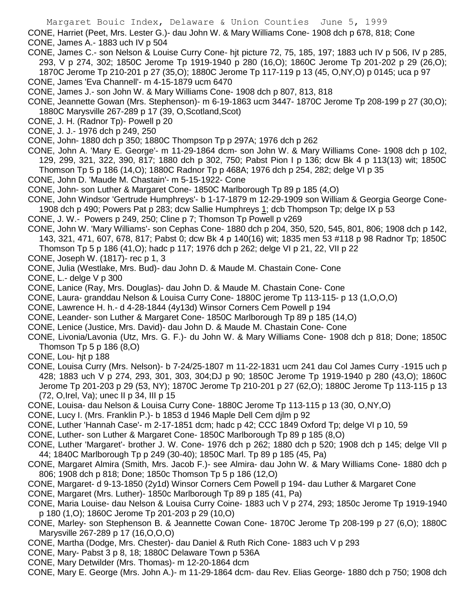CONE, Harriet (Peet, Mrs. Lester G.)- dau John W. & Mary Williams Cone- 1908 dch p 678, 818; Cone CONE, James A.- 1883 uch IV p 504

- CONE, James C.- son Nelson & Louise Curry Cone- hjt picture 72, 75, 185, 197; 1883 uch IV p 506, IV p 285, 293, V p 274, 302; 1850C Jerome Tp 1919-1940 p 280 (16,O); 1860C Jerome Tp 201-202 p 29 (26,O); 1870C Jerome Tp 210-201 p 27 (35,O); 1880C Jerome Tp 117-119 p 13 (45, O,NY,O) p 0145; uca p 97
- CONE, James 'Eva Channell'- m 4-15-1879 ucm 6470
- CONE, James J.- son John W. & Mary Williams Cone- 1908 dch p 807, 813, 818
- CONE, Jeannette Gowan (Mrs. Stephenson)- m 6-19-1863 ucm 3447- 1870C Jerome Tp 208-199 p 27 (30,O); 1880C Marysville 267-289 p 17 (39, O,Scotland,Scot)
- CONE, J. H. (Radnor Tp)- Powell p 20
- CONE, J. J.- 1976 dch p 249, 250
- CONE, John- 1880 dch p 350; 1880C Thompson Tp p 297A; 1976 dch p 262
- CONE, John A. 'Mary E. George'- m 11-29-1864 dcm- son John W. & Mary Williams Cone- 1908 dch p 102, 129, 299, 321, 322, 390, 817; 1880 dch p 302, 750; Pabst Pion I p 136; dcw Bk 4 p 113(13) wit; 1850C Thomson Tp 5 p 186 (14,O); 1880C Radnor Tp p 468A; 1976 dch p 254, 282; delge VI p 35
- CONE, John D. 'Maude M. Chastain'- m 5-15-1922- Cone
- CONE, John- son Luther & Margaret Cone- 1850C Marlborough Tp 89 p 185 (4,O)
- CONE, John Windsor 'Gertrude Humphreys'- b 1-17-1879 m 12-29-1909 son William & Georgia George Cone-
- 1908 dch p 490; Powers Pat p 283; dcw Sallie Humphreys 1; dcb Thompson Tp; delge IX p 53
- CONE, J. W.- Powers p 249, 250; Cline p 7; Thomson Tp Powell p v269
- CONE, John W. 'Mary Williams'- son Cephas Cone- 1880 dch p 204, 350, 520, 545, 801, 806; 1908 dch p 142, 143, 321, 471, 607, 678, 817; Pabst 0; dcw Bk 4 p 140(16) wit; 1835 men 53 #118 p 98 Radnor Tp; 1850C
	- Thomson Tp 5 p 186 (41,O); hadc p 117; 1976 dch p 262; delge VI p 21, 22, VII p 22
- CONE, Joseph W. (1817)- rec p 1, 3
- CONE, Julia (Westlake, Mrs. Bud)- dau John D. & Maude M. Chastain Cone- Cone
- CONE, L.- delge V p 300
- CONE, Lanice (Ray, Mrs. Douglas)- dau John D. & Maude M. Chastain Cone- Cone
- CONE, Laura- granddau Nelson & Louisa Curry Cone- 1880C jerome Tp 113-115- p 13 (1,O,O,O)
- CONE, Lawrence H. h.- d 4-28-1844 (4y13d) Winsor Corners Cem Powell p 194
- CONE, Leander- son Luther & Margaret Cone- 1850C Marlborough Tp 89 p 185 (14,O)
- CONE, Lenice (Justice, Mrs. David)- dau John D. & Maude M. Chastain Cone- Cone
- CONE, Livonia/Lavonia (Utz, Mrs. G. F.)- du John W. & Mary Williams Cone- 1908 dch p 818; Done; 1850C Thomson Tp 5 p 186 (8,O)
- CONE, Lou- hjt p 188
- CONE, Louisa Curry (Mrs. Nelson)- b 7-24/25-1807 m 11-22-1831 ucm 241 dau Col James Curry -1915 uch p 428; 1883 uch V p 274, 293, 301, 303, 304;DJ p 90; 1850C Jerome Tp 1919-1940 p 280 (43,O); 1860C Jerome Tp 201-203 p 29 (53, NY); 1870C Jerome Tp 210-201 p 27 (62,O); 1880C Jerome Tp 113-115 p 13 (72, O,Irel, Va); unec II p 34, III p 15
- CONE, Louisa- dau Nelson & Louisa Curry Cone- 1880C Jerome Tp 113-115 p 13 (30, O,NY,O)
- CONE, Lucy I. (Mrs. Franklin P.)- b 1853 d 1946 Maple Dell Cem djlm p 92
- CONE, Luther 'Hannah Case'- m 2-17-1851 dcm; hadc p 42; CCC 1849 Oxford Tp; delge VI p 10, 59
- CONE, Luther- son Luther & Margaret Cone- 1850C Marlborough Tp 89 p 185 (8,O)
- CONE, Luther 'Margaret'- brother J. W. Cone- 1976 dch p 262; 1880 dch p 520; 1908 dch p 145; delge VII p 44; 1840C Marlborough Tp p 249 (30-40); 1850C Marl. Tp 89 p 185 (45, Pa)
- CONE, Margaret Almira (Smith, Mrs. Jacob F.)- see Almira- dau John W. & Mary Williams Cone- 1880 dch p 806; 1908 dch p 818; Done; 1850c Thomson Tp 5 p 186 (12,O)
- CONE, Margaret- d 9-13-1850 (2y1d) Winsor Corners Cem Powell p 194- dau Luther & Margaret Cone
- CONE, Margaret (Mrs. Luther)- 1850c Marlborough Tp 89 p 185 (41, Pa)
- CONE, Maria Louise- dau Nelson & Louisa Curry Coine- 1883 uch V p 274, 293; 1850c Jerome Tp 1919-1940 p 180 (1,O); 1860C Jerome Tp 201-203 p 29 (10,O)
- CONE, Marley- son Stephenson B. & Jeannette Cowan Cone- 1870C Jerome Tp 208-199 p 27 (6,O); 1880C Marysville 267-289 p 17 (16,O,O,O)
- CONE, Martha (Dodge, Mrs. Chester)- dau Daniel & Ruth Rich Cone- 1883 uch V p 293
- CONE, Mary- Pabst 3 p 8, 18; 1880C Delaware Town p 536A
- CONE, Mary Detwilder (Mrs. Thomas)- m 12-20-1864 dcm
- CONE, Mary E. George (Mrs. John A.)- m 11-29-1864 dcm- dau Rev. Elias George- 1880 dch p 750; 1908 dch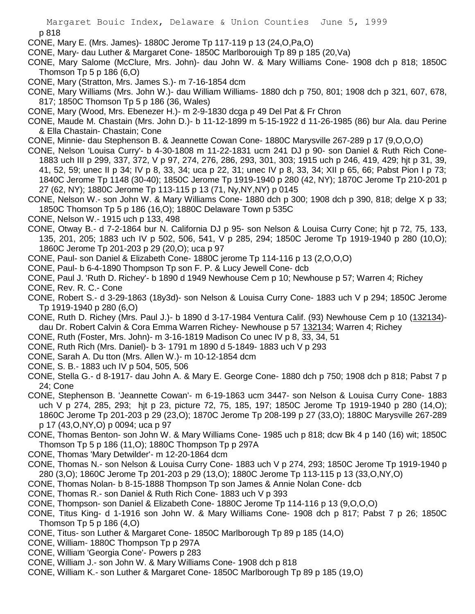CONE, Mary E. (Mrs. James)- 1880C Jerome Tp 117-119 p 13 (24,O,Pa,O)

CONE, Mary- dau Luther & Margaret Cone- 1850C Marlborouigh Tp 89 p 185 (20,Va)

CONE, Mary Salome (McClure, Mrs. John)- dau John W. & Mary Williams Cone- 1908 dch p 818; 1850C Thomson Tp 5 p 186 (6,O)

- CONE, Mary (Stratton, Mrs. James S.)- m 7-16-1854 dcm
- CONE, Mary Williams (Mrs. John W.)- dau William Williams- 1880 dch p 750, 801; 1908 dch p 321, 607, 678, 817; 1850C Thomson Tp 5 p 186 (36, Wales)
- CONE, Mary (Wood, Mrs. Ebenezer H.)- m 2-9-1830 dcga p 49 Del Pat & Fr Chron
- CONE, Maude M. Chastain (Mrs. John D.)- b 11-12-1899 m 5-15-1922 d 11-26-1985 (86) bur Ala. dau Perine & Ella Chastain- Chastain; Cone
- CONE, Minnie- dau Stephenson B. & Jeannette Cowan Cone- 1880C Marysville 267-289 p 17 (9,O,O,O)
- CONE, Nelson 'Louisa Curry'- b 4-30-1808 m 11-22-1831 ucm 241 DJ p 90- son Daniel & Ruth Rich Cone-1883 uch III p 299, 337, 372, V p 97, 274, 276, 286, 293, 301, 303; 1915 uch p 246, 419, 429; hjt p 31, 39, 41, 52, 59; unec II p 34; IV p 8, 33, 34; uca p 22, 31; unec IV p 8, 33, 34; XII p 65, 66; Pabst Pion I p 73; 1840C Jerome Tp 1148 (30-40); 1850C Jerome Tp 1919-1940 p 280 (42, NY); 1870C Jerome Tp 210-201 p 27 (62, NY); 1880C Jerome Tp 113-115 p 13 (71, Ny,NY,NY) p 0145
- CONE, Nelson W.- son John W. & Mary Williams Cone- 1880 dch p 300; 1908 dch p 390, 818; delge X p 33; 1850C Thomson Tp 5 p 186 (16,O); 1880C Delaware Town p 535C
- CONE, Nelson W.- 1915 uch p 133, 498
- CONE, Otway B.- d 7-2-1864 bur N. California DJ p 95- son Nelson & Louisa Curry Cone; hjt p 72, 75, 133, 135, 201, 205; 1883 uch IV p 502, 506, 541, V p 285, 294; 1850C Jerome Tp 1919-1940 p 280 (10,O); 1860C Jerome Tp 201-203 p 29 (20,O); uca p 97
- CONE, Paul- son Daniel & Elizabeth Cone- 1880C jerome Tp 114-116 p 13 (2,O,O,O)
- CONE, Paul- b 6-4-1890 Thompson Tp son F. P. & Lucy Jewell Cone- dcb
- CONE, Paul J. 'Ruth D. Richey'- b 1890 d 1949 Newhouse Cem p 10; Newhouse p 57; Warren 4; Richey
- CONE, Rev. R. C.- Cone
- CONE, Robert S.- d 3-29-1863 (18y3d)- son Nelson & Louisa Curry Cone- 1883 uch V p 294; 1850C Jerome Tp 1919-1940 p 280 (6,O)
- CONE, Ruth D. Richey (Mrs. Paul J.)- b 1890 d 3-17-1984 Ventura Calif. (93) Newhouse Cem p 10 (132134) dau Dr. Robert Calvin & Cora Emma Warren Richey- Newhouse p 57 132134; Warren 4; Richey
- CONE, Ruth (Foster, Mrs. John)- m 3-16-1819 Madison Co unec IV p 8, 33, 34, 51
- CONE, Ruth Rich (Mrs. Daniel)- b 3- 1791 m 1890 d 5-1849- 1883 uch V p 293
- CONE, Sarah A. Du tton (Mrs. Allen W.)- m 10-12-1854 dcm
- CONE, S. B.- 1883 uch IV p 504, 505, 506
- CONE, Stella G.- d 8-1917- dau John A. & Mary E. George Cone- 1880 dch p 750; 1908 dch p 818; Pabst 7 p 24; Cone
- CONE, Stephenson B. 'Jeannette Cowan'- m 6-19-1863 ucm 3447- son Nelson & Louisa Curry Cone- 1883 uch V p 274, 285, 293; hjt p 23, picture 72, 75, 185, 197; 1850C Jerome Tp 1919-1940 p 280 (14,O); 1860C Jerome Tp 201-203 p 29 (23,O); 1870C Jerome Tp 208-199 p 27 (33,O); 1880C Marysville 267-289 p 17 (43,O,NY,O) p 0094; uca p 97
- CONE, Thomas Benton- son John W. & Mary Williams Cone- 1985 uch p 818; dcw Bk 4 p 140 (16) wit; 1850C Thomson Tp 5 p 186 (11,O); 1880C Thompson Tp p 297A
- CONE, Thomas 'Mary Detwilder'- m 12-20-1864 dcm
- CONE, Thomas N.- son Nelson & Louisa Curry Cone- 1883 uch V p 274, 293; 1850C Jerome Tp 1919-1940 p 280 (3,O); 1860C Jerome Tp 201-203 p 29 (13,O); 1880C Jerome Tp 113-115 p 13 (33,O,NY,O)
- CONE, Thomas Nolan- b 8-15-1888 Thompson Tp son James & Annie Nolan Cone- dcb
- CONE, Thomas R.- son Daniel & Ruth Rich Cone- 1883 uch V p 393
- CONE, Thompson- son Daniel & Elizabeth Cone- 1880C Jerome Tp 114-116 p 13 (9,O,O,O)
- CONE, Titus King- d 1-1916 son John W. & Mary Williams Cone- 1908 dch p 817; Pabst 7 p 26; 1850C Thomson Tp 5 p 186 (4,O)
- CONE, Titus- son Luther & Margaret Cone- 1850C Marlborough Tp 89 p 185 (14,O)
- CONE, William- 1880C Thompson Tp p 297A
- CONE, William 'Georgia Cone'- Powers p 283
- CONE, William J.- son John W. & Mary Williams Cone- 1908 dch p 818
- CONE, William K.- son Luther & Margaret Cone- 1850C Marlborough Tp 89 p 185 (19,O)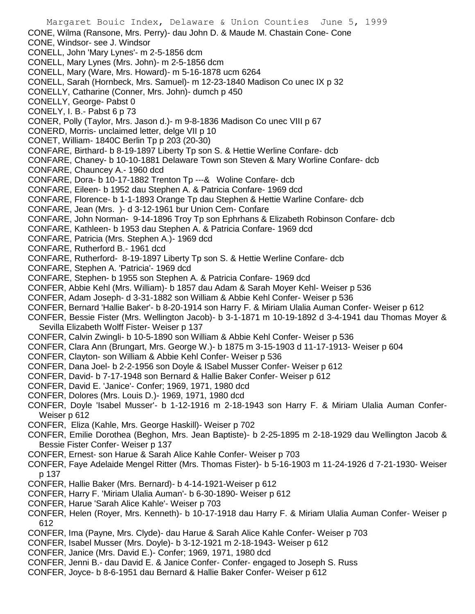- Margaret Bouic Index, Delaware & Union Counties June 5, 1999 CONE, Wilma (Ransone, Mrs. Perry)- dau John D. & Maude M. Chastain Cone- Cone CONE, Windsor- see J. Windsor CONELL, John 'Mary Lynes'- m 2-5-1856 dcm CONELL, Mary Lynes (Mrs. John)- m 2-5-1856 dcm CONELL, Mary (Ware, Mrs. Howard)- m 5-16-1878 ucm 6264 CONELL, Sarah (Hornbeck, Mrs. Samuel)- m 12-23-1840 Madison Co unec IX p 32 CONELLY, Catharine (Conner, Mrs. John)- dumch p 450 CONELLY, George- Pabst 0 CONELY, I. B.- Pabst 6 p 73 CONER, Polly (Taylor, Mrs. Jason d.)- m 9-8-1836 Madison Co unec VIII p 67 CONERD, Morris- unclaimed letter, delge VII p 10 CONET, William- 1840C Berlin Tp p 203 (20-30) CONFARE, Birthard- b 8-19-1897 Liberty Tp son S. & Hettie Werline Confare- dcb CONFARE, Chaney- b 10-10-1881 Delaware Town son Steven & Mary Worline Confare- dcb CONFARE, Chauncey A.- 1960 dcd CONFARE, Dora- b 10-17-1882 Trenton Tp ---& Woline Confare- dcb CONFARE, Eileen- b 1952 dau Stephen A. & Patricia Confare- 1969 dcd CONFARE, Florence- b 1-1-1893 Orange Tp dau Stephen & Hettie Warline Confare- dcb CONFARE, Jean (Mrs. )- d 3-12-1961 bur Union Cem- Confare CONFARE, John Norman- 9-14-1896 Troy Tp son Ephrhans & Elizabeth Robinson Confare- dcb CONFARE, Kathleen- b 1953 dau Stephen A. & Patricia Confare- 1969 dcd CONFARE, Patricia (Mrs. Stephen A.)- 1969 dcd CONFARE, Rutherford B.- 1961 dcd CONFARE, Rutherford- 8-19-1897 Liberty Tp son S. & Hettie Werline Confare- dcb CONFARE, Stephen A. 'Patricia'- 1969 dcd CONFARE, Stephen- b 1955 son Stephen A. & Patricia Confare- 1969 dcd CONFER, Abbie Kehl (Mrs. William)- b 1857 dau Adam & Sarah Moyer Kehl- Weiser p 536 CONFER, Adam Joseph- d 3-31-1882 son William & Abbie Kehl Confer- Weiser p 536 CONFER, Bernard 'Hallie Baker'- b 8-20-1914 son Harry F. & Miriam Ulalia Auman Confer- Weiser p 612 CONFER, Bessie Fister (Mrs. Wellington Jacob)- b 3-1-1871 m 10-19-1892 d 3-4-1941 dau Thomas Moyer & Sevilla Elizabeth Wolff Fister- Weiser p 137 CONFER, Calvin Zwingli- b 10-5-1890 son William & Abbie Kehl Confer- Weiser p 536 CONFER, Clara Ann (Brungart, Mrs. George W.)- b 1875 m 3-15-1903 d 11-17-1913- Weiser p 604 CONFER, Clayton- son William & Abbie Kehl Confer- Weiser p 536 CONFER, Dana Joel- b 2-2-1956 son Doyle & ISabel Musser Confer- Weiser p 612 CONFER, David- b 7-17-1948 son Bernard & Hallie Baker Confer- Weiser p 612 CONFER, David E. 'Janice'- Confer; 1969, 1971, 1980 dcd CONFER, Dolores (Mrs. Louis D.)- 1969, 1971, 1980 dcd CONFER, Doyle 'Isabel Musser'- b 1-12-1916 m 2-18-1943 son Harry F. & Miriam Ulalia Auman Confer-Weiser p 612 CONFER, Eliza (Kahle, Mrs. George Haskill)- Weiser p 702 CONFER, Emilie Dorothea (Beghon, Mrs. Jean Baptiste)- b 2-25-1895 m 2-18-1929 dau Wellington Jacob & Bessie Fister Confer- Weiser p 137 CONFER, Ernest- son Harue & Sarah Alice Kahle Confer- Weiser p 703 CONFER, Faye Adelaide Mengel Ritter (Mrs. Thomas Fister)- b 5-16-1903 m 11-24-1926 d 7-21-1930- Weiser p 137 CONFER, Hallie Baker (Mrs. Bernard)- b 4-14-1921-Weiser p 612 CONFER, Harry F. 'Miriam Ulalia Auman'- b 6-30-1890- Weiser p 612 CONFER, Harue 'Sarah Alice Kahle'- Weiser p 703 CONFER, Helen (Royer, Mrs. Kenneth)- b 10-17-1918 dau Harry F. & Miriam Ulalia Auman Confer- Weiser p 612 CONFER, Ima (Payne, Mrs. Clyde)- dau Harue & Sarah Alice Kahle Confer- Weiser p 703 CONFER, Isabel Musser (Mrs. Doyle)- b 3-12-1921 m 2-18-1943- Weiser p 612 CONFER, Janice (Mrs. David E.)- Confer; 1969, 1971, 1980 dcd CONFER, Jenni B.- dau David E. & Janice Confer- Confer- engaged to Joseph S. Russ
- CONFER, Joyce- b 8-6-1951 dau Bernard & Hallie Baker Confer- Weiser p 612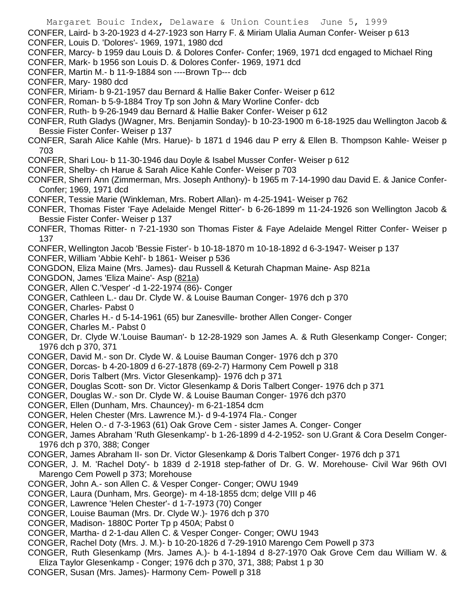CONFER, Laird- b 3-20-1923 d 4-27-1923 son Harry F. & Miriam Ulalia Auman Confer- Weiser p 613 CONFER, Louis D. 'Dolores'- 1969, 1971, 1980 dcd

- CONFER, Marcy- b 1959 dau Louis D. & Dolores Confer- Confer; 1969, 1971 dcd engaged to Michael Ring
- CONFER, Mark- b 1956 son Louis D. & Dolores Confer- 1969, 1971 dcd
- CONFER, Martin M.- b 11-9-1884 son ----Brown Tp--- dcb
- CONFER, Mary- 1980 dcd
- CONFER, Miriam- b 9-21-1957 dau Bernard & Hallie Baker Confer- Weiser p 612
- CONFER, Roman- b 5-9-1884 Troy Tp son John & Mary Worline Confer- dcb
- CONFER, Ruth- b 9-26-1949 dau Bernard & Hallie Baker Confer- Weiser p 612
- CONFER, Ruth Gladys ()Wagner, Mrs. Benjamin Sonday)- b 10-23-1900 m 6-18-1925 dau Wellington Jacob & Bessie Fister Confer- Weiser p 137
- CONFER, Sarah Alice Kahle (Mrs. Harue)- b 1871 d 1946 dau P erry & Ellen B. Thompson Kahle- Weiser p 703
- CONFER, Shari Lou- b 11-30-1946 dau Doyle & Isabel Musser Confer- Weiser p 612
- CONFER, Shelby- ch Harue & Sarah Alice Kahle Confer- Weiser p 703
- CONFER, Sherri Ann (Zimmerman, Mrs. Joseph Anthony)- b 1965 m 7-14-1990 dau David E. & Janice Confer-Confer; 1969, 1971 dcd
- CONFER, Tessie Marie (Winkleman, Mrs. Robert Allan)- m 4-25-1941- Weiser p 762
- CONFER, Thomas Fister 'Faye Adelaide Mengel Ritter'- b 6-26-1899 m 11-24-1926 son Wellington Jacob & Bessie Fister Confer- Weiser p 137
- CONFER, Thomas Ritter- n 7-21-1930 son Thomas Fister & Faye Adelaide Mengel Ritter Confer- Weiser p 137
- CONFER, Wellington Jacob 'Bessie Fister'- b 10-18-1870 m 10-18-1892 d 6-3-1947- Weiser p 137
- CONFER, William 'Abbie Kehl'- b 1861- Weiser p 536
- CONGDON, Eliza Maine (Mrs. James)- dau Russell & Keturah Chapman Maine- Asp 821a
- CONGDON, James 'Eliza Maine'- Asp (821a)
- CONGER, Allen C.'Vesper' -d 1-22-1974 (86)- Conger
- CONGER, Cathleen L.- dau Dr. Clyde W. & Louise Bauman Conger- 1976 dch p 370
- CONGER, Charles- Pabst 0
- CONGER, Charles H.- d 5-14-1961 (65) bur Zanesville- brother Allen Conger- Conger
- CONGER, Charles M.- Pabst 0
- CONGER, Dr. Clyde W.'Louise Bauman'- b 12-28-1929 son James A. & Ruth Glesenkamp Conger- Conger; 1976 dch p 370, 371
- CONGER, David M.- son Dr. Clyde W. & Louise Bauman Conger- 1976 dch p 370
- CONGER, Dorcas- b 4-20-1809 d 6-27-1878 (69-2-7) Harmony Cem Powell p 318
- CONGER, Doris Talbert (Mrs. Victor Glesenkamp)- 1976 dch p 371
- CONGER, Douglas Scott- son Dr. Victor Glesenkamp & Doris Talbert Conger- 1976 dch p 371
- CONGER, Douglas W.- son Dr. Clyde W. & Louise Bauman Conger- 1976 dch p370
- CONGER, Ellen (Dunham, Mrs. Chauncey)- m 6-21-1854 dcm
- CONGER, Helen Chester (Mrs. Lawrence M.)- d 9-4-1974 Fla.- Conger
- CONGER, Helen O.- d 7-3-1963 (61) Oak Grove Cem sister James A. Conger- Conger
- CONGER, James Abraham 'Ruth Glesenkamp'- b 1-26-1899 d 4-2-1952- son U.Grant & Cora Deselm Conger-1976 dch p 370, 388; Conger
- CONGER, James Abraham II- son Dr. Victor Glesenkamp & Doris Talbert Conger- 1976 dch p 371
- CONGER, J. M. 'Rachel Doty'- b 1839 d 2-1918 step-father of Dr. G. W. Morehouse- Civil War 96th OVI Marengo Cem Powell p 373; Morehouse
- CONGER, John A.- son Allen C. & Vesper Conger- Conger; OWU 1949
- CONGER, Laura (Dunham, Mrs. George)- m 4-18-1855 dcm; delge VIII p 46
- CONGER, Lawrence 'Helen Chester'- d 1-7-1973 (70) Conger
- CONGER, Louise Bauman (Mrs. Dr. Clyde W.)- 1976 dch p 370
- CONGER, Madison- 1880C Porter Tp p 450A; Pabst 0
- CONGER, Martha- d 2-1-dau Allen C. & Vesper Conger- Conger; OWU 1943
- CONGER, Rachel Doty (Mrs. J. M.)- b 10-20-1826 d 7-29-1910 Marengo Cem Powell p 373
- CONGER, Ruth Glesenkamp (Mrs. James A.)- b 4-1-1894 d 8-27-1970 Oak Grove Cem dau William W. & Eliza Taylor Glesenkamp - Conger; 1976 dch p 370, 371, 388; Pabst 1 p 30
- CONGER, Susan (Mrs. James)- Harmony Cem- Powell p 318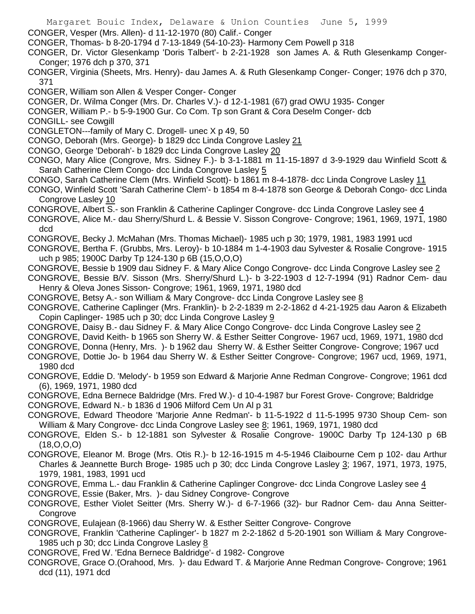- Margaret Bouic Index, Delaware & Union Counties June 5, 1999
- CONGER, Vesper (Mrs. Allen)- d 11-12-1970 (80) Calif.- Conger
- CONGER, Thomas- b 8-20-1794 d 7-13-1849 (54-10-23)- Harmony Cem Powell p 318
- CONGER, Dr. Victor Glesenkamp 'Doris Talbert'- b 2-21-1928 son James A. & Ruth Glesenkamp Conger-Conger; 1976 dch p 370, 371
- CONGER, Virginia (Sheets, Mrs. Henry)- dau James A. & Ruth Glesenkamp Conger- Conger; 1976 dch p 370, 371
- CONGER, William son Allen & Vesper Conger- Conger
- CONGER, Dr. Wilma Conger (Mrs. Dr. Charles V.)- d 12-1-1981 (67) grad OWU 1935- Conger
- CONGER, William P.- b 5-9-1900 Gur. Co Com. Tp son Grant & Cora Deselm Conger- dcb
- CONGILL- see Cowgill
- CONGLETON---family of Mary C. Drogell- unec X p 49, 50
- CONGO, Deborah (Mrs. George)- b 1829 dcc Linda Congrove Lasley 21
- CONGO, George 'Deborah'- b 1829 dcc Linda Congrove Lasley 20
- CONGO, Mary Alice (Congrove, Mrs. Sidney F.)- b 3-1-1881 m 11-15-1897 d 3-9-1929 dau Winfield Scott & Sarah Catherine Clem Congo- dcc Linda Congrove Lasley 5
- CONGO, Sarah Catherine Clem (Mrs. Winfield Scott)- b 1861 m 8-4-1878- dcc Linda Congrove Lasley 11
- CONGO, Winfield Scott 'Sarah Catherine Clem'- b 1854 m 8-4-1878 son George & Deborah Congo- dcc Linda Congrove Lasley 10
- CONGROVE, Albert S.- son Franklin & Catherine Caplinger Congrove- dcc Linda Congrove Lasley see 4
- CONGROVE, Alice M.- dau Sherry/Shurd L. & Bessie V. Sisson Congrove- Congrove; 1961, 1969, 1971, 1980 dcd
- CONGROVE, Becky J. McMahan (Mrs. Thomas Michael)- 1985 uch p 30; 1979, 1981, 1983 1991 ucd
- CONGROVE, Bertha F. (Grubbs, Mrs. Leroy)- b 10-1884 m 1-4-1903 dau Sylvester & Rosalie Congrove- 1915 uch p 985; 1900C Darby Tp 124-130 p 6B (15,O,O,O)
- CONGROVE, Bessie b 1909 dau Sidney F. & Mary Alice Congo Congrove- dcc Linda Congrove Lasley see 2
- CONGROVE, Bessie B/V. Sisson (Mrs. Sherry/Shurd L.)- b 3-22-1903 d 12-7-1994 (91) Radnor Cem- dau Henry & Oleva Jones Sisson- Congrove; 1961, 1969, 1971, 1980 dcd
- CONGROVE, Betsy A.- son William & Mary Congrove- dcc Linda Congrove Lasley see 8
- CONGROVE, Catherine Caplinger (Mrs. Franklin)- b 2-2-1839 m 2-2-1862 d 4-21-1925 dau Aaron & Elizabeth Copin Caplinger- 1985 uch p 30; dcc Linda Congrove Lasley 9
- CONGROVE, Daisy B.- dau Sidney F. & Mary Alice Congo Congrove- dcc Linda Congrove Lasley see 2
- CONGROVE, David Keith- b 1965 son Sherry W. & Esther Seitter Congrove- 1967 ucd, 1969, 1971, 1980 dcd
- CONGROVE, Donna (Henry, Mrs. )- b 1962 dau Sherry W. & Esther Seitter Congrove- Congrove; 1967 ucd
- CONGROVE, Dottie Jo- b 1964 dau Sherry W. & Esther Seitter Congrove- Congrove; 1967 ucd, 1969, 1971, 1980 dcd
- CONGROVE, Eddie D. 'Melody'- b 1959 son Edward & Marjorie Anne Redman Congrove- Congrove; 1961 dcd (6), 1969, 1971, 1980 dcd
- CONGROVE, Edna Bernece Baldridge (Mrs. Fred W.)- d 10-4-1987 bur Forest Grove- Congrove; Baldridge
- CONGROVE, Edward N.- b 1836 d 1906 Milford Cem Un Al p 31
- CONGROVE, Edward Theodore 'Marjorie Anne Redman'- b 11-5-1922 d 11-5-1995 9730 Shoup Cem- son William & Mary Congrove- dcc Linda Congrove Lasley see 8; 1961, 1969, 1971, 1980 dcd
- CONGROVE, Elden S.- b 12-1881 son Sylvester & Rosalie Congrove- 1900C Darby Tp 124-130 p 6B (18,O,O,O)
- CONGROVE, Eleanor M. Broge (Mrs. Otis R.)- b 12-16-1915 m 4-5-1946 Claibourne Cem p 102- dau Arthur Charles & Jeannette Burch Broge- 1985 uch p 30; dcc Linda Congrove Lasley 3; 1967, 1971, 1973, 1975, 1979, 1981, 1983, 1991 ucd
- CONGROVE, Emma L.- dau Franklin & Catherine Caplinger Congrove- dcc Linda Congrove Lasley see 4
- CONGROVE, Essie (Baker, Mrs. )- dau Sidney Congrove- Congrove
- CONGROVE, Esther Violet Seitter (Mrs. Sherry W.)- d 6-7-1966 (32)- bur Radnor Cem- dau Anna Seitter-**Congrove**
- CONGROVE, Eulajean (8-1966) dau Sherry W. & Esther Seitter Congrove- Congrove
- CONGROVE, Franklin 'Catherine Caplinger'- b 1827 m 2-2-1862 d 5-20-1901 son William & Mary Congrove-1985 uch p 30; dcc Linda Congrove Lasley 8
- CONGROVE, Fred W. 'Edna Bernece Baldridge'- d 1982- Congrove
- CONGROVE, Grace O.(Orahood, Mrs. )- dau Edward T. & Marjorie Anne Redman Congrove- Congrove; 1961 dcd (11), 1971 dcd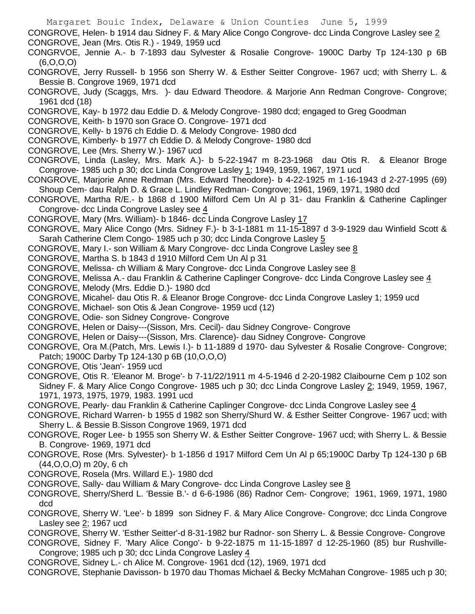- Margaret Bouic Index, Delaware & Union Counties June 5, 1999 CONGROVE, Helen- b 1914 dau Sidney F. & Mary Alice Congo Congrove- dcc Linda Congrove Lasley see 2 CONGROVE, Jean (Mrs. Otis R.) - 1949, 1959 ucd CONGRVOE, Jennie A.- b 7-1893 dau Sylvester & Rosalie Congrove- 1900C Darby Tp 124-130 p 6B (6,O,O,O) CONGROVE, Jerry Russell- b 1956 son Sherry W. & Esther Seitter Congrove- 1967 ucd; with Sherry L. & Bessie B. Congrove 1969, 1971 dcd CONGROVE, Judy (Scaggs, Mrs. )- dau Edward Theodore. & Marjorie Ann Redman Congrove- Congrove; 1961 dcd (18) CONGROVE, Kay- b 1972 dau Eddie D. & Melody Congrove- 1980 dcd; engaged to Greg Goodman CONGROVE, Keith- b 1970 son Grace O. Congrove- 1971 dcd CONGROVE, Kelly- b 1976 ch Eddie D. & Melody Congrove- 1980 dcd CONGROVE, Kimberly- b 1977 ch Eddie D. & Melody Congrove- 1980 dcd CONGROVE, Lee (Mrs. Sherry W.)- 1967 ucd CONGROVE, Linda (Lasley, Mrs. Mark A.)- b 5-22-1947 m 8-23-1968 dau Otis R. & Eleanor Broge Congrove- 1985 uch p 30; dcc Linda Congrove Lasley 1; 1949, 1959, 1967, 1971 ucd CONGROVE, Marjorie Anne Redman (Mrs. Edward Theodore)- b 4-22-1925 m 1-16-1943 d 2-27-1995 (69) Shoup Cem- dau Ralph D. & Grace L. Lindley Redman- Congrove; 1961, 1969, 1971, 1980 dcd CONGROVE, Martha R/E.- b 1868 d 1900 Milford Cem Un Al p 31- dau Franklin & Catherine Caplinger Congrove- dcc Linda Congrove Lasley see 4 CONGROVE, Mary (Mrs. William)- b 1846- dcc Linda Congrove Lasley 17 CONGROVE, Mary Alice Congo (Mrs. Sidney F.)- b 3-1-1881 m 11-15-1897 d 3-9-1929 dau Winfield Scott & Sarah Catherine Clem Congo- 1985 uch p 30; dcc Linda Congrove Lasley 5 CONGROVE, Mary I.- son William & Mary Congrove- dcc Linda Congrove Lasley see 8 CONGROVE, Martha S. b 1843 d 1910 Milford Cem Un Al p 31 CONGROVE, Melissa- ch William & Mary Congrove- dcc Linda Congrove Lasley see 8 CONGROVE, Melissa A.- dau Franklin & Catherine Caplinger Congrove- dcc Linda Congrove Lasley see 4 CONGROVE, Melody (Mrs. Eddie D.)- 1980 dcd CONGROVE, Micahel- dau Otis R. & Eleanor Broge Congrove- dcc Linda Congrove Lasley 1; 1959 ucd CONGROVE, Michael- son Otis & Jean Congrove- 1959 ucd (12) CONGROVE, Odie- son Sidney Congrove- Congrove CONGROVE, Helen or Daisy---(Sisson, Mrs. Cecil)- dau Sidney Congrove- Congrove CONGROVE, Helen or Daisy---(Sisson, Mrs. Clarence)- dau Sidney Congrove- Congrove CONGROVE, Ora M.(Patch, Mrs. Lewis I.)- b 11-1889 d 1970- dau Sylvester & Rosalie Congrove- Congrove; Patch; 1900C Darby Tp 124-130 p 6B (10,O,O,O) CONGROVE, Otis 'Jean'- 1959 ucd CONGROVE, Otis R. 'Eleanor M. Broge'- b 7-11/22/1911 m 4-5-1946 d 2-20-1982 Claibourne Cem p 102 son Sidney F. & Mary Alice Congo Congrove- 1985 uch p 30; dcc Linda Congrove Lasley 2; 1949, 1959, 1967, 1971, 1973, 1975, 1979, 1983. 1991 ucd CONGROVE, Pearly- dau Franklin & Catherine Caplinger Congrove- dcc Linda Congrove Lasley see 4 CONGROVE, Richard Warren- b 1955 d 1982 son Sherry/Shurd W. & Esther Seitter Congrove- 1967 ucd; with Sherry L. & Bessie B.Sisson Congrove 1969, 1971 dcd CONGROVE, Roger Lee- b 1955 son Sherry W. & Esther Seitter Congrove- 1967 ucd; with Sherry L. & Bessie B. Congrove- 1969, 1971 dcd CONGROVE, Rose (Mrs. Sylvester)- b 1-1856 d 1917 Milford Cem Un Al p 65;1900C Darby Tp 124-130 p 6B (44,O,O,O) m 20y, 6 ch CONGROVE, Rosela (Mrs. Willard E.)- 1980 dcd CONGROVE, Sally- dau William & Mary Congrove- dcc Linda Congrove Lasley see 8 CONGROVE, Sherry/Sherd L. 'Bessie B.'- d 6-6-1986 (86) Radnor Cem- Congrove; 1961, 1969, 1971, 1980
- dcd CONGROVE, Sherry W. 'Lee'- b 1899 son Sidney F. & Mary Alice Congrove- Congrove; dcc Linda Congrove Lasley see  $2$ ; 1967 ucd
	- CONGROVE, Sherry W. 'Esther Seitter'-d 8-31-1982 bur Radnor- son Sherry L. & Bessie Congrove- Congrove
	- CONGROVE, Sidney F. 'Mary Alice Congo'- b 9-22-1875 m 11-15-1897 d 12-25-1960 (85) bur Rushville-Congrove; 1985 uch p 30; dcc Linda Congrove Lasley 4
	- CONGROVE, Sidney L.- ch Alice M. Congrove- 1961 dcd (12), 1969, 1971 dcd
	- CONGROVE, Stephanie Davisson- b 1970 dau Thomas Michael & Becky McMahan Congrove- 1985 uch p 30;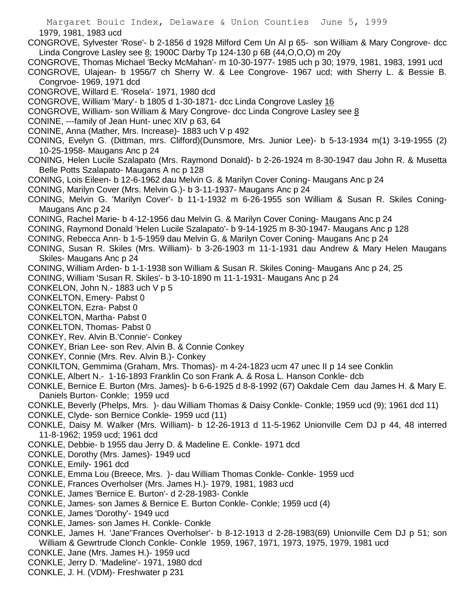1979, 1981, 1983 ucd

- CONGROVE, Sylvester 'Rose'- b 2-1856 d 1928 Milford Cem Un Al p 65- son William & Mary Congrove- dcc Linda Congrove Lasley see 8; 1900C Darby Tp 124-130 p 6B (44,O,O,O) m 20y
- CONGROVE, Thomas Michael 'Becky McMahan'- m 10-30-1977- 1985 uch p 30; 1979, 1981, 1983, 1991 ucd
- CONGROVE, Ulajean- b 1956/7 ch Sherry W. & Lee Congrove- 1967 ucd; with Sherry L. & Bessie B. Congrvoe- 1969, 1971 dcd
- CONGROVE, Willard E. 'Rosela'- 1971, 1980 dcd
- CONGROVE, William 'Mary'- b 1805 d 1-30-1871- dcc Linda Congrove Lasley 16
- CONGROVE, William- son William & Mary Congrove- dcc Linda Congrove Lasley see 8
- CONINE, ---family of Jean Hunt- unec XIV p 63, 64
- CONINE, Anna (Mather, Mrs. Increase)- 1883 uch V p 492
- CONING, Evelyn G. (Dittman, mrs. Clifford)(Dunsmore, Mrs. Junior Lee)- b 5-13-1934 m(1) 3-19-1955 (2) 10-25-1958- Maugans Anc p 24
- CONING, Helen Lucile Szalapato (Mrs. Raymond Donald)- b 2-26-1924 m 8-30-1947 dau John R. & Musetta Belle Potts Szalapato- Maugans A nc p 128
- CONING, Lois Eileen- b 12-6-1962 dau Melvin G. & Marilyn Cover Coning- Maugans Anc p 24
- CONING, Marilyn Cover (Mrs. Melvin G.)- b 3-11-1937- Maugans Anc p 24
- CONING, Melvin G. 'Marilyn Cover'- b 11-1-1932 m 6-26-1955 son William & Susan R. Skiles Coning-Maugans Anc p 24
- CONING, Rachel Marie- b 4-12-1956 dau Melvin G. & Marilyn Cover Coning- Maugans Anc p 24
- CONING, Raymond Donald 'Helen Lucile Szalapato'- b 9-14-1925 m 8-30-1947- Maugans Anc p 128
- CONING, Rebecca Ann- b 1-5-1959 dau Melvin G. & Marilyn Cover Coning- Maugans Anc p 24
- CONING, Susan R. Skiles (Mrs. William)- b 3-26-1903 m 11-1-1931 dau Andrew & Mary Helen Maugans Skiles- Maugans Anc p 24
- CONING, William Arden- b 1-1-1938 son William & Susan R. Skiles Coning- Maugans Anc p 24, 25
- CONING, William 'Susan R. Skiles'- b 3-10-1890 m 11-1-1931- Maugans Anc p 24
- CONKELON, John N.- 1883 uch V p 5
- CONKELTON, Emery- Pabst 0
- CONKELTON, Ezra- Pabst 0
- CONKELTON, Martha- Pabst 0
- CONKELTON, Thomas- Pabst 0
- CONKEY, Rev. Alvin B.'Connie'- Conkey
- CONKEY, Brian Lee- son Rev. Alvin B. & Connie Conkey
- CONKEY, Connie (Mrs. Rev. Alvin B.)- Conkey
- CONKILTON, Gemmima (Graham, Mrs. Thomas)- m 4-24-1823 ucm 47 unec II p 14 see Conklin
- CONKLE, Albert N.- 1-16-1893 Franklin Co son Frank A. & Rosa L. Hanson Conkle- dcb
- CONKLE, Bernice E. Burton (Mrs. James)- b 6-6-1925 d 8-8-1992 (67) Oakdale Cem dau James H. & Mary E. Daniels Burton- Conkle; 1959 ucd
- CONKLE, Beverly (Phelps, Mrs. )- dau William Thomas & Daisy Conkle- Conkle; 1959 ucd (9); 1961 dcd 11)
- CONKLE, Clyde- son Bernice Conkle- 1959 ucd (11)
- CONKLE, Daisy M. Walker (Mrs. William)- b 12-26-1913 d 11-5-1962 Unionville Cem DJ p 44, 48 interred 11-8-1962; 1959 ucd; 1961 dcd
- CONKLE, Debbie- b 1955 dau Jerry D. & Madeline E. Conkle- 1971 dcd
- CONKLE, Dorothy (Mrs. James)- 1949 ucd
- CONKLE, Emily- 1961 dcd
- CONKLE, Emma Lou (Breece, Mrs. )- dau William Thomas Conkle- Conkle- 1959 ucd
- CONKLE, Frances Overholser (Mrs. James H.)- 1979, 1981, 1983 ucd
- CONKLE, James 'Bernice E. Burton'- d 2-28-1983- Conkle
- CONKLE, James- son James & Bernice E. Burton Conkle- Conkle; 1959 ucd (4)
- CONKLE, James 'Dorothy'- 1949 ucd
- CONKLE, James- son James H. Conkle- Conkle
- CONKLE, James H. 'Jane''Frances Overholser'- b 8-12-1913 d 2-28-1983(69) Unionville Cem DJ p 51; son William & Gewrtrude Clonch Conkle- Conkle 1959, 1967, 1971, 1973, 1975, 1979, 1981 ucd
- CONKLE, Jane (Mrs. James H.)- 1959 ucd
- CONKLE, Jerry D. 'Madeline'- 1971, 1980 dcd
- CONKLE, J. H. (VDM)- Freshwater p 231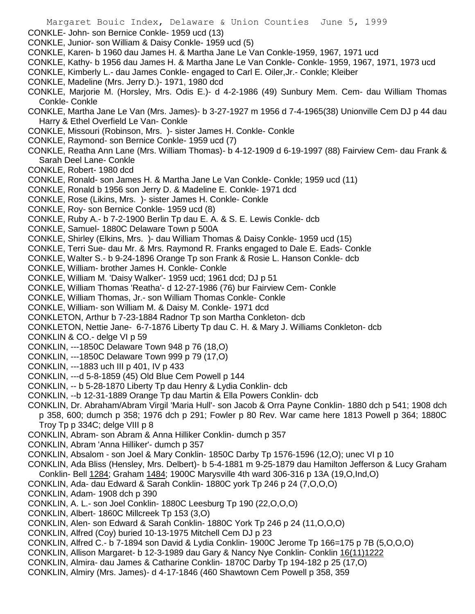- Margaret Bouic Index, Delaware & Union Counties June 5, 1999 CONKLE- John- son Bernice Conkle- 1959 ucd (13) CONKLE, Junior- son William & Daisy Conkle- 1959 ucd (5) CONKLE, Karen- b 1960 dau James H. & Martha Jane Le Van Conkle-1959, 1967, 1971 ucd CONKLE, Kathy- b 1956 dau James H. & Martha Jane Le Van Conkle- Conkle- 1959, 1967, 1971, 1973 ucd CONKLE, Kimberly L.- dau James Conkle- engaged to Carl E. Oiler,Jr.- Conkle; Kleiber CONKLE, Madeline (Mrs. Jerry D.)- 1971, 1980 dcd CONKLE, Marjorie M. (Horsley, Mrs. Odis E.)- d 4-2-1986 (49) Sunbury Mem. Cem- dau William Thomas Conkle- Conkle CONKLE, Martha Jane Le Van (Mrs. James)- b 3-27-1927 m 1956 d 7-4-1965(38) Unionville Cem DJ p 44 dau Harry & Ethel Overfield Le Van- Conkle CONKLE, Missouri (Robinson, Mrs. )- sister James H. Conkle- Conkle CONKLE, Raymond- son Bernice Conkle- 1959 ucd (7) CONKLE, Reatha Ann Lane (Mrs. William Thomas)- b 4-12-1909 d 6-19-1997 (88) Fairview Cem- dau Frank & Sarah Deel Lane- Conkle CONKLE, Robert- 1980 dcd CONKLE, Ronald- son James H. & Martha Jane Le Van Conkle- Conkle; 1959 ucd (11) CONKLE, Ronald b 1956 son Jerry D. & Madeline E. Conkle- 1971 dcd CONKLE, Rose (Likins, Mrs. )- sister James H. Conkle- Conkle CONKLE, Roy- son Bernice Conkle- 1959 ucd (8) CONKLE, Ruby A.- b 7-2-1900 Berlin Tp dau E. A. & S. E. Lewis Conkle- dcb CONKLE, Samuel- 1880C Delaware Town p 500A CONKLE, Shirley (Elkins, Mrs. )- dau William Thomas & Daisy Conkle- 1959 ucd (15) CONKLE, Terri Sue- dau Mr. & Mrs. Raymond R. Franks engaged to Dale E. Eads- Conkle CONKLE, Walter S.- b 9-24-1896 Orange Tp son Frank & Rosie L. Hanson Conkle- dcb CONKLE, William- brother James H. Conkle- Conkle CONKLE, William M. 'Daisy Walker'- 1959 ucd; 1961 dcd; DJ p 51 CONKLE, William Thomas 'Reatha'- d 12-27-1986 (76) bur Fairview Cem- Conkle CONKLE, William Thomas, Jr.- son William Thomas Conkle- Conkle CONKLE, William- son William M. & Daisy M. Conkle- 1971 dcd CONKLETON, Arthur b 7-23-1884 Radnor Tp son Martha Conkleton- dcb
- CONKLETON, Nettie Jane- 6-7-1876 Liberty Tp dau C. H. & Mary J. Williams Conkleton- dcb
- CONKLIN & CO.- delge VI p 59
- CONKLIN, ---1850C Delaware Town 948 p 76 (18,O)
- CONKLIN, ---1850C Delaware Town 999 p 79 (17,O)
- CONKLIN, ---1883 uch III p 401, IV p 433
- CONKLIN, ---d 5-8-1859 (45) Old Blue Cem Powell p 144
- CONKLIN, -- b 5-28-1870 Liberty Tp dau Henry & Lydia Conklin- dcb
- CONKLIN, --b 12-31-1889 Orange Tp dau Martin & Ella Powers Conklin- dcb
- CONKLIN, Dr. Abraham/Abram Virgil 'Maria Hull'- son Jacob & Orra Payne Conklin- 1880 dch p 541; 1908 dch
- p 358, 600; dumch p 358; 1976 dch p 291; Fowler p 80 Rev. War came here 1813 Powell p 364; 1880C Troy Tp p 334C; delge VIII p 8
- CONKLIN, Abram- son Abram & Anna Hilliker Conklin- dumch p 357
- CONKLIN, Abram 'Anna Hilliker'- dumch p 357
- CONKLIN, Absalom son Joel & Mary Conklin- 1850C Darby Tp 1576-1596 (12,O); unec VI p 10
- CONKLIN, Ada Bliss (Hensley, Mrs. Delbert)- b 5-4-1881 m 9-25-1879 dau Hamilton Jefferson & Lucy Graham Conklin- Bell 1284; Graham 1484; 1900C Marysville 4th ward 306-316 p 13A (19,O,Ind,O)
- CONKLIN, Ada- dau Edward & Sarah Conklin- 1880C york Tp 246 p 24 (7,O,O,O)
- CONKLIN, Adam- 1908 dch p 390
- CONKLIN, A. L.- son Joel Conklin- 1880C Leesburg Tp 190 (22,O,O,O)
- CONKLIN, Albert- 1860C Millcreek Tp 153 (3,O)
- CONKLIN, Alen- son Edward & Sarah Conklin- 1880C York Tp 246 p 24 (11,O,O,O)
- CONKLIN, Alfred (Coy) buried 10-13-1975 Mitchell Cem DJ p 23
- CONKLIN, Alfred C.- b 7-1894 son David & Lydia Conklin- 1900C Jerome Tp 166=175 p 7B (5,O,O,O)
- CONKLIN, Allison Margaret- b 12-3-1989 dau Gary & Nancy Nye Conklin- Conklin 16(11)1222
- CONKLIN, Almira- dau James & Catharine Conklin- 1870C Darby Tp 194-182 p 25 (17,O)
- CONKLIN, Almiry (Mrs. James)- d 4-17-1846 (460 Shawtown Cem Powell p 358, 359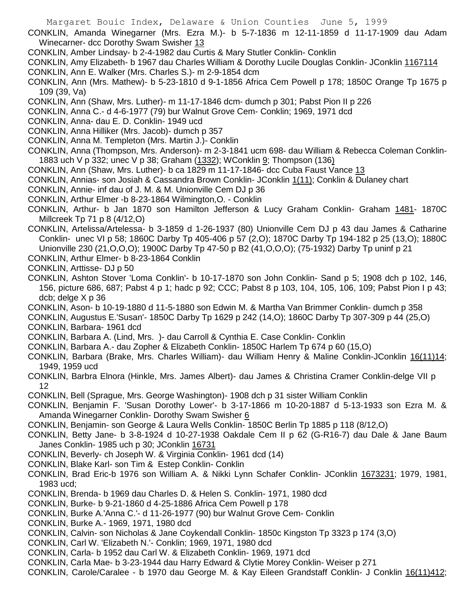CONKLIN, Amanda Winegarner (Mrs. Ezra M.)- b 5-7-1836 m 12-11-1859 d 11-17-1909 dau Adam Winecarner- dcc Dorothy Swam Swisher 13

- CONKLIN, Amber Lindsay- b 2-4-1982 dau Curtis & Mary Stutler Conklin- Conklin
- CONKLIN, Amy Elizabeth- b 1967 dau Charles William & Dorothy Lucile Douglas Conklin- JConklin 1167114
- CONKLIN, Ann E. Walker (Mrs. Charles S.)- m 2-9-1854 dcm

CONKLIN, Ann (Mrs. Mathew)- b 5-23-1810 d 9-1-1856 Africa Cem Powell p 178; 1850C Orange Tp 1675 p 109 (39, Va)

- CONKLIN, Ann (Shaw, Mrs. Luther)- m 11-17-1846 dcm- dumch p 301; Pabst Pion II p 226
- CONKLIN, Anna C.- d 4-6-1977 (79) bur Walnut Grove Cem- Conklin; 1969, 1971 dcd
- CONKLIN, Anna- dau E. D. Conklin- 1949 ucd
- CONKLIN, Anna Hilliker (Mrs. Jacob)- dumch p 357
- CONKLIN, Anna M. Templeton (Mrs. Martin J.)- Conklin
- CONKLIN, Anna (Thompson, Mrs. Anderson)- m 2-3-1841 ucm 698- dau William & Rebecca Coleman Conklin-1883 uch V p 332; unec V p 38; Graham (1332); WConklin 9; Thompson (136)
- CONKLIN, Ann (Shaw, Mrs. Luther)- b ca 1829 m 11-17-1846- dcc Cuba Faust Vance 13
- CONKLIN, Annias- son Josiah & Cassandra Brown Conklin- JConklin 1(11); Conklin & Dulaney chart
- CONKLIN, Annie- inf dau of J. M. & M. Unionville Cem DJ p 36
- CONKLIN, Arthur Elmer -b 8-23-1864 Wilmington,O. Conklin
- CONKLIN, Arthur- b Jan 1870 son Hamilton Jefferson & Lucy Graham Conklin- Graham 1481- 1870C Millcreek Tp 71 p 8 (4/12,O)
- CONKLIN, Artelissa/Artelessa- b 3-1859 d 1-26-1937 (80) Unionville Cem DJ p 43 dau James & Catharine Conklin- unec VI p 58; 1860C Darby Tp 405-406 p 57 (2,O); 1870C Darby Tp 194-182 p 25 (13,O); 1880C Unionville 230 (21,O,O,O); 1900C Darby Tp 47-50 p B2 (41,O,O,O); (75-1932) Darby Tp uninf p 21
- CONKLIN, Arthur Elmer- b 8-23-1864 Conklin
- CONKLIN, Arttisse- DJ p 50
- CONKLIN, Ashton Stover 'Loma Conklin'- b 10-17-1870 son John Conklin- Sand p 5; 1908 dch p 102, 146, 156, picture 686, 687; Pabst 4 p 1; hadc p 92; CCC; Pabst 8 p 103, 104, 105, 106, 109; Pabst Pion I p 43; dcb; delge X p 36
- CONKLIN, Ason- b 10-19-1880 d 11-5-1880 son Edwin M. & Martha Van Brimmer Conklin- dumch p 358
- CONKLIN, Augustus E.'Susan'- 1850C Darby Tp 1629 p 242 (14,O); 1860C Darby Tp 307-309 p 44 (25,O) CONKLIN, Barbara- 1961 dcd
- CONKLIN, Barbara A. (Lind, Mrs. )- dau Carroll & Cynthia E. Case Conklin- Conklin
- CONKLIN, Barbara A.- dau Zopher & Elizabeth Conklin- 1850C Harlem Tp 674 p 60 (15,O)
- CONKLIN, Barbara (Brake, Mrs. Charles William)- dau William Henry & Maline Conklin-JConklin 16(11)14; 1949, 1959 ucd
- CONKLIN, Barbra Elnora (Hinkle, Mrs. James Albert)- dau James & Christina Cramer Conklin-delge VII p 12
- CONKLIN, Bell (Sprague, Mrs. George Washington)- 1908 dch p 31 sister William Conklin
- CONKLIN, Benjamin F. 'Susan Dorothy Lower'- b 3-17-1866 m 10-20-1887 d 5-13-1933 son Ezra M. & Amanda Winegarner Conklin- Dorothy Swam Swisher 6
- CONKLIN, Benjamin- son George & Laura Wells Conklin- 1850C Berlin Tp 1885 p 118 (8/12,O)
- CONKLIN, Betty Jane- b 3-8-1924 d 10-27-1938 Oakdale Cem II p 62 (G-R16-7) dau Dale & Jane Baum Janes Conklin- 1985 uch p 30; JConklin 16731
- CONKLIN, Beverly- ch Joseph W. & Virginia Conklin- 1961 dcd (14)
- CONKLIN, Blake Karl- son Tim & Estep Conklin- Conklin
- CONKLIN, Brad Eric-b 1976 son William A. & Nikki Lynn Schafer Conklin- JConklin 1673231; 1979, 1981, 1983 ucd;
- CONKLIN, Brenda- b 1969 dau Charles D. & Helen S. Conklin- 1971, 1980 dcd
- CONKLIN, Burke- b 9-21-1860 d 4-25-1886 Africa Cem Powell p 178
- CONKLIN, Burke A.'Anna C.'- d 11-26-1977 (90) bur Walnut Grove Cem- Conklin
- CONKLIN, Burke A.- 1969, 1971, 1980 dcd
- CONKLIN, Calvin- son Nicholas & Jane Coykendall Conklin- 1850c Kingston Tp 3323 p 174 (3,O)
- CONKLIN, Carl W. 'Elizabeth N.'- Conklin; 1969, 1971, 1980 dcd
- CONKLIN, Carla- b 1952 dau Carl W. & Elizabeth Conklin- 1969, 1971 dcd
- CONKLIN, Carla Mae- b 3-23-1944 dau Harry Edward & Clytie Morey Conklin- Weiser p 271
- CONKLIN, Carole/Caralee b 1970 dau George M. & Kay Eileen Grandstaff Conklin- J Conklin 16(11)412;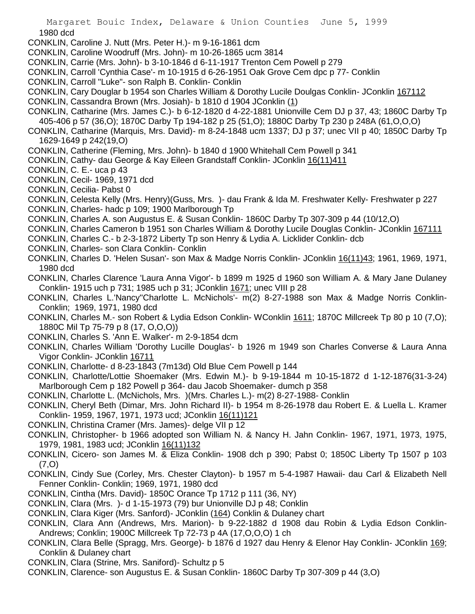Margaret Bouic Index, Delaware & Union Counties June 5, 1999 1980 dcd

- CONKLIN, Caroline J. Nutt (Mrs. Peter H.)- m 9-16-1861 dcm
- CONKLIN, Caroline Woodruff (Mrs. John)- m 10-26-1865 ucm 3814
- CONKLIN, Carrie (Mrs. John)- b 3-10-1846 d 6-11-1917 Trenton Cem Powell p 279
- CONKLIN, Carroll 'Cynthia Case'- m 10-1915 d 6-26-1951 Oak Grove Cem dpc p 77- Conklin
- CONKLIN, Carroll "Luke"- son Ralph B. Conklin- Conklin
- CONKLIN, Cary Douglar b 1954 son Charles William & Dorothy Lucile Doulgas Conklin- JConklin 167112
- CONKLIN, Cassandra Brown (Mrs. Josiah)- b 1810 d 1904 JConklin (1)
- CONKLIN, Catharine (Mrs. James C.)- b 6-12-1820 d 4-22-1881 Unionville Cem DJ p 37, 43; 1860C Darby Tp 405-406 p 57 (36,O); 1870C Darby Tp 194-182 p 25 (51,O); 1880C Darby Tp 230 p 248A (61,O,O,O)

CONKLIN, Catharine (Marquis, Mrs. David)- m 8-24-1848 ucm 1337; DJ p 37; unec VII p 40; 1850C Darby Tp 1629-1649 p 242(19,O)

CONKLIN, Catherine (Fleming, Mrs. John)- b 1840 d 1900 Whitehall Cem Powell p 341

- CONKLIN, Cathy- dau George & Kay Eileen Grandstaff Conklin- JConklin 16(11)411
- CONKLIN, C. E.- uca p 43
- CONKLIN, Cecil- 1969, 1971 dcd
- CONKLIN, Cecilia- Pabst 0
- CONKLIN, Celesta Kelly (Mrs. Henry)(Guss, Mrs. )- dau Frank & Ida M. Freshwater Kelly- Freshwater p 227
- CONKLIN, Charles- hadc p 109; 1900 Marlborough Tp
- CONKLIN, Charles A. son Augustus E. & Susan Conklin- 1860C Darby Tp 307-309 p 44 (10/12,O)
- CONKLIN, Charles Cameron b 1951 son Charles William & Dorothy Lucile Douglas Conklin- JConklin 167111
- CONKLIN, Charles C.- b 2-3-1872 Liberty Tp son Henry & Lydia A. Licklider Conklin- dcb
- CONKLIN, Charles- son Clara Conklin- Conklin
- CONKLIN, Charles D. 'Helen Susan'- son Max & Madge Norris Conklin- JConklin 16(11)43; 1961, 1969, 1971, 1980 dcd
- CONKLIN, Charles Clarence 'Laura Anna Vigor'- b 1899 m 1925 d 1960 son William A. & Mary Jane Dulaney Conklin- 1915 uch p 731; 1985 uch p 31; JConklin 1671; unec VIII p 28
- CONKLIN, Charles L.'Nancy''Charlotte L. McNichols'- m(2) 8-27-1988 son Max & Madge Norris Conklin-Conklin; 1969, 1971, 1980 dcd
- CONKLIN, Charles M.- son Robert & Lydia Edson Conklin- WConklin 1611; 1870C Millcreek Tp 80 p 10 (7,O); 1880C Mil Tp 75-79 p 8 (17, O,O,O))
- CONKLIN, Charles S. 'Ann E. Walker'- m 2-9-1854 dcm
- CONKLIN, Charles William 'Dorothy Lucille Douglas'- b 1926 m 1949 son Charles Converse & Laura Anna Vigor Conklin- JConklin 16711
- CONKLIN, Charlotte- d 8-23-1843 (7m13d) Old Blue Cem Powell p 144
- CONKLIN, Charlotte/Lottie Shoemaker (Mrs. Edwin M.)- b 9-19-1844 m 10-15-1872 d 1-12-1876(31-3-24) Marlborough Cem p 182 Powell p 364- dau Jacob Shoemaker- dumch p 358
- CONKLIN, Charlotte L. (McNichols, Mrs. )(Mrs. Charles L.)- m(2) 8-27-1988- Conklin
- CONKLIN, Cheryl Beth (Dimar, Mrs. John Richard II)- b 1954 m 8-26-1978 dau Robert E. & Luella L. Kramer Conklin- 1959, 1967, 1971, 1973 ucd; JConklin 16(11)121
- CONKLIN, Christina Cramer (Mrs. James)- delge VII p 12
- CONKLIN, Christopher- b 1966 adopted son William N. & Nancy H. Jahn Conklin- 1967, 1971, 1973, 1975, 1979, 1981, 1983 ucd; JConklin 16(11)132
- CONKLIN, Cicero- son James M. & Eliza Conklin- 1908 dch p 390; Pabst 0; 1850C Liberty Tp 1507 p 103 (7,O)
- CONKLIN, Cindy Sue (Corley, Mrs. Chester Clayton)- b 1957 m 5-4-1987 Hawaii- dau Carl & Elizabeth Nell Fenner Conklin- Conklin; 1969, 1971, 1980 dcd
- CONKLIN, Cintha (Mrs. David)- 1850C Orance Tp 1712 p 111 (36, NY)
- CONKLIN, Clara (Mrs. )- d 1-15-1973 (79) bur Unionville DJ p 48; Conklin
- CONKLIN, Clara Kiger (Mrs. Sanford)- JConklin (164) Conklin & Dulaney chart
- CONKLIN, Clara Ann (Andrews, Mrs. Marion)- b 9-22-1882 d 1908 dau Robin & Lydia Edson Conklin-Andrews; Conklin; 1900C Millcreek Tp 72-73 p 4A (17,O,O,O) 1 ch
- CONKLIN, Clara Belle (Spragg, Mrs. George)- b 1876 d 1927 dau Henry & Elenor Hay Conklin- JConklin 169; Conklin & Dulaney chart
- CONKLIN, Clara (Strine, Mrs. Saniford)- Schultz p 5
- CONKLIN, Clarence- son Augustus E. & Susan Conklin- 1860C Darby Tp 307-309 p 44 (3,O)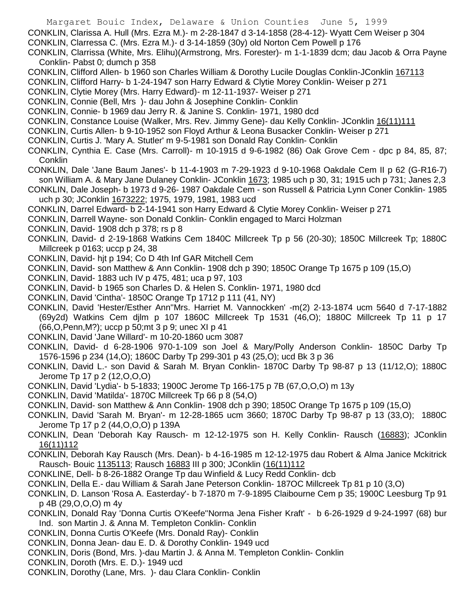CONKLIN, Clarissa A. Hull (Mrs. Ezra M.)- m 2-28-1847 d 3-14-1858 (28-4-12)- Wyatt Cem Weiser p 304

- CONKLIN, Clarressa C. (Mrs. Ezra M.)- d 3-14-1859 (30y) old Norton Cem Powell p 176
- CONKLIN, Clarrissa (White, Mrs. Elihu)(Armstrong, Mrs. Forester)- m 1-1-1839 dcm; dau Jacob & Orra Payne Conklin- Pabst 0; dumch p 358
- CONKLIN, Clifford Allen- b 1960 son Charles William & Dorothy Lucile Douglas Conklin-JConklin 167113
- CONKLIN, Clifford Harry- b 1-24-1947 son Harry Edward & Clytie Morey Conklin- Weiser p 271
- CONKLIN, Clytie Morey (Mrs. Harry Edward)- m 12-11-1937- Weiser p 271
- CONKLIN, Connie (Bell, Mrs )- dau John & Josephine Conklin- Conklin
- CONKLIN, Connie- b 1969 dau Jerry R. & Janine S. Conklin- 1971, 1980 dcd
- CONKLIN, Constance Louise (Walker, Mrs. Rev. Jimmy Gene)- dau Kelly Conklin- JConklin 16(11)111
- CONKLIN, Curtis Allen- b 9-10-1952 son Floyd Arthur & Leona Busacker Conklin- Weiser p 271
- CONKLIN, Curtis J. 'Mary A. Stutler' m 9-5-1981 son Donald Ray Conklin- Conklin
- CONKLIN, Cynthia E. Case (Mrs. Carroll)- m 10-1915 d 9-6-1982 (86) Oak Grove Cem dpc p 84, 85, 87; Conklin
- CONKLIN, Dale 'Jane Baum Janes'- b 11-4-1903 m 7-29-1923 d 9-10-1968 Oakdale Cem II p 62 (G-R16-7) son William A. & Mary Jane Dulaney Conklin- JConklin 1673; 1985 uch p 30, 31; 1915 uch p 731; Janes 2,3
- CONKLIN, Dale Joseph- b 1973 d 9-26- 1987 Oakdale Cem son Russell & Patricia Lynn Coner Conklin- 1985 uch p 30; JConklin 1673222; 1975, 1979, 1981, 1983 ucd
- CONKLIN, Darrel Edward- b 2-14-1941 son Harry Edward & Clytie Morey Conklin- Weiser p 271
- CONKLIN, Darrell Wayne- son Donald Conklin- Conklin engaged to Marci Holzman
- CONKLIN, David- 1908 dch p 378; rs p 8
- CONKLIN, David- d 2-19-1868 Watkins Cem 1840C Millcreek Tp p 56 (20-30); 1850C Millcreek Tp; 1880C Millcreek p 0163; uccp p 24, 38
- CONKLIN, David- hjt p 194; Co D 4th Inf GAR Mitchell Cem
- CONKLIN, David- son Matthew & Ann Conklin- 1908 dch p 390; 1850C Orange Tp 1675 p 109 (15,O)
- CONKLIN, David- 1883 uch IV p 475, 481; uca p 97, 103
- CONKLIN, David- b 1965 son Charles D. & Helen S. Conklin- 1971, 1980 dcd
- CONKLIN, David 'Cintha'- 1850C Orange Tp 1712 p 111 (41, NY)
- CONKLIN, David 'Hester/Esther Ann''Mrs. Harriet M. Vannockken' -m(2) 2-13-1874 ucm 5640 d 7-17-1882 (69y2d) Watkins Cem djlm p 107 1860C Millcreek Tp 1531 (46,O); 1880C Millcreek Tp 11 p 17 (66,O,Penn,M?); uccp p 50;mt 3 p 9; unec XI p 41
- CONKLIN, David 'Jane Willard'- m 10-20-1860 ucm 3087
- CONKLIN, David- d 6-28-1906 970-1-109 son Joel & Mary/Polly Anderson Conklin- 1850C Darby Tp 1576-1596 p 234 (14,O); 1860C Darby Tp 299-301 p 43 (25,O); ucd Bk 3 p 36
- CONKLIN, David L.- son David & Sarah M. Bryan Conklin- 1870C Darby Tp 98-87 p 13 (11/12,O); 1880C Jerome Tp 17 p 2 (12,O,O,O)
- CONKLIN, David 'Lydia'- b 5-1833; 1900C Jerome Tp 166-175 p 7B (67,O,O,O) m 13y
- CONKLIN, David 'Matilda'- 1870C Millcreek Tp 66 p 8 (54,O)
- CONKLIN, David- son Matthew & Ann Conklin- 1908 dch p 390; 1850C Orange Tp 1675 p 109 (15,O)
- CONKLIN, David 'Sarah M. Bryan'- m 12-28-1865 ucm 3660; 1870C Darby Tp 98-87 p 13 (33,O); 1880C Jerome Tp 17 p 2 (44,O,O,O) p 139A
- CONKLIN, Dean 'Deborah Kay Rausch- m 12-12-1975 son H. Kelly Conklin- Rausch (16883); JConklin 16(11)112
- CONKLIN, Deborah Kay Rausch (Mrs. Dean)- b 4-16-1985 m 12-12-1975 dau Robert & Alma Janice Mckitrick Rausch- Bouic 1135113; Rausch 16883 III p 300; JConklin (16(11)112
- CONKLINE, Dell- b 8-26-1882 Orange Tp dau Winfield & Lucy Redd Conklin- dcb
- CONKLIN, Della E.- dau William & Sarah Jane Peterson Conklin- 187OC Millcreek Tp 81 p 10 (3,O)
- CONKLIN, D. Lanson 'Rosa A. Easterday'- b 7-1870 m 7-9-1895 Claibourne Cem p 35; 1900C Leesburg Tp 91 p 4B (29,O,O,O) m 4y
- CONKLIN, Donald Ray 'Donna Curtis O'Keefe''Norma Jena Fisher Kraft' b 6-26-1929 d 9-24-1997 (68) bur Ind. son Martin J. & Anna M. Templeton Conklin- Conklin
- CONKLIN, Donna Curtis O'Keefe (Mrs. Donald Ray)- Conklin
- CONKLIN, Donna Jean- dau E. D. & Dorothy Conklin- 1949 ucd
- CONKLIN, Doris (Bond, Mrs. )-dau Martin J. & Anna M. Templeton Conklin- Conklin
- CONKLIN, Doroth (Mrs. E. D.)- 1949 ucd
- CONKLIN, Dorothy (Lane, Mrs. )- dau Clara Conklin- Conklin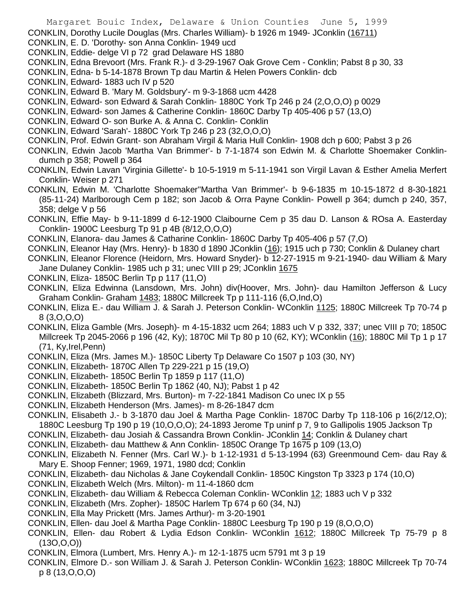CONKLIN, Dorothy Lucile Douglas (Mrs. Charles William)- b 1926 m 1949- JConklin (16711)

- CONKLIN, E. D. 'Dorothy- son Anna Conklin- 1949 ucd
- CONKLIN, Eddie- delge VI p 72 grad Delaware HS 1880
- CONKLIN, Edna Brevoort (Mrs. Frank R.)- d 3-29-1967 Oak Grove Cem Conklin; Pabst 8 p 30, 33
- CONKLIN, Edna- b 5-14-1878 Brown Tp dau Martin & Helen Powers Conklin- dcb
- CONKLIN, Edward- 1883 uch IV p 520
- CONKLIN, Edward B. 'Mary M. Goldsbury'- m 9-3-1868 ucm 4428
- CONKLIN, Edward- son Edward & Sarah Conklin- 1880C York Tp 246 p 24 (2,O,O,O) p 0029
- CONKLIN, Edward- son James & Catherine Conklin- 1860C Darby Tp 405-406 p 57 (13,O)
- CONKLIN, Edward O- son Burke A. & Anna C. Conklin- Conklin
- CONKLIN, Edward 'Sarah'- 1880C York Tp 246 p 23 (32,O,O,O)
- CONKLIN, Prof. Edwin Grant- son Abraham Virgil & Maria Hull Conklin- 1908 dch p 600; Pabst 3 p 26
- CONKLIN, Edwin Jacob 'Martha Van Brimmer'- b 7-1-1874 son Edwin M. & Charlotte Shoemaker Conklindumch p 358; Powell p 364
- CONKLIN, Edwin Lavan 'Virginia Gillette'- b 10-5-1919 m 5-11-1941 son Virgil Lavan & Esther Amelia Merfert Conklin- Weiser p 271
- CONKLIN, Edwin M. 'Charlotte Shoemaker''Martha Van Brimmer'- b 9-6-1835 m 10-15-1872 d 8-30-1821 (85-11-24) Marlborough Cem p 182; son Jacob & Orra Payne Conklin- Powell p 364; dumch p 240, 357, 358; delge V p 56
- CONKLIN, Effie May- b 9-11-1899 d 6-12-1900 Claibourne Cem p 35 dau D. Lanson & ROsa A. Easterday Conklin- 1900C Leesburg Tp 91 p 4B (8/12,O,O,O)
- CONKLIN, Elanora- dau James & Catharine Conklin- 1860C Darby Tp 405-406 p 57 (7,O)
- CONKLIN, Eleanor Hay (Mrs. Henry)- b 1830 d 1890 JConklin (16); 1915 uch p 730; Conklin & Dulaney chart
- CONKLIN, Eleanor Florence (Heidorn, Mrs. Howard Snyder)- b 12-27-1915 m 9-21-1940- dau William & Mary Jane Dulaney Conklin- 1985 uch p 31; unec VIII p 29; JConklin 1675
- CONKLIN, Eliza- 1850C Berlin Tp p 117 (11,O)
- CONKLIN, Eliza Edwinna (Lansdown, Mrs. John) div(Hoover, Mrs. John)- dau Hamilton Jefferson & Lucy Graham Conklin- Graham 1483; 1880C Millcreek Tp p 111-116 (6,O,Ind,O)
- CONKLIN, Eliza E.- dau William J. & Sarah J. Peterson Conklin- WConklin 1125; 1880C Millcreek Tp 70-74 p 8 (3,O,O,O)
- CONKLIN, Eliza Gamble (Mrs. Joseph)- m 4-15-1832 ucm 264; 1883 uch V p 332, 337; unec VIII p 70; 1850C Millcreek Tp 2045-2066 p 196 (42, Ky); 1870C Mil Tp 80 p 10 (62, KY); WConklin (16); 1880C Mil Tp 1 p 17 (71, Ky,Irel,Penn)
- CONKLIN, Eliza (Mrs. James M.)- 1850C Liberty Tp Delaware Co 1507 p 103 (30, NY)
- CONKLIN, Elizabeth- 1870C Allen Tp 229-221 p 15 (19,O)
- CONKLIN, Elizabeth- 1850C Berlin Tp 1859 p 117 (11,O)
- CONKLIN, Elizabeth- 1850C Berlin Tp 1862 (40, NJ); Pabst 1 p 42
- CONKLIN, Elizabeth (Blizzard, Mrs. Burton)- m 7-22-1841 Madison Co unec IX p 55
- CONKLIN, Elizabeth Henderson (Mrs. James)- m 8-26-1847 dcm
- CONKLIN, Elisabeth J.- b 3-1870 dau Joel & Martha Page Conklin- 1870C Darby Tp 118-106 p 16(2/12,O); 1880C Leesburg Tp 190 p 19 (10,O,O,O); 24-1893 Jerome Tp uninf p 7, 9 to Gallipolis 1905 Jackson Tp
- CONKLIN, Elizabeth- dau Josiah & Cassandra Brown Conklin- JConklin 14; Conklin & Dulaney chart
- CONKLIN, Elizabeth- dau Matthew & Ann Conklin- 1850C Orange Tp 1675 p 109 (13,O)
- CONKLIN, Elizabeth N. Fenner (Mrs. Carl W.)- b 1-12-1931 d 5-13-1994 (63) Greenmound Cem- dau Ray & Mary E. Shoop Fenner; 1969, 1971, 1980 dcd; Conklin
- CONKLIN, Elizabeth- dau Nicholas & Jane Coykendall Conklin- 1850C Kingston Tp 3323 p 174 (10,O)
- CONKLIN, Elizabeth Welch (Mrs. Milton)- m 11-4-1860 dcm
- CONKLIN, Elizabeth- dau William & Rebecca Coleman Conklin- WConklin 12; 1883 uch V p 332
- CONKLIN, Elizabeth (Mrs. Zopher)- 1850C Harlem Tp 674 p 60 (34, NJ)
- CONKLIN, Ella May Prickett (Mrs. James Arthur)- m 3-20-1901
- CONKLIN, Ellen- dau Joel & Martha Page Conklin- 1880C Leesburg Tp 190 p 19 (8,O,O,O)
- CONKLIN, Ellen- dau Robert & Lydia Edson Conklin- WConklin 1612; 1880C Millcreek Tp 75-79 p 8 (13O,O,O))
- CONKLIN, Elmora (Lumbert, Mrs. Henry A.)- m 12-1-1875 ucm 5791 mt 3 p 19
- CONKLIN, Elmore D.- son William J. & Sarah J. Peterson Conklin- WConklin 1623; 1880C Millcreek Tp 70-74 p 8 (13,O,O,O)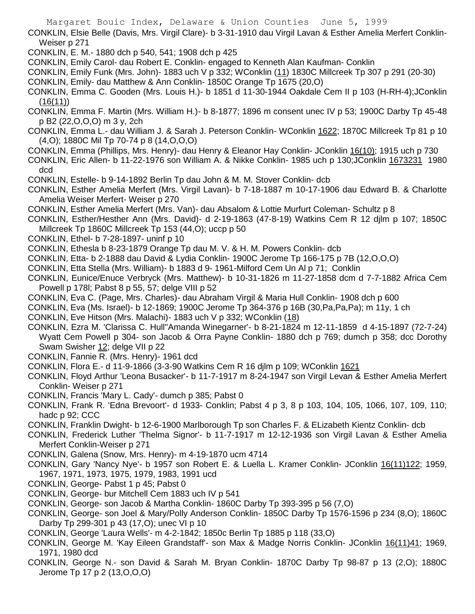CONKLIN, Elsie Belle (Davis, Mrs. Virgil Clare)- b 3-31-1910 dau Virgil Lavan & Esther Amelia Merfert Conklin-Weiser p 271

- CONKLIN, E. M.- 1880 dch p 540, 541; 1908 dch p 425
- CONKLIN, Emily Carol- dau Robert E. Conklin- engaged to Kenneth Alan Kaufman- Conklin

CONKLIN, Emily Funk (Mrs. John)- 1883 uch V p 332; WConklin (11) 1830C Millcreek Tp 307 p 291 (20-30) CONKLIN, Emily- dau Matthew & Ann Conklin- 1850C Orange Tp 1675 (20,O)

- CONKLIN, Emma C. Gooden (Mrs. Louis H.)- b 1851 d 11-30-1944 Oakdale Cem II p 103 (H-RH-4);JConklin (16(11))
- CONKLIN, Emma F. Martin (Mrs. William H.)- b 8-1877; 1896 m consent unec IV p 53; 1900C Darby Tp 45-48 p B2 (22,O,O,O) m 3 y, 2ch
- CONKLIN, Emma L.- dau William J. & Sarah J. Peterson Conklin- WConklin 1622; 1870C Millcreek Tp 81 p 10 (4,O); 1880C Mil Tp 70-74 p 8 (14,O,O,O)
- CONKLIN, Emma (Phillips, Mrs. Henry)- dau Henry & Eleanor Hay Conklin- JConklin 16(10); 1915 uch p 730
- CONKLIN, Eric Allen- b 11-22-1976 son William A. & Nikke Conklin- 1985 uch p 130;JConklin 1673231 1980 dcd
- CONKLIN, Estelle- b 9-14-1892 Berlin Tp dau John & M. M. Stover Conklin- dcb
- CONKLIN, Esther Amelia Merfert (Mrs. Virgil Lavan)- b 7-18-1887 m 10-17-1906 dau Edward B. & Charlotte Amelia Weiser Merfert- Weiser p 270
- CONKLIN, Esther Amelia Merfert (Mrs. Van)- dau Absalom & Lottie Murfurt Coleman- Schultz p 8
- CONKLIN, Esther/Hesther Ann (Mrs. David)- d 2-19-1863 (47-8-19) Watkins Cem R 12 djlm p 107; 1850C Millcreek Tp 1860C Millcreek Tp 153 (44,O); uccp p 50
- CONKLIN, Ethel- b 7-28-1897- uninf p 10
- CONKLIN, Ethesla b 8-23-1879 Orange Tp dau M. V. & H. M. Powers Conklin- dcb
- CONKLIN, Etta- b 2-1888 dau David & Lydia Conklin- 1900C Jerome Tp 166-175 p 7B (12,O,O,O)
- CONKLIN, Etta Stella (Mrs. William)- b 1883 d 9- 1961-Milford Cem Un Al p 71; Conklin
- CONKLIN, Eunice/Enuce Verbryck (Mrs. Matthew)- b 10-31-1826 m 11-27-1858 dcm d 7-7-1882 Africa Cem Powell p 178l; Pabst 8 p 55, 57; delge VIII p 52
- CONKLIN, Eva C. (Page, Mrs. Charles)- dau Abraham Virgil & Maria Hull Conklin- 1908 dch p 600
- CONKLIN, Eva (Ms. Israel)- b 12-1869; 1900C Jerome Tp 364-376 p 16B (30,Pa,Pa,Pa); m 11y, 1 ch
- CONKLIN, Eve Hitson (Mrs. Malachi)- 1883 uch V p 332; WConklin (18)
- CONKLIN, Ezra M. 'Clarissa C. Hull''Amanda Winegarner'- b 8-21-1824 m 12-11-1859 d 4-15-1897 (72-7-24) Wyatt Cem Powell p 304- son Jacob & Orra Payne Conklin- 1880 dch p 769; dumch p 358; dcc Dorothy Swam Swisher 12; delge VII p 22
- CONKLIN, Fannie R. (Mrs. Henry)- 1961 dcd
- CONKLIN, Flora E.- d 11-9-1866 (3-3-90 Watkins Cem R 16 djlm p 109; WConklin 1621
- CONKLIN, Floyd Arthur 'Leona Busacker'- b 11-7-1917 m 8-24-1947 son Virgil Levan & Esther Amelia Merfert Conklin- Weiser p 271
- CONKLIN, Francis 'Mary L. Cady'- dumch p 385; Pabst 0
- CONKLIN, Frank R. 'Edna Brevoort'- d 1933- Conklin; Pabst 4 p 3, 8 p 103, 104, 105, 1066, 107, 109, 110; hadc p 92; CCC
- CONKLIN, Franklin Dwight- b 12-6-1900 Marlborough Tp son Charles F. & ELizabeth Kientz Conklin- dcb
- CONKLIN, Frederick Luther 'Thelma Signor'- b 11-7-1917 m 12-12-1936 son Virgil Lavan & Esther Amelia Merfert Conklin-Weiser p 271
- CONKLIN, Galena (Snow, Mrs. Henry)- m 4-19-1870 ucm 4714
- CONKLIN, Gary 'Nancy Nye'- b 1957 son Robert E. & Luella L. Kramer Conklin- JConklin 16(11)122; 1959, 1967, 1971, 1973, 1975, 1979, 1983, 1991 ucd
- CONKLIN, George- Pabst 1 p 45; Pabst 0
- CONKLIN, George- bur Mitchell Cem 1883 uch IV p 541
- CONKLIN, George- son Jacob & Martha Conklin- 1860C Darby Tp 393-395 p 56 (7,O)
- CONKLIN, George- son Joel & Mary/Polly Anderson Conklin- 1850C Darby Tp 1576-1596 p 234 (8,O); 1860C Darby Tp 299-301 p 43 (17,O); unec VI p 10
- CONKLIN, George 'Laura Wells'- m 4-2-1842; 1850c Berlin Tp 1885 p 118 (33,O)
- CONKLIN, George M. 'Kay Eileen Grandstaff'- son Max & Madge Norris Conklin- JConklin 16(11)41; 1969, 1971, 1980 dcd
- CONKLIN, George N.- son David & Sarah M. Bryan Conklin- 1870C Darby Tp 98-87 p 13 (2,O); 1880C Jerome Tp 17 p 2 (13,O,O,O)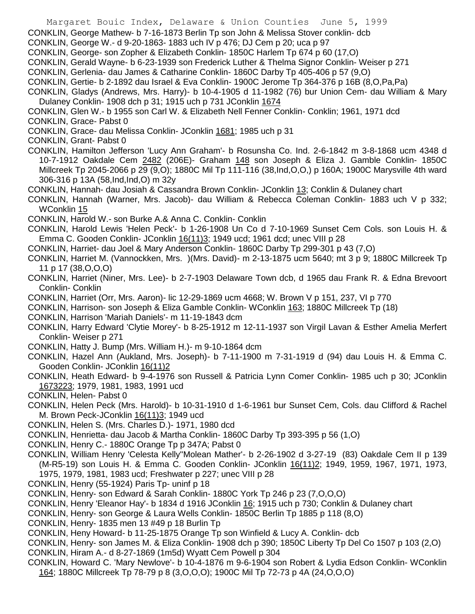CONKLIN, George Mathew- b 7-16-1873 Berlin Tp son John & Melissa Stover conklin- dcb

- CONKLIN, George W.- d 9-20-1863- 1883 uch IV p 476; DJ Cem p 20; uca p 97
- CONKLIN, George- son Zopher & Elizabeth Conklin- 1850C Harlem Tp 674 p 60 (17,O)
- CONKLIN, Gerald Wayne- b 6-23-1939 son Frederick Luther & Thelma Signor Conklin- Weiser p 271
- CONKLIN, Gerlenia- dau James & Catharine Conklin- 1860C Darby Tp 405-406 p 57 (9,O)
- CONKLIN, Gertie- b 2-1892 dau Israel & Eva Conklin- 1900C Jerome Tp 364-376 p 16B (8,O,Pa,Pa)
- CONKLIN, Gladys (Andrews, Mrs. Harry)- b 10-4-1905 d 11-1982 (76) bur Union Cem- dau William & Mary Dulaney Conklin- 1908 dch p 31; 1915 uch p 731 JConklin 1674
- CONKLIN, Glen W.- b 1955 son Carl W. & Elizabeth Nell Fenner Conklin- Conklin; 1961, 1971 dcd CONKLIN, Grace- Pabst 0
- CONKLIN, Grace- dau Melissa Conklin- JConklin 1681; 1985 uch p 31
- CONKLIN, Grant- Pabst 0
- CONKLIN, Hamilton Jefferson 'Lucy Ann Graham'- b Rosunsha Co. Ind. 2-6-1842 m 3-8-1868 ucm 4348 d 10-7-1912 Oakdale Cem 2482 (206E)- Graham 148 son Joseph & Eliza J. Gamble Conklin- 1850C Millcreek Tp 2045-2066 p 29 (9,O); 1880C Mil Tp 111-116 (38,Ind,O,O,) p 160A; 1900C Marysville 4th ward 306-316 p 13A (58,Ind,Ind,O) m 32y
- CONKLIN, Hannah- dau Josiah & Cassandra Brown Conklin- JConklin 13; Conklin & Dulaney chart
- CONKLIN, Hannah (Warner, Mrs. Jacob)- dau William & Rebecca Coleman Conklin- 1883 uch V p 332; WConklin 15
- CONKLIN, Harold W.- son Burke A.& Anna C. Conklin- Conklin
- CONKLIN, Harold Lewis 'Helen Peck'- b 1-26-1908 Un Co d 7-10-1969 Sunset Cem Cols. son Louis H. & Emma C. Gooden Conklin- JConklin 16(11)3; 1949 ucd; 1961 dcd; unec VIII p 28
- CONKLIN, Harriet- dau Joel & Mary Anderson Conklin- 1860C Darby Tp 299-301 p 43 (7,O)
- CONKLIN, Harriet M. (Vannockken, Mrs. )(Mrs. David)- m 2-13-1875 ucm 5640; mt 3 p 9; 1880C Millcreek Tp 11 p 17 (38,O,O,O)
- CONKLIN, Harriet (Niner, Mrs. Lee)- b 2-7-1903 Delaware Town dcb, d 1965 dau Frank R. & Edna Brevoort Conklin- Conklin
- CONKLIN, Harriet (Orr, Mrs. Aaron)- lic 12-29-1869 ucm 4668; W. Brown V p 151, 237, VI p 770
- CONKLIN, Harrison- son Joseph & Eliza Gamble Conklin- WConklin 163; 1880C Millcreek Tp (18)
- CONKLIN, Harrison 'Mariah Daniels'- m 11-19-1843 dcm
- CONKLIN, Harry Edward 'Clytie Morey'- b 8-25-1912 m 12-11-1937 son Virgil Lavan & Esther Amelia Merfert Conklin- Weiser p 271
- CONKLIN, Hatty J. Bump (Mrs. William H.)- m 9-10-1864 dcm
- CONKLIN, Hazel Ann (Aukland, Mrs. Joseph)- b 7-11-1900 m 7-31-1919 d (94) dau Louis H. & Emma C. Gooden Conklin- JConklin 16(11)2
- CONKLIN, Heath Edward- b 9-4-1976 son Russell & Patricia Lynn Comer Conklin- 1985 uch p 30; JConklin 1673223; 1979, 1981, 1983, 1991 ucd
- CONKLIN, Helen- Pabst 0
- CONKLIN, Helen Peck (Mrs. Harold)- b 10-31-1910 d 1-6-1961 bur Sunset Cem, Cols. dau Clifford & Rachel M. Brown Peck-JConklin 16(11)3; 1949 ucd
- CONKLIN, Helen S. (Mrs. Charles D.)- 1971, 1980 dcd
- CONKLIN, Henrietta- dau Jacob & Martha Conklin- 1860C Darby Tp 393-395 p 56 (1,O)
- CONKLIN, Henry C.- 1880C Orange Tp p 347A; Pabst 0
- CONKLIN, William Henry 'Celesta Kelly''Molean Mather'- b 2-26-1902 d 3-27-19 (83) Oakdale Cem II p 139 (M-R5-19) son Louis H. & Emma C. Gooden Conklin- JConklin 16(11)2; 1949, 1959, 1967, 1971, 1973, 1975, 1979, 1981, 1983 ucd; Freshwater p 227; unec VIII p 28
- CONKLIN, Henry (55-1924) Paris Tp- uninf p 18
- CONKLIN, Henry- son Edward & Sarah Conklin- 1880C York Tp 246 p 23 (7,O,O,O)
- CONKLIN, Henry 'Eleanor Hay'- b 1834 d 1916 JConklin 16; 1915 uch p 730; Conklin & Dulaney chart
- CONKLIN, Henry- son George & Laura Wells Conklin- 1850C Berlin Tp 1885 p 118 (8,O)
- CONKLIN, Henry- 1835 men 13 #49 p 18 Burlin Tp
- CONKLIN, Heny Howard- b 11-25-1875 Orange Tp son Winfield & Lucy A. Conklin- dcb
- CONKLIN, Henry- son James M. & Eliza Conklin- 1908 dch p 390; 1850C Liberty Tp Del Co 1507 p 103 (2,O)
- CONKLIN, Hiram A.- d 8-27-1869 (1m5d) Wyatt Cem Powell p 304
- CONKLIN, Howard C. 'Mary Newlove'- b 10-4-1876 m 9-6-1904 son Robert & Lydia Edson Conklin- WConklin 164; 1880C Millcreek Tp 78-79 p 8 (3,O,O,O); 1900C Mil Tp 72-73 p 4A (24,O,O,O)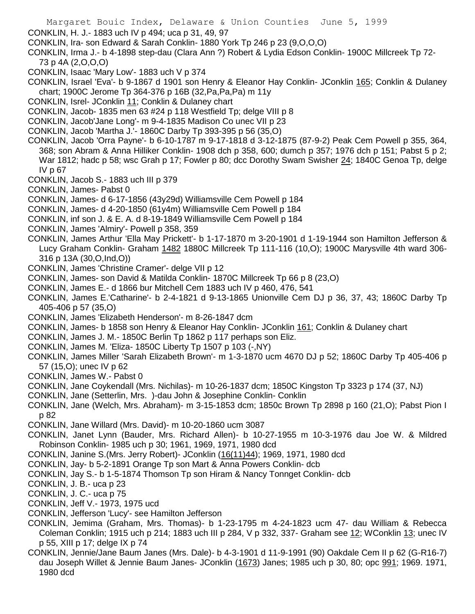Margaret Bouic Index, Delaware & Union Counties June 5, 1999 CONKLIN, H. J.- 1883 uch IV p 494; uca p 31, 49, 97 CONKLIN, Ira- son Edward & Sarah Conklin- 1880 York Tp 246 p 23 (9,O,O,O) CONKLIN, Irma J.- b 4-1898 step-dau (Clara Ann ?) Robert & Lydia Edson Conklin- 1900C Millcreek Tp 72- 73 p 4A (2,O,O,O) CONKLIN, Isaac 'Mary Low'- 1883 uch V p 374 CONKLIN, Israel 'Eva'- b 9-1867 d 1901 son Henry & Eleanor Hay Conklin- JConklin 165; Conklin & Dulaney chart; 1900C Jerome Tp 364-376 p 16B (32,Pa,Pa,Pa) m 11y CONKLIN, Isrel- JConklin 11; Conklin & Dulaney chart CONKLIN, Jacob- 1835 men 63 #24 p 118 Westfield Tp; delge VIII p 8 CONKLIN, Jacob'Jane Long'- m 9-4-1835 Madison Co unec VII p 23 CONKLIN, Jacob 'Martha J.'- 1860C Darby Tp 393-395 p 56 (35,O) CONKLIN, Jacob 'Orra Payne'- b 6-10-1787 m 9-17-1818 d 3-12-1875 (87-9-2) Peak Cem Powell p 355, 364, 368; son Abram & Anna Hilliker Conklin- 1908 dch p 358, 600; dumch p 357; 1976 dch p 151; Pabst 5 p 2; War 1812; hadc p 58; wsc Grah p 17; Fowler p 80; dcc Dorothy Swam Swisher 24; 1840C Genoa Tp, delge IV p 67 CONKLIN, Jacob S.- 1883 uch III p 379 CONKLIN, James- Pabst 0 CONKLIN, James- d 6-17-1856 (43y29d) Williamsville Cem Powell p 184 CONKLIN, James- d 4-20-1850 (61y4m) Williamsville Cem Powell p 184 CONKLIN, inf son J. & E. A. d 8-19-1849 Williamsville Cem Powell p 184 CONKLIN, James 'Almiry'- Powell p 358, 359 CONKLIN, James Arthur 'Ella May Prickett'- b 1-17-1870 m 3-20-1901 d 1-19-1944 son Hamilton Jefferson & Lucy Graham Conklin- Graham 1482 1880C Millcreek Tp 111-116 (10,O); 1900C Marysville 4th ward 306- 316 p 13A (30,O,Ind,O)) CONKLIN, James 'Christine Cramer'- delge VII p 12 CONKLIN, James- son David & Matilda Conklin- 1870C Millcreek Tp 66 p 8 (23,O)

- CONKLIN, James E.- d 1866 bur Mitchell Cem 1883 uch IV p 460, 476, 541
- CONKLIN, James E.'Catharine'- b 2-4-1821 d 9-13-1865 Unionville Cem DJ p 36, 37, 43; 1860C Darby Tp 405-406 p 57 (35,O)
- CONKLIN, James 'Elizabeth Henderson'- m 8-26-1847 dcm
- CONKLIN, James- b 1858 son Henry & Eleanor Hay Conklin- JConklin 161; Conklin & Dulaney chart
- CONKLIN, James J. M.- 1850C Berlin Tp 1862 p 117 perhaps son Eliz.
- CONKLIN, James M. 'Eliza- 1850C Liberty Tp 1507 p 103 (-,NY)
- CONKLIN, James Miller 'Sarah Elizabeth Brown'- m 1-3-1870 ucm 4670 DJ p 52; 1860C Darby Tp 405-406 p 57 (15,O); unec IV p 62
- CONKLIN, James W.- Pabst 0
- CONKLIN, Jane Coykendall (Mrs. Nichilas)- m 10-26-1837 dcm; 1850C Kingston Tp 3323 p 174 (37, NJ)
- CONKLIN, Jane (Setterlin, Mrs. )-dau John & Josephine Conklin- Conklin
- CONKLIN, Jane (Welch, Mrs. Abraham)- m 3-15-1853 dcm; 1850c Brown Tp 2898 p 160 (21,O); Pabst Pion I p 82
- CONKLIN, Jane Willard (Mrs. David)- m 10-20-1860 ucm 3087
- CONKLIN, Janet Lynn (Bauder, Mrs. Richard Allen)- b 10-27-1955 m 10-3-1976 dau Joe W. & Mildred Robinson Conklin- 1985 uch p 30; 1961, 1969, 1971, 1980 dcd
- CONKLIN, Janine S.(Mrs. Jerry Robert)- JConklin (16(11)44); 1969, 1971, 1980 dcd
- CONKLIN, Jay- b 5-2-1891 Orange Tp son Mart & Anna Powers Conklin- dcb
- CONKLIN, Jay S.- b 1-5-1874 Thomson Tp son Hiram & Nancy Tonnget Conklin- dcb
- CONKLIN, J. B.- uca p 23
- CONKLIN, J. C.- uca p 75
- CONKLIN, Jeff V.- 1973, 1975 ucd
- CONKLIN, Jefferson 'Lucy'- see Hamilton Jefferson
- CONKLIN, Jemima (Graham, Mrs. Thomas)- b 1-23-1795 m 4-24-1823 ucm 47- dau William & Rebecca Coleman Conklin; 1915 uch p 214; 1883 uch III p 284, V p 332, 337- Graham see 12; WConklin 13; unec IV p 55, XIII p 17; delge IX p 74
- CONKLIN, Jennie/Jane Baum Janes (Mrs. Dale)- b 4-3-1901 d 11-9-1991 (90) Oakdale Cem II p 62 (G-R16-7) dau Joseph Willet & Jennie Baum Janes- JConklin (1673) Janes; 1985 uch p 30, 80; opc 991; 1969. 1971, 1980 dcd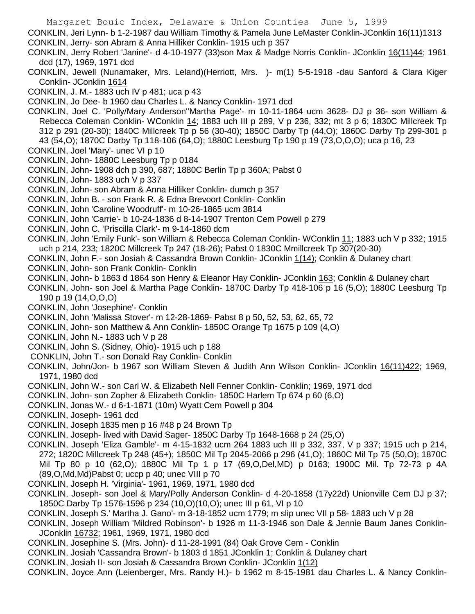CONKLIN, Jeri Lynn- b 1-2-1987 dau William Timothy & Pamela June LeMaster Conklin-JConklin 16(11)1313 CONKLIN, Jerry- son Abram & Anna Hilliker Conklin- 1915 uch p 357

CONKLIN, Jerry Robert 'Janine'- d 4-10-1977 (33)son Max & Madge Norris Conklin- JConklin 16(11)44; 1961 dcd (17), 1969, 1971 dcd

CONKLIN, Jewell (Nunamaker, Mrs. Leland)(Herriott, Mrs. )- m(1) 5-5-1918 -dau Sanford & Clara Kiger Conklin- JConklin 1614

CONKLIN, J. M.- 1883 uch IV p 481; uca p 43

CONKLIN, Jo Dee- b 1960 dau Charles L. & Nancy Conklin- 1971 dcd

- CONKLIN, Joel C. 'Polly/Mary Anderson''Martha Page'- m 10-11-1864 ucm 3628- DJ p 36- son William & Rebecca Coleman Conklin- WConklin 14; 1883 uch III p 289, V p 236, 332; mt 3 p 6; 1830C Millcreek Tp 312 p 291 (20-30); 1840C Millcreek Tp p 56 (30-40); 1850C Darby Tp (44,O); 1860C Darby Tp 299-301 p 43 (54,O); 1870C Darby Tp 118-106 (64,O); 1880C Leesburg Tp 190 p 19 (73,O,O,O); uca p 16, 23 CONKLIN, Joel 'Mary'- unec VI p 10
- CONKLIN, John- 1880C Leesburg Tp p 0184
- CONKLIN, John- 1908 dch p 390, 687; 1880C Berlin Tp p 360A; Pabst 0
- CONKLIN, John- 1883 uch V p 337
- CONKLIN, John- son Abram & Anna Hilliker Conklin- dumch p 357
- CONKLIN, John B. son Frank R. & Edna Brevoort Conklin- Conklin
- CONKLIN, John 'Caroline Woodruff'- m 10-26-1865 ucm 3814
- CONKLIN, John 'Carrie'- b 10-24-1836 d 8-14-1907 Trenton Cem Powell p 279
- CONKLIN, John C. 'Priscilla Clark'- m 9-14-1860 dcm
- CONKLIN, John 'Emily Funk'- son William & Rebecca Coleman Conklin- WConklin 11; 1883 uch V p 332; 1915 uch p 214, 233; 1820C Millcreek Tp 247 (18-26); Pabst 0 1830C Mmillcreek Tp 307(20-30)
- CONKLIN, John F.- son Josiah & Cassandra Brown Conklin- JConklin 1(14); Conklin & Dulaney chart
- CONKLIN, John- son Frank Conklin- Conklin
- CONKLIN, John- b 1863 d 1864 son Henry & Eleanor Hay Conklin- JConklin 163; Conklin & Dulaney chart
- CONKLIN, John- son Joel & Martha Page Conklin- 1870C Darby Tp 418-106 p 16 (5,O); 1880C Leesburg Tp 190 p 19 (14,O,O,O)
- CONKLIN, John 'Josephine'- Conklin
- CONKLIN, John 'Malissa Stover'- m 12-28-1869- Pabst 8 p 50, 52, 53, 62, 65, 72
- CONKLIN, John- son Matthew & Ann Conklin- 1850C Orange Tp 1675 p 109 (4,O)
- CONKLIN, John N.- 1883 uch V p 28
- CONKLIN, John S. (Sidney, Ohio)- 1915 uch p 188
- CONKLIN, John T.- son Donald Ray Conklin- Conklin
- CONKLIN, John/Jon- b 1967 son William Steven & Judith Ann Wilson Conklin- JConklin 16(11)422; 1969, 1971, 1980 dcd
- CONKLIN, John W.- son Carl W. & Elizabeth Nell Fenner Conklin- Conklin; 1969, 1971 dcd
- CONKLIN, John- son Zopher & Elizabeth Conklin- 1850C Harlem Tp 674 p 60 (6,O)
- CONKLIN, Jonas W.- d 6-1-1871 (10m) Wyatt Cem Powell p 304
- CONKLIN, Joseph- 1961 dcd
- CONKLIN, Joseph 1835 men p 16 #48 p 24 Brown Tp
- CONKLIN, Joseph- lived with David Sager- 1850C Darby Tp 1648-1668 p 24 (25,O)
- CONKLIN, Joseph 'Eliza Gamble'- m 4-15-1832 ucm 264 1883 uch III p 332, 337, V p 337; 1915 uch p 214, 272; 1820C Millcreek Tp 248 (45+); 1850C Mil Tp 2045-2066 p 296 (41,O); 1860C Mil Tp 75 (50,O); 1870C Mil Tp 80 p 10 (62,O); 1880C Mil Tp 1 p 17 (69,O,Del,MD) p 0163; 1900C Mil. Tp 72-73 p 4A (89,O,Md,Md)Pabst 0; uccp p 40; unec VIII p 70
- CONKLIN, Joseph H. 'Virginia'- 1961, 1969, 1971, 1980 dcd
- CONKLIN, Joseph- son Joel & Mary/Polly Anderson Conklin- d 4-20-1858 (17y22d) Unionville Cem DJ p 37; 1850C Darby Tp 1576-1596 p 234 (10,O)(10,O); unec III p 61, VI p 10
- CONKLIN, Joseph S.' Martha J. Gano'- m 3-18-1852 ucm 1779; m slip unec VII p 58- 1883 uch V p 28
- CONKLIN, Joseph William 'Mildred Robinson'- b 1926 m 11-3-1946 son Dale & Jennie Baum Janes Conklin-JConklin 16732; 1961, 1969, 1971, 1980 dcd
- CONKLIN, Josephine S. (Mrs. John)- d 11-28-1991 (84) Oak Grove Cem Conklin
- CONKLIN, Josiah 'Cassandra Brown'- b 1803 d 1851 JConklin 1; Conklin & Dulaney chart
- CONKLIN, Josiah II- son Josiah & Cassandra Brown Conklin- JConklin 1(12)
- CONKLIN, Joyce Ann (Leienberger, Mrs. Randy H.)- b 1962 m 8-15-1981 dau Charles L. & Nancy Conklin-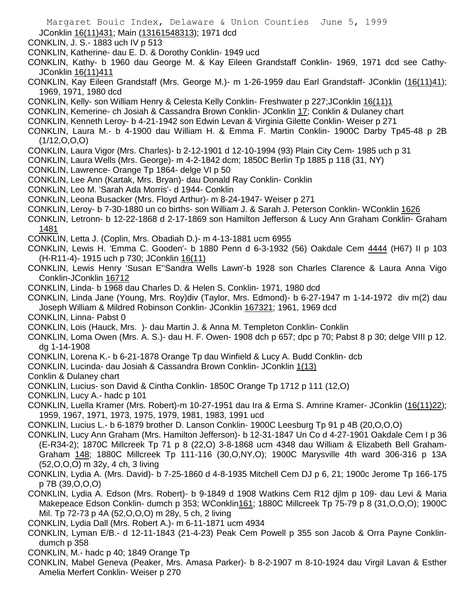Margaret Bouic Index, Delaware & Union Counties June 5, 1999 JConklin 16(11)431; Main (13161548313); 1971 dcd CONKLIN, J. S.- 1883 uch IV p 513 CONKLIN, Katherine- dau E. D. & Dorothy Conklin- 1949 ucd CONKLIN, Kathy- b 1960 dau George M. & Kay Eileen Grandstaff Conklin- 1969, 1971 dcd see Cathy-JConklin 16(11)411 CONKLIN, Kay Eileen Grandstaff (Mrs. George M.)- m 1-26-1959 dau Earl Grandstaff- JConklin (16(11)41); 1969, 1971, 1980 dcd CONKLIN, Kelly- son William Henry & Celesta Kelly Conklin- Freshwater p 227;JConklin 16(11)1 CONKLIN, Kemerine- ch Josiah & Cassandra Brown Conklin- JConklin 17; Conklin & Dulaney chart CONKLIN, Kenneth Leroy- b 4-21-1942 son Edwin Levan & Virginia Gilette Conklin- Weiser p 271 CONKLIN, Laura M.- b 4-1900 dau William H. & Emma F. Martin Conklin- 1900C Darby Tp45-48 p 2B  $(1/12, 0, 0, 0)$ CONKLIN, Laura Vigor (Mrs. Charles)- b 2-12-1901 d 12-10-1994 (93) Plain City Cem- 1985 uch p 31 CONKLIN, Laura Wells (Mrs. George)- m 4-2-1842 dcm; 1850C Berlin Tp 1885 p 118 (31, NY) CONKLIN, Lawrence- Orange Tp 1864- delge VI p 50 CONKLIN, Lee Ann (Kartak, Mrs. Bryan)- dau Donald Ray Conklin- Conklin CONKLIN, Leo M. 'Sarah Ada Morris'- d 1944- Conklin CONKLIN, Leona Busacker (Mrs. Floyd Arthur)- m 8-24-1947- Weiser p 271 CONKLIN, Leroy- b 7-30-1880 un co births- son William J. & Sarah J. Peterson Conklin- WConklin 1626 CONKLIN, Letronn- b 12-22-1868 d 2-17-1869 son Hamilton Jefferson & Lucy Ann Graham Conklin- Graham 1481 CONKLIN, Letta J. (Coplin, Mrs. Obadiah D.)- m 4-13-1881 ucm 6955 CONKLIN, Lewis H. 'Emma C. Gooden'- b 1880 Penn d 6-3-1932 (56) Oakdale Cem 4444 (H67) II p 103 (H-R11-4)- 1915 uch p 730; JConklin 16(11) CONKLIN, Lewis Henry 'Susan E''Sandra Wells Lawn'-b 1928 son Charles Clarence & Laura Anna Vigo Conklin-JConklin 16712 CONKLIN, Linda- b 1968 dau Charles D. & Helen S. Conklin- 1971, 1980 dcd CONKLIN, Linda Jane (Young, Mrs. Roy)div (Taylor, Mrs. Edmond)- b 6-27-1947 m 1-14-1972 div m(2) dau Joseph William & Mildred Robinson Conklin- JConklin 167321; 1961, 1969 dcd CONKLIN, Linna- Pabst 0 CONKLIN, Lois (Hauck, Mrs. )- dau Martin J. & Anna M. Templeton Conklin- Conklin CONKLIN, Loma Owen (Mrs. A. S.)- dau H. F. Owen- 1908 dch p 657; dpc p 70; Pabst 8 p 30; delge VIII p 12. dg 1-14-1908 CONKLIN, Lorena K.- b 6-21-1878 Orange Tp dau Winfield & Lucy A. Budd Conklin- dcb CONKLIN, Lucinda- dau Josiah & Cassandra Brown Conklin- JConklin 1(13) Conklin & Dulaney chart CONKLIN, Lucius- son David & Cintha Conklin- 1850C Orange Tp 1712 p 111 (12,O) CONKLIN, Lucy A.- hadc p 101 CONKLIN, Luella Kramer (Mrs. Robert)-m 10-27-1951 dau Ira & Erma S. Amrine Kramer- JConklin (16(11)22); 1959, 1967, 1971, 1973, 1975, 1979, 1981, 1983, 1991 ucd CONKLIN, Lucius L.- b 6-1879 brother D. Lanson Conklin- 1900C Leesburg Tp 91 p 4B (20,O,O,O) CONKLIN, Lucy Ann Graham (Mrs. Hamilton Jefferson)- b 12-31-1847 Un Co d 4-27-1901 Oakdale Cem I p 36 (E-R34-2); 1870C Millcreek Tp 71 p 8 (22,O) 3-8-1868 ucm 4348 dau William & Elizabeth Bell Graham-Graham 148; 1880C Millcreek Tp 111-116 (30,O,NY,O); 1900C Marysville 4th ward 306-316 p 13A (52,O,O,O) m 32y, 4 ch, 3 living CONKLIN, Lydia A. (Mrs. David)- b 7-25-1860 d 4-8-1935 Mitchell Cem DJ p 6, 21; 1900c Jerome Tp 166-175

p 7B (39,O,O,O)

CONKLIN, Lydia A. Edson (Mrs. Robert)- b 9-1849 d 1908 Watkins Cem R12 djlm p 109- dau Levi & Maria Makepeace Edson Conklin- dumch p 353; WConklin161; 1880C Millcreek Tp 75-79 p 8 (31,O,O,O); 1900C Mil. Tp 72-73 p 4A (52,O,O,O) m 28y, 5 ch, 2 living

CONKLIN, Lydia Dall (Mrs. Robert A.)- m 6-11-1871 ucm 4934

CONKLIN, Lyman E/B.- d 12-11-1843 (21-4-23) Peak Cem Powell p 355 son Jacob & Orra Payne Conklindumch p 358

CONKLIN, M.- hadc p 40; 1849 Orange Tp

CONKLIN, Mabel Geneva (Peaker, Mrs. Amasa Parker)- b 8-2-1907 m 8-10-1924 dau Virgil Lavan & Esther Amelia Merfert Conklin- Weiser p 270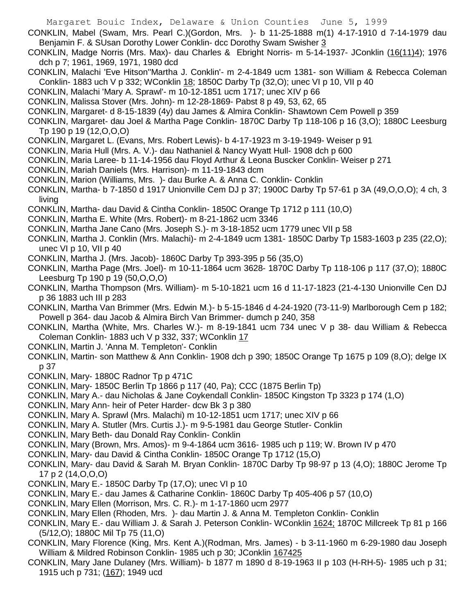- CONKLIN, Mabel (Swam, Mrs. Pearl C.)(Gordon, Mrs. )- b 11-25-1888 m(1) 4-17-1910 d 7-14-1979 dau Benjamin F. & SUsan Dorothy Lower Conklin- dcc Dorothy Swam Swisher 3
- CONKLIN, Madge Norris (Mrs. Max)- dau Charles & Ebright Norris- m 5-14-1937- JConklin (16(11)4); 1976 dch p 7; 1961, 1969, 1971, 1980 dcd
- CONKLIN, Malachi 'Eve Hitson''Martha J. Conklin'- m 2-4-1849 ucm 1381- son William & Rebecca Coleman Conklin- 1883 uch V p 332; WConklin 18; 1850C Darby Tp (32,O); unec VI p 10, VII p 40
- CONKLIN, Malachi 'Mary A. Sprawl'- m 10-12-1851 ucm 1717; unec XIV p 66
- CONKLIN, Malissa Stover (Mrs. John)- m 12-28-1869- Pabst 8 p 49, 53, 62, 65
- CONKLIN, Margaret- d 8-15-1839 (4y) dau James & Almira Conklin- Shawtown Cem Powell p 359
- CONKLIN, Margaret- dau Joel & Martha Page Conklin- 1870C Darby Tp 118-106 p 16 (3,O); 1880C Leesburg Tp 190 p 19 (12,O,O,O)
- CONKLIN, Margaret L. (Evans, Mrs. Robert Lewis)- b 4-17-1923 m 3-19-1949- Weiser p 91
- CONKLIN, Maria Hull (Mrs. A. V.)- dau Nathaniel & Nancy Wyatt Hull- 1908 dch p 600
- CONKLIN, Maria Laree- b 11-14-1956 dau Floyd Arthur & Leona Buscker Conklin- Weiser p 271
- CONKLIN, Mariah Daniels (Mrs. Harrison)- m 11-19-1843 dcm
- CONKLIN, Marion (Williams, Mrs. )- dau Burke A. & Anna C. Conklin- Conklin
- CONKLIN, Martha- b 7-1850 d 1917 Unionville Cem DJ p 37; 1900C Darby Tp 57-61 p 3A (49,O,O,O); 4 ch, 3 living
- CONKLIN, Martha- dau David & Cintha Conklin- 1850C Orange Tp 1712 p 111 (10,O)
- CONKLIN, Martha E. White (Mrs. Robert)- m 8-21-1862 ucm 3346
- CONKLIN, Martha Jane Cano (Mrs. Joseph S.)- m 3-18-1852 ucm 1779 unec VII p 58
- CONKLIN, Martha J. Conklin (Mrs. Malachi)- m 2-4-1849 ucm 1381- 1850C Darby Tp 1583-1603 p 235 (22,O); unec VI p 10, VII p 40
- CONKLIN, Martha J. (Mrs. Jacob)- 1860C Darby Tp 393-395 p 56 (35,O)
- CONKLIN, Martha Page (Mrs. Joel)- m 10-11-1864 ucm 3628- 1870C Darby Tp 118-106 p 117 (37,O); 1880C Leesburg Tp 190 p 19 (50,O,O,O)
- CONKLIN, Martha Thompson (Mrs. William)- m 5-10-1821 ucm 16 d 11-17-1823 (21-4-130 Unionville Cen DJ p 36 1883 uch III p 283
- CONKLIN, Martha Van Brimmer (Mrs. Edwin M.)- b 5-15-1846 d 4-24-1920 (73-11-9) Marlborough Cem p 182; Powell p 364- dau Jacob & Almira Birch Van Brimmer- dumch p 240, 358
- CONKLIN, Martha (White, Mrs. Charles W.)- m 8-19-1841 ucm 734 unec V p 38- dau William & Rebecca Coleman Conklin- 1883 uch V p 332, 337; WConklin 17
- CONKLIN, Martin J. 'Anna M. Templeton'- Conklin
- CONKLIN, Martin- son Matthew & Ann Conklin- 1908 dch p 390; 1850C Orange Tp 1675 p 109 (8,O); delge IX p 37
- CONKLIN, Mary- 1880C Radnor Tp p 471C
- CONKLIN, Mary- 1850C Berlin Tp 1866 p 117 (40, Pa); CCC (1875 Berlin Tp)
- CONKLIN, Mary A.- dau Nicholas & Jane Coykendall Conklin- 1850C Kingston Tp 3323 p 174 (1,O)
- CONKLIN, Mary Ann- heir of Peter Harder- dcw Bk 3 p 380
- CONKLIN, Mary A. Sprawl (Mrs. Malachi) m 10-12-1851 ucm 1717; unec XIV p 66
- CONKLIN, Mary A. Stutler (Mrs. Curtis J.)- m 9-5-1981 dau George Stutler- Conklin
- CONKLIN, Mary Beth- dau Donald Ray Conklin- Conklin
- CONKLIN, Mary (Brown, Mrs. Amos)- m 9-4-1864 ucm 3616- 1985 uch p 119; W. Brown IV p 470
- CONKLIN, Mary- dau David & Cintha Conklin- 1850C Orange Tp 1712 (15,O)
- CONKLIN, Mary- dau David & Sarah M. Bryan Conklin- 1870C Darby Tp 98-97 p 13 (4,O); 1880C Jerome Tp 17 p 2 (14,O,O,O)
- CONKLIN, Mary E.- 1850C Darby Tp (17,O); unec VI p 10
- CONKLIN, Mary E.- dau James & Catharine Conklin- 1860C Darby Tp 405-406 p 57 (10,O)
- CONKLIN, Mary Ellen (Morrison, Mrs. C. R.)- m 1-17-1860 ucm 2977
- CONKLIN, Mary Ellen (Rhoden, Mrs. )- dau Martin J. & Anna M. Templeton Conklin- Conklin
- CONKLIN, Mary E.- dau William J. & Sarah J. Peterson Conklin- WConklin 1624; 1870C Millcreek Tp 81 p 166 (5/12,O); 1880C Mil Tp 75 (11,O)
- CONKLIN, Mary Florence (King, Mrs. Kent A.)(Rodman, Mrs. James) b 3-11-1960 m 6-29-1980 dau Joseph William & Mildred Robinson Conklin- 1985 uch p 30; JConklin 167425
- CONKLIN, Mary Jane Dulaney (Mrs. William)- b 1877 m 1890 d 8-19-1963 II p 103 (H-RH-5)- 1985 uch p 31; 1915 uch p 731; (167); 1949 ucd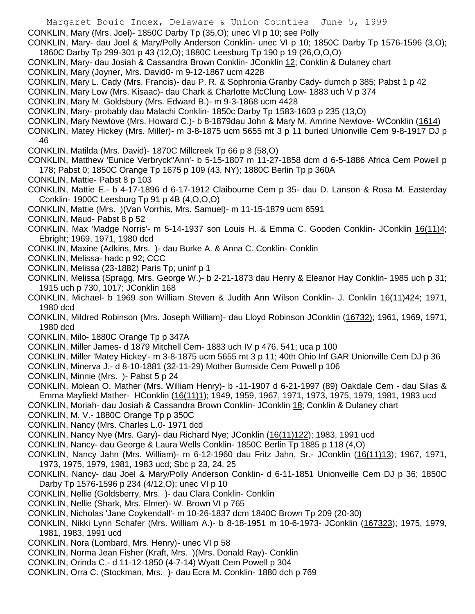- Margaret Bouic Index, Delaware & Union Counties June 5, 1999
- CONKLIN, Mary (Mrs. Joel)- 1850C Darby Tp (35,O); unec VI p 10; see Polly
- CONKLIN, Mary- dau Joel & Mary/Polly Anderson Conklin- unec VI p 10; 1850C Darby Tp 1576-1596 (3,O); 1860C Darby Tp 299-301 p 43 (12,O); 1880C Leesburg Tp 190 p 19 (26,O,O,O)
- CONKLIN, Mary- dau Josiah & Cassandra Brown Conklin- JConklin 12; Conklin & Dulaney chart
- CONKLIN, Mary (Joyner, Mrs. David0- m 9-12-1867 ucm 4228
- CONKLIN, Mary L. Cady (Mrs. Francis)- dau P. R. & Sophronia Granby Cady- dumch p 385; Pabst 1 p 42
- CONKLIN, Mary Low (Mrs. Kisaac)- dau Chark & Charlotte McClung Low- 1883 uch V p 374
- CONKLIN, Mary M. Goldsbury (Mrs. Edward B.)- m 9-3-1868 ucm 4428
- CONKLIN, Mary- probably dau Malachi Conklin- 1850c Darby Tp 1583-1603 p 235 (13,O)
- CONKLIN, Mary Newlove (Mrs. Howard C.)- b 8-1879dau John & Mary M. Amrine Newlove- WConklin (1614)
- CONKLIN, Matey Hickey (Mrs. Miller)- m 3-8-1875 ucm 5655 mt 3 p 11 buried Unionville Cem 9-8-1917 DJ p 46
- CONKLIN, Matilda (Mrs. David)- 1870C Millcreek Tp 66 p 8 (58,O)
- CONKLIN, Matthew 'Eunice Verbryck''Ann'- b 5-15-1807 m 11-27-1858 dcm d 6-5-1886 Africa Cem Powell p 178; Pabst 0; 1850C Orange Tp 1675 p 109 (43, NY); 1880C Berlin Tp p 360A
- CONKLIN, Mattie- Pabst 8 p 103
- CONKLIN, Mattie E.- b 4-17-1896 d 6-17-1912 Claibourne Cem p 35- dau D. Lanson & Rosa M. Easterday Conklin- 1900C Leesburg Tp 91 p 4B (4,O,O,O)
- CONKLIN, Mattie (Mrs. )(Van Vorrhis, Mrs. Samuel)- m 11-15-1879 ucm 6591
- CONKLIN, Maud- Pabst 8 p 52
- CONKLIN, Max 'Madge Norris'- m 5-14-1937 son Louis H. & Emma C. Gooden Conklin- JConklin 16(11)4; Ebright; 1969, 1971, 1980 dcd
- CONKLIN, Maxine (Adkins, Mrs. )- dau Burke A. & Anna C. Conklin- Conklin
- CONKLIN, Melissa- hadc p 92; CCC
- CONKLIN, Melissa (23-1882) Paris Tp; uninf p 1
- CONKLIN, Melissa (Spragg, Mrs. George W.)- b 2-21-1873 dau Henry & Eleanor Hay Conklin- 1985 uch p 31; 1915 uch p 730, 1017; JConklin 168
- CONKLIN, Michael- b 1969 son William Steven & Judith Ann Wilson Conklin- J. Conklin 16(11)424; 1971, 1980 dcd
- CONKLIN, Mildred Robinson (Mrs. Joseph William)- dau Lloyd Robinson JConklin (16732); 1961, 1969, 1971, 1980 dcd
- CONKLIN, Milo- 1880C Orange Tp p 347A
- CONKLIN, Miller James- d 1879 Mitchell Cem- 1883 uch IV p 476, 541; uca p 100
- CONKLIN, Miller 'Matey Hickey'- m 3-8-1875 ucm 5655 mt 3 p 11; 40th Ohio Inf GAR Unionville Cem DJ p 36
- CONKLIN, Minerva J.- d 8-10-1881 (32-11-29) Mother Burnside Cem Powell p 106
- CONKLIN, Minnie (Mrs. )- Pabst 5 p 24
- CONKLIN, Molean O. Mather (Mrs. William Henry)- b -11-1907 d 6-21-1997 (89) Oakdale Cem dau Silas & Emma Mayfield Mather- HConklin (16(11)1); 1949, 1959, 1967, 1971, 1973, 1975, 1979, 1981, 1983 ucd CONKLIN, Moriah- dau Josiah & Cassandra Brown Conklin- JConklin 18; Conklin & Dulaney chart
- CONKLIN, M. V.- 1880C Orange Tp p 350C
- CONKLIN, Nancy (Mrs. Charles L.0- 1971 dcd
- CONKLIN, Nancy Nye (Mrs. Gary)- dau Richard Nye; JConklin (16(11)122); 1983, 1991 ucd
- CONKLIN, Nancy- dau George & Laura Wells Conklin- 1850C Berlin Tp 1885 p 118 (4,O)
- CONKLIN, Nancy Jahn (Mrs. William)- m 6-12-1960 dau Fritz Jahn, Sr.- JConklin (16(11)13); 1967, 1971, 1973, 1975, 1979, 1981, 1983 ucd; Sbc p 23, 24, 25
- CONKLIN, Nancy- dau Joel & Mary/Polly Anderson Conklin- d 6-11-1851 Unionveille Cem DJ p 36; 1850C Darby Tp 1576-1596 p 234 (4/12,O); unec VI p 10
- CONKLIN, Nellie (Goldsberry, Mrs. )- dau Clara Conklin- Conklin
- CONKLIN, Nellie (Shark, Mrs. Elmer)- W. Brown VI p 765
- CONKLIN, Nicholas 'Jane Coykendall'- m 10-26-1837 dcm 1840C Brown Tp 209 (20-30)
- CONKLIN, Nikki Lynn Schafer (Mrs. William A.)- b 8-18-1951 m 10-6-1973- JConklin (167323); 1975, 1979, 1981, 1983, 1991 ucd
- CONKLIN, Nora (Lombard, Mrs. Henry)- unec VI p 58
- CONKLIN, Norma Jean Fisher (Kraft, Mrs. )(Mrs. Donald Ray)- Conklin
- CONKLIN, Orinda C.- d 11-12-1850 (4-7-14) Wyatt Cem Powell p 304
- CONKLIN, Orra C. (Stockman, Mrs. )- dau Ecra M. Conklin- 1880 dch p 769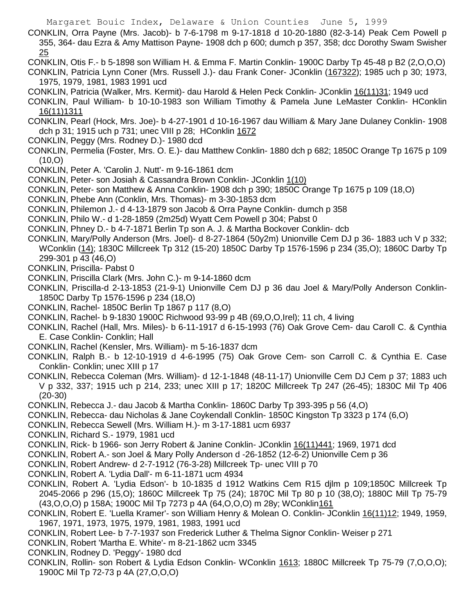CONKLIN, Orra Payne (Mrs. Jacob)- b 7-6-1798 m 9-17-1818 d 10-20-1880 (82-3-14) Peak Cem Powell p 355, 364- dau Ezra & Amy Mattison Payne- 1908 dch p 600; dumch p 357, 358; dcc Dorothy Swam Swisher 25

CONKLIN, Otis F.- b 5-1898 son William H. & Emma F. Martin Conklin- 1900C Darby Tp 45-48 p B2 (2,O,O,O)

- CONKLIN, Patricia Lynn Coner (Mrs. Russell J.)- dau Frank Coner- JConklin (167322); 1985 uch p 30; 1973, 1975, 1979, 1981, 1983 1991 ucd
- CONKLIN, Patricia (Walker, Mrs. Kermit)- dau Harold & Helen Peck Conklin- JConklin 16(11)31; 1949 ucd
- CONKLIN, Paul William- b 10-10-1983 son William Timothy & Pamela June LeMaster Conklin- HConklin 16(11)1311
- CONKLIN, Pearl (Hock, Mrs. Joe)- b 4-27-1901 d 10-16-1967 dau William & Mary Jane Dulaney Conklin- 1908 dch p 31; 1915 uch p 731; unec VIII p 28; HConklin 1672
- CONKLIN, Peggy (Mrs. Rodney D.)- 1980 dcd
- CONKLIN, Permelia (Foster, Mrs. O. E.)- dau Matthew Conklin- 1880 dch p 682; 1850C Orange Tp 1675 p 109 (10,O)
- CONKLIN, Peter A. 'Carolin J. Nutt'- m 9-16-1861 dcm
- CONKLIN, Peter- son Josiah & Cassandra Brown Conklin- JConklin 1(10)
- CONKLIN, Peter- son Matthew & Anna Conklin- 1908 dch p 390; 1850C Orange Tp 1675 p 109 (18,O)
- CONKLIN, Phebe Ann (Conklin, Mrs. Thomas)- m 3-30-1853 dcm
- CONKLIN, Philemon J.- d 4-13-1879 son Jacob & Orra Payne Conklin- dumch p 358
- CONKLIN, Philo W.- d 1-28-1859 (2m25d) Wyatt Cem Powell p 304; Pabst 0
- CONKLIN, Phney D.- b 4-7-1871 Berlin Tp son A. J. & Martha Bockover Conklin- dcb
- CONKLIN, Mary/Polly Anderson (Mrs. Joel)- d 8-27-1864 (50y2m) Unionville Cem DJ p 36- 1883 uch V p 332; WConklin (14); 1830C Millcreek Tp 312 (15-20) 1850C Darby Tp 1576-1596 p 234 (35,O); 1860C Darby Tp 299-301 p 43 (46,O)
- CONKLIN, Priscilla- Pabst 0
- CONKLIN, Priscilla Clark (Mrs. John C.)- m 9-14-1860 dcm
- CONKLIN, Priscilla-d 2-13-1853 (21-9-1) Unionville Cem DJ p 36 dau Joel & Mary/Polly Anderson Conklin-1850C Darby Tp 1576-1596 p 234 (18,O)
- CONKLIN, Rachel- 1850C Berlin Tp 1867 p 117 (8,O)
- CONKLIN, Rachel- b 9-1830 1900C Richwood 93-99 p 4B (69,O,O,Irel); 11 ch, 4 living
- CONKLIN, Rachel (Hall, Mrs. Miles)- b 6-11-1917 d 6-15-1993 (76) Oak Grove Cem- dau Caroll C. & Cynthia E. Case Conklin- Conklin; Hall
- CONKLIN, Rachel (Kensler, Mrs. William)- m 5-16-1837 dcm
- CONKLIN, Ralph B.- b 12-10-1919 d 4-6-1995 (75) Oak Grove Cem- son Carroll C. & Cynthia E. Case Conklin- Conklin; unec XIII p 17
- CONKLIN, Rebecca Coleman (Mrs. William)- d 12-1-1848 (48-11-17) Unionville Cem DJ Cem p 37; 1883 uch V p 332, 337; 1915 uch p 214, 233; unec XIII p 17; 1820C Millcreek Tp 247 (26-45); 1830C Mil Tp 406 (20-30)
- CONKLIN, Rebecca J.- dau Jacob & Martha Conklin- 1860C Darby Tp 393-395 p 56 (4,O)
- CONKLIN, Rebecca- dau Nicholas & Jane Coykendall Conklin- 1850C Kingston Tp 3323 p 174 (6,O)
- CONKLIN, Rebecca Sewell (Mrs. William H.)- m 3-17-1881 ucm 6937
- CONKLIN, Richard S.- 1979, 1981 ucd
- CONKLIN, Rick- b 1966- son Jerry Robert & Janine Conklin- JConklin 16(11)441; 1969, 1971 dcd
- CONKLIN, Robert A.- son Joel & Mary Polly Anderson d -26-1852 (12-6-2) Unionville Cem p 36
- CONKLIN, Robert Andrew- d 2-7-1912 (76-3-28) Millcreek Tp- unec VIII p 70
- CONKLIN, Robert A. 'Lydia Dall'- m 6-11-1871 ucm 4934
- CONKLIN, Robert A. 'Lydia Edson'- b 10-1835 d 1912 Watkins Cem R15 djlm p 109;1850C Millcreek Tp 2045-2066 p 296 (15,O); 1860C Millcreek Tp 75 (24); 1870C Mil Tp 80 p 10 (38,O); 1880C Mill Tp 75-79 (43,O,O,O) p 158A; 1900C Mil Tp 7273 p 4A (64,O,O,O) m 28y; WConklin161
- CONKLIN, Robert E. 'Luella Kramer'- son William Henry & Molean O. Conklin- JConklin 16(11)12; 1949, 1959, 1967, 1971, 1973, 1975, 1979, 1981, 1983, 1991 ucd
- CONKLIN, Robert Lee- b 7-7-1937 son Frederick Luther & Thelma Signor Conklin- Weiser p 271
- CONKLIN, Robert 'Martha E. White'- m 8-21-1862 ucm 3345
- CONKLIN, Rodney D. 'Peggy'- 1980 dcd
- CONKLIN, Rollin- son Robert & Lydia Edson Conklin- WConklin 1613; 1880C Millcreek Tp 75-79 (7,O,O,O); 1900C Mil Tp 72-73 p 4A (27,O,O,O)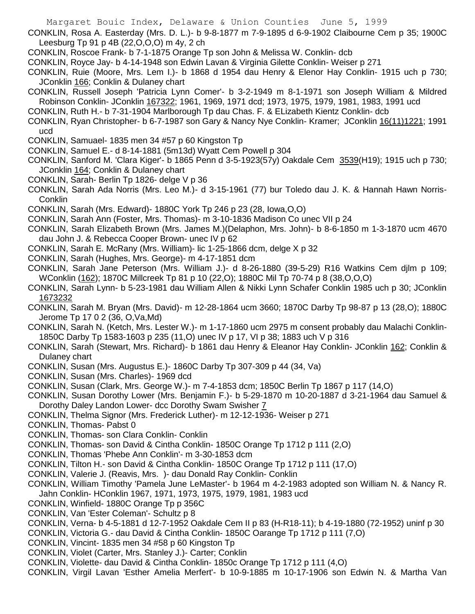- CONKLIN, Rosa A. Easterday (Mrs. D. L.)- b 9-8-1877 m 7-9-1895 d 6-9-1902 Claibourne Cem p 35; 1900C Leesburg Tp 91 p 4B (22,O,O,O) m 4y, 2 ch
- CONKLIN, Roscoe Frank- b 7-1-1875 Orange Tp son John & Melissa W. Conklin- dcb
- CONKLIN, Royce Jay- b 4-14-1948 son Edwin Lavan & Virginia Gilette Conklin- Weiser p 271
- CONKLIN, Ruie (Moore, Mrs. Lem I.)- b 1868 d 1954 dau Henry & Elenor Hay Conklin- 1915 uch p 730; JConklin 166; Conklin & Dulaney chart
- CONKLIN, Russell Joseph 'Patricia Lynn Comer'- b 3-2-1949 m 8-1-1971 son Joseph William & Mildred Robinson Conklin- JConklin 167322; 1961, 1969, 1971 dcd; 1973, 1975, 1979, 1981, 1983, 1991 ucd
- CONKLIN, Ruth H.- b 7-31-1904 Marlborough Tp dau Chas. F. & ELizabeth Kientz Conklin- dcb
- CONKLIN, Ryan Christopher- b 6-7-1987 son Gary & Nancy Nye Conklin- Kramer; JConklin 16(11)1221; 1991 ucd
- CONKLIN, Samuael- 1835 men 34 #57 p 60 Kingston Tp
- CONKLIN, Samuel E.- d 8-14-1881 (5m13d) Wyatt Cem Powell p 304
- CONKLIN, Sanford M. 'Clara Kiger'- b 1865 Penn d 3-5-1923(57y) Oakdale Cem 3539(H19); 1915 uch p 730; JConklin 164; Conklin & Dulaney chart
- CONKLIN, Sarah- Berlin Tp 1826- delge V p 36
- CONKLIN, Sarah Ada Norris (Mrs. Leo M.)- d 3-15-1961 (77) bur Toledo dau J. K. & Hannah Hawn Norris-**Conklin**
- CONKLIN, Sarah (Mrs. Edward)- 1880C York Tp 246 p 23 (28, Iowa,O,O)
- CONKLIN, Sarah Ann (Foster, Mrs. Thomas)- m 3-10-1836 Madison Co unec VII p 24
- CONKLIN, Sarah Elizabeth Brown (Mrs. James M.)(Delaphon, Mrs. John)- b 8-6-1850 m 1-3-1870 ucm 4670 dau John J. & Rebecca Cooper Brown- unec IV p 62
- CONKLIN, Sarah E. McRany (Mrs. William)- lic 1-25-1866 dcm, delge X p 32
- CONKLIN, Sarah (Hughes, Mrs. George)- m 4-17-1851 dcm
- CONKLIN, Sarah Jane Peterson (Mrs. William J.)- d 8-26-1880 (39-5-29) R16 Watkins Cem djlm p 109; WConklin (162); 1870C Millcreek Tp 81 p 10 (22,O); 1880C Mil Tp 70-74 p 8 (38,O,O,O)
- CONKLIN, Sarah Lynn- b 5-23-1981 dau William Allen & Nikki Lynn Schafer Conklin 1985 uch p 30; JConklin 1673232
- CONKLIN, Sarah M. Bryan (Mrs. David)- m 12-28-1864 ucm 3660; 1870C Darby Tp 98-87 p 13 (28,O); 1880C Jerome Tp 17 0 2 (36, O,Va,Md)
- CONKLIN, Sarah N. (Ketch, Mrs. Lester W.)- m 1-17-1860 ucm 2975 m consent probably dau Malachi Conklin-1850C Darby Tp 1583-1603 p 235 (11,O) unec IV p 17, VI p 38; 1883 uch V p 316
- CONKLIN, Sarah (Stewart, Mrs. Richard)- b 1861 dau Henry & Eleanor Hay Conklin- JConklin 162; Conklin & Dulaney chart
- CONKLIN, Susan (Mrs. Augustus E.)- 1860C Darby Tp 307-309 p 44 (34, Va)
- CONKLIN, Susan (Mrs. Charles)- 1969 dcd
- CONKLIN, Susan (Clark, Mrs. George W.)- m 7-4-1853 dcm; 1850C Berlin Tp 1867 p 117 (14,O)
- CONKLIN, Susan Dorothy Lower (Mrs. Benjamin F.)- b 5-29-1870 m 10-20-1887 d 3-21-1964 dau Samuel & Dorothy Daley Landon Lower- dcc Dorothy Swam Swisher 7
- CONKLIN, Thelma Signor (Mrs. Frederick Luther)- m 12-12-1936- Weiser p 271
- CONKLIN, Thomas- Pabst 0
- CONKLIN, Thomas- son Clara Conklin- Conklin
- CONKLIN, Thomas- son David & Cintha Conklin- 1850C Orange Tp 1712 p 111 (2,O)
- CONKLIN, Thomas 'Phebe Ann Conklin'- m 3-30-1853 dcm
- CONKLIN, Tilton H.- son David & Cintha Conklin- 1850C Orange Tp 1712 p 111 (17,O)
- CONKLIN, Valerie J. (Reavis, Mrs. )- dau Donald Ray Conklin- Conklin
- CONKLIN, William Timothy 'Pamela June LeMaster'- b 1964 m 4-2-1983 adopted son William N. & Nancy R. Jahn Conklin- HConklin 1967, 1971, 1973, 1975, 1979, 1981, 1983 ucd
- CONKLIN, Winfield- 1880C Orange Tp p 356C
- CONKLIN, Van 'Ester Coleman'- Schultz p 8
- CONKLIN, Verna- b 4-5-1881 d 12-7-1952 Oakdale Cem II p 83 (H-R18-11); b 4-19-1880 (72-1952) uninf p 30
- CONKLIN, Victoria G.- dau David & Cintha Conklin- 1850C Oarange Tp 1712 p 111 (7,O)
- CONKLIN, Vincint- 1835 men 34 #58 p 60 Kingston Tp
- CONKLIN, Violet (Carter, Mrs. Stanley J.)- Carter; Conklin
- CONKLIN, Violette- dau David & Cintha Conklin- 1850c Orange Tp 1712 p 111 (4,O)
- CONKLIN, Virgil Lavan 'Esther Amelia Merfert'- b 10-9-1885 m 10-17-1906 son Edwin N. & Martha Van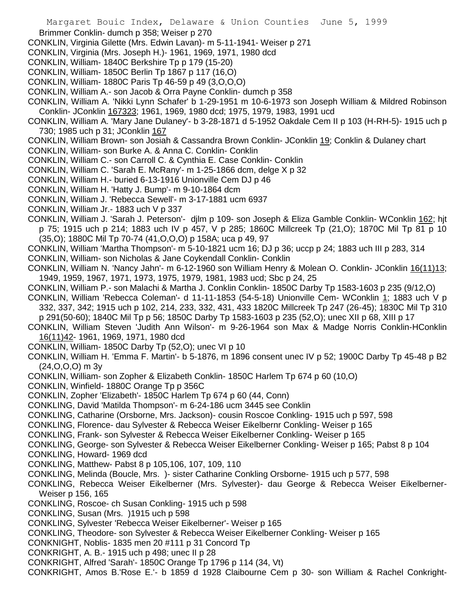Brimmer Conklin- dumch p 358; Weiser p 270

CONKLIN, Virginia Gilette (Mrs. Edwin Lavan)- m 5-11-1941- Weiser p 271

- CONKLIN, Virginia (Mrs. Joseph H.)- 1961, 1969, 1971, 1980 dcd
- CONKLIN, William- 1840C Berkshire Tp p 179 (15-20)
- CONKLIN, William- 1850C Berlin Tp 1867 p 117 (16,O)
- CONKLIN, William- 1880C Paris Tp 46-59 p 49 (3,O,O,O)
- CONKLIN, William A.- son Jacob & Orra Payne Conklin- dumch p 358
- CONKLIN, William A. 'Nikki Lynn Schafer' b 1-29-1951 m 10-6-1973 son Joseph William & Mildred Robinson Conklin- JConklin 167323; 1961, 1969, 1980 dcd; 1975, 1979, 1983, 1991 ucd
- CONKLIN, William A. 'Mary Jane Dulaney'- b 3-28-1871 d 5-1952 Oakdale Cem II p 103 (H-RH-5)- 1915 uch p 730; 1985 uch p 31; JConklin 167
- CONKLIN, William Brown- son Josiah & Cassandra Brown Conklin- JConklin 19; Conklin & Dulaney chart
- CONKLIN, William- son Burke A. & Anna C. Conklin- Conklin
- CONKLIN, William C.- son Carroll C. & Cynthia E. Case Conklin- Conklin
- CONKLIN, William C. 'Sarah E. McRany'- m 1-25-1866 dcm, delge X p 32
- CONKLIN, William H.- buried 6-13-1916 Unionville Cem DJ p 46
- CONKLIN, William H. 'Hatty J. Bump'- m 9-10-1864 dcm
- CONKLIN, William J. 'Rebecca Sewell'- m 3-17-1881 ucm 6937
- CONKLIN, William Jr.- 1883 uch V p 337
- CONKLIN, William J. 'Sarah J. Peterson'- djlm p 109- son Joseph & Eliza Gamble Conklin- WConklin 162; hjt p 75; 1915 uch p 214; 1883 uch IV p 457, V p 285; 1860C Millcreek Tp (21,O); 1870C Mil Tp 81 p 10 (35,O); 1880C Mil Tp 70-74 (41,O,O,O) p 158A; uca p 49, 97
- CONKLIN, William 'Martha Thompson'- m 5-10-1821 ucm 16; DJ p 36; uccp p 24; 1883 uch III p 283, 314
- CONKLIN, William- son Nicholas & Jane Coykendall Conklin- Conklin
- CONKLIN, William N. 'Nancy Jahn'- m 6-12-1960 son William Henry & Molean O. Conklin- JConklin 16(11)13; 1949, 1959, 1967, 1971, 1973, 1975, 1979, 1981, 1983 ucd; Sbc p 24, 25
- CONKLIN, William P.- son Malachi & Martha J. Conklin Conklin- 1850C Darby Tp 1583-1603 p 235 (9/12,O)
- CONKLIN, William 'Rebecca Coleman'- d 11-11-1853 (54-5-18) Unionville Cem- WConklin 1; 1883 uch V p 332, 337, 342; 1915 uch p 102, 214, 233, 332, 431, 433 1820C Millcreek Tp 247 (26-45); 1830C Mil Tp 310
- p 291(50-60); 1840C Mil Tp p 56; 1850C Darby Tp 1583-1603 p 235 (52,O); unec XII p 68, XIII p 17
- CONKLIN, William Steven 'Judith Ann Wilson'- m 9-26-1964 son Max & Madge Norris Conklin-HConklin 16(11)42- 1961, 1969, 1971, 1980 dcd
- CONKLIN, William- 1850C Darby Tp (52,O); unec VI p 10
- CONKLIN, William H. 'Emma F. Martin'- b 5-1876, m 1896 consent unec IV p 52; 1900C Darby Tp 45-48 p B2 (24,O,O,O) m 3y
- CONKLIN, William- son Zopher & Elizabeth Conklin- 1850C Harlem Tp 674 p 60 (10,O)
- CONKLIN, Winfield- 1880C Orange Tp p 356C
- CONKLIN, Zopher 'Elizabeth'- 1850C Harlem Tp 674 p 60 (44, Conn)
- CONKLING, David 'Matilda Thompson'- m 6-24-186 ucm 3445 see Conklin
- CONKLING, Catharine (Orsborne, Mrs. Jackson)- cousin Roscoe Conkling- 1915 uch p 597, 598
- CONKLING, Florence- dau Sylvester & Rebecca Weiser Eikelbernr Conkling- Weiser p 165
- CONKLING, Frank- son Sylvester & Rebecca Weiser Eikelberner Conkling- Weiser p 165
- CONKLING, George- son Sylvester & Rebecca Weiser Eikelberner Conkling- Weiser p 165; Pabst 8 p 104
- CONKLING, Howard- 1969 dcd
- CONKLING, Matthew- Pabst 8 p 105,106, 107, 109, 110
- CONKLING, Melinda (Boucle, Mrs. )- sister Catharine Conkling Orsborne- 1915 uch p 577, 598
- CONKLING, Rebecca Weiser Eikelberner (Mrs. Sylvester)- dau George & Rebecca Weiser Eikelberner-Weiser p 156, 165
- CONKLING, Roscoe- ch Susan Conkling- 1915 uch p 598
- CONKLING, Susan (Mrs. )1915 uch p 598
- CONKLING, Sylvester 'Rebecca Weiser Eikelberner'- Weiser p 165
- CONKLING, Theodore- son Sylvester & Rebecca Weiser Eikelberner Conkling- Weiser p 165
- CONKNIGHT, Noblis- 1835 men 20 #111 p 31 Concord Tp
- CONKRIGHT, A. B.- 1915 uch p 498; unec II p 28
- CONKRIGHT, Alfred 'Sarah'- 1850C Orange Tp 1796 p 114 (34, Vt)
- CONKRIGHT, Amos B.'Rose E.'- b 1859 d 1928 Claibourne Cem p 30- son William & Rachel Conkright-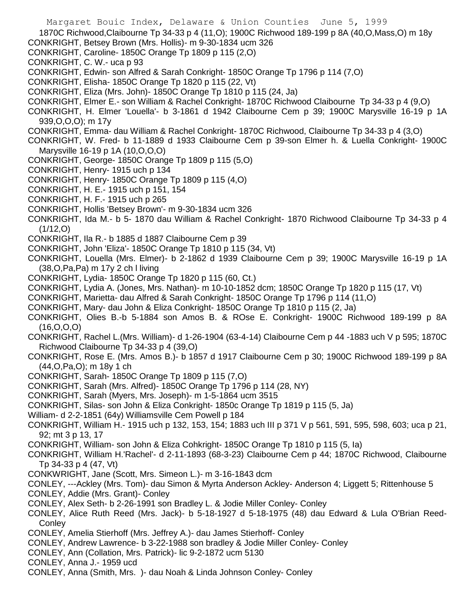Margaret Bouic Index, Delaware & Union Counties June 5, 1999 1870C Richwood,Claibourne Tp 34-33 p 4 (11,O); 1900C Richwood 189-199 p 8A (40,O,Mass,O) m 18y CONKRIGHT, Betsey Brown (Mrs. Hollis)- m 9-30-1834 ucm 326 CONKRIGHT, Caroline- 1850C Orange Tp 1809 p 115 (2,O) CONKRIGHT, C. W.- uca p 93 CONKRIGHT, Edwin- son Alfred & Sarah Conkright- 1850C Orange Tp 1796 p 114 (7,O) CONKRIGHT, Elisha- 1850C Orange Tp 1820 p 115 (22, Vt) CONKRIGHT, Eliza (Mrs. John)- 1850C Orange Tp 1810 p 115 (24, Ja) CONKRIGHT, Elmer E.- son William & Rachel Conkright- 1870C Richwood Claibourne Tp 34-33 p 4 (9,O) CONKRIGHT, H. Elmer 'Louella'- b 3-1861 d 1942 Claibourne Cem p 39; 1900C Marysville 16-19 p 1A 939,O,O,O); m 17y CONKRIGHT, Emma- dau William & Rachel Conkright- 1870C Richwood, Claibourne Tp 34-33 p 4 (3,O) CONKRIGHT, W. Fred- b 11-1889 d 1933 Claibourne Cem p 39-son Elmer h. & Luella Conkright- 1900C Marysville 16-19 p 1A (10,O,O,O) CONKRIGHT, George- 1850C Orange Tp 1809 p 115 (5,O) CONKRIGHT, Henry- 1915 uch p 134 CONKRIGHT, Henry- 1850C Orange Tp 1809 p 115 (4,O) CONKRIGHT, H. E.- 1915 uch p 151, 154 CONKRIGHT, H. F.- 1915 uch p 265 CONKRIGHT, Hollis 'Betsey Brown'- m 9-30-1834 ucm 326 CONKRIGHT, Ida M.- b 5- 1870 dau William & Rachel Conkright- 1870 Richwood Claibourne Tp 34-33 p 4 (1/12,O) CONKRIGHT, Ila R.- b 1885 d 1887 Claibourne Cem p 39 CONKRIGHT, John 'Eliza'- 1850C Orange Tp 1810 p 115 (34, Vt) CONKRIGHT, Louella (Mrs. Elmer)- b 2-1862 d 1939 Claibourne Cem p 39; 1900C Marysville 16-19 p 1A (38,O,Pa,Pa) m 17y 2 ch l living CONKRIGHT, Lydia- 1850C Orange Tp 1820 p 115 (60, Ct.) CONKRIGHT, Lydia A. (Jones, Mrs. Nathan)- m 10-10-1852 dcm; 1850C Orange Tp 1820 p 115 (17, Vt) CONKRIGHT, Marietta- dau Alfred & Sarah Conkright- 1850C Orange Tp 1796 p 114 (11,O) CONKRIGHT, Mary- dau John & Eliza Conkright- 1850C Orange Tp 1810 p 115 (2, Ja) CONKRIGHT, Olies B.-b 5-1884 son Amos B. & ROse E. Conkright- 1900C Richwood 189-199 p 8A (16,O,O,O) CONKRIGHT, Rachel L.(Mrs. William)- d 1-26-1904 (63-4-14) Claibourne Cem p 44 -1883 uch V p 595; 1870C Richwood Claibourne Tp 34-33 p 4 (39,O) CONKRIGHT, Rose E. (Mrs. Amos B.)- b 1857 d 1917 Claibourne Cem p 30; 1900C Richwood 189-199 p 8A (44,O,Pa,O); m 18y 1 ch CONKRIGHT, Sarah- 1850C Orange Tp 1809 p 115 (7,O) CONKRIGHT, Sarah (Mrs. Alfred)- 1850C Orange Tp 1796 p 114 (28, NY) CONKRIGHT, Sarah (Myers, Mrs. Joseph)- m 1-5-1864 ucm 3515 CONKRIGHT, Silas- son John & Eliza Conkright- 1850c Orange Tp 1819 p 115 (5, Ja) William- d 2-2-1851 (64y) Williamsville Cem Powell p 184 CONKRIGHT, William H.- 1915 uch p 132, 153, 154; 1883 uch III p 371 V p 561, 591, 595, 598, 603; uca p 21, 92; mt 3 p 13, 17 CONKRIGHT, William- son John & Eliza Cohkright- 1850C Orange Tp 1810 p 115 (5, Ia) CONKRIGHT, William H.'Rachel'- d 2-11-1893 (68-3-23) Claibourne Cem p 44; 1870C Richwood, Claibourne Tp 34-33 p 4 (47, Vt) CONKWRIGHT, Jane (Scott, Mrs. Simeon L.)- m 3-16-1843 dcm CONLEY, ---Ackley (Mrs. Tom)- dau Simon & Myrta Anderson Ackley- Anderson 4; Liggett 5; Rittenhouse 5 CONLEY, Addie (Mrs. Grant)- Conley

CONLEY, Alex Seth- b 2-26-1991 son Bradley L. & Jodie Miller Conley- Conley

CONLEY, Alice Ruth Reed (Mrs. Jack)- b 5-18-1927 d 5-18-1975 (48) dau Edward & Lula O'Brian Reed-**Conley** 

CONLEY, Amelia Stierhoff (Mrs. Jeffrey A.)- dau James Stierhoff- Conley

CONLEY, Andrew Lawrence- b 3-22-1988 son bradley & Jodie Miller Conley- Conley

CONLEY, Ann (Collation, Mrs. Patrick)- lic 9-2-1872 ucm 5130

CONLEY, Anna J.- 1959 ucd

CONLEY, Anna (Smith, Mrs. )- dau Noah & Linda Johnson Conley- Conley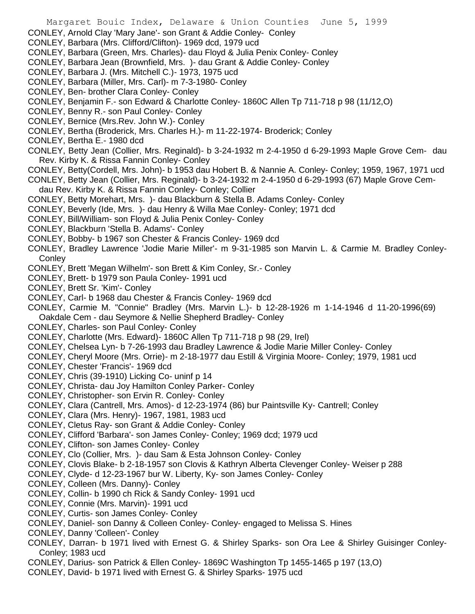- CONLEY, Barbara (Green, Mrs. Charles)- dau Floyd & Julia Penix Conley- Conley
- CONLEY, Barbara Jean (Brownfield, Mrs. )- dau Grant & Addie Conley- Conley
- CONLEY, Barbara J. (Mrs. Mitchell C.)- 1973, 1975 ucd
- CONLEY, Barbara (Miller, Mrs. Carl)- m 7-3-1980- Conley
- CONLEY, Ben- brother Clara Conley- Conley
- CONLEY, Benjamin F.- son Edward & Charlotte Conley- 1860C Allen Tp 711-718 p 98 (11/12,O)
- CONLEY, Benny R.- son Paul Conley- Conley
- CONLEY, Bernice (Mrs.Rev. John W.)- Conley
- CONLEY, Bertha (Broderick, Mrs. Charles H.)- m 11-22-1974- Broderick; Conley
- CONLEY, Bertha E.- 1980 dcd
- CONLEY, Betty Jean (Collier, Mrs. Reginald)- b 3-24-1932 m 2-4-1950 d 6-29-1993 Maple Grove Cem- dau Rev. Kirby K. & Rissa Fannin Conley- Conley
- CONLEY, Betty(Cordell, Mrs. John)- b 1953 dau Hobert B. & Nannie A. Conley- Conley; 1959, 1967, 1971 ucd
- CONLEY, Betty Jean (Collier, Mrs. Reginald)- b 3-24-1932 m 2-4-1950 d 6-29-1993 (67) Maple Grove Cemdau Rev. Kirby K. & Rissa Fannin Conley- Conley; Collier
- CONLEY, Betty Morehart, Mrs. )- dau Blackburn & Stella B. Adams Conley- Conley
- CONLEY, Beverly (Ide, Mrs. )- dau Henry & Willa Mae Conley- Conley; 1971 dcd
- CONLEY, Bill/William- son Floyd & Julia Penix Conley- Conley
- CONLEY, Blackburn 'Stella B. Adams'- Conley
- CONLEY, Bobby- b 1967 son Chester & Francis Conley- 1969 dcd
- CONLEY, Bradley Lawrence 'Jodie Marie Miller'- m 9-31-1985 son Marvin L. & Carmie M. Bradley Conley-**Conley**
- CONLEY, Brett 'Megan Wilhelm'- son Brett & Kim Conley, Sr.- Conley
- CONLEY, Brett- b 1979 son Paula Conley- 1991 ucd
- CONLEY, Brett Sr. 'Kim'- Conley
- CONLEY, Carl- b 1968 dau Chester & Francis Conley- 1969 dcd
- CONLEY, Carmie M. "Connie" Bradley (Mrs. Marvin L.)- b 12-28-1926 m 1-14-1946 d 11-20-1996(69) Oakdale Cem - dau Seymore & Nellie Shepherd Bradley- Conley
- CONLEY, Charles- son Paul Conley- Conley
- CONLEY, Charlotte (Mrs. Edward)- 1860C Allen Tp 711-718 p 98 (29, Irel)
- CONLEY, Chelsea Lyn- b 7-26-1993 dau Bradley Lawrence & Jodie Marie Miller Conley- Conley
- CONLEY, Cheryl Moore (Mrs. Orrie)- m 2-18-1977 dau Estill & Virginia Moore- Conley; 1979, 1981 ucd
- CONLEY, Chester 'Francis'- 1969 dcd
- CONLEY, Chris (39-1910) Licking Co- uninf p 14
- CONLEY, Christa- dau Joy Hamilton Conley Parker- Conley
- CONLEY, Christopher- son Ervin R. Conley- Conley
- CONLEY, Clara (Cantrell, Mrs. Amos)- d 12-23-1974 (86) bur Paintsville Ky- Cantrell; Conley
- CONLEY, Clara (Mrs. Henry)- 1967, 1981, 1983 ucd
- CONLEY, Cletus Ray- son Grant & Addie Conley- Conley
- CONLEY, Clifford 'Barbara'- son James Conley- Conley; 1969 dcd; 1979 ucd
- CONLEY, Clifton- son James Conley- Conley
- CONLEY, Clo (Collier, Mrs. )- dau Sam & Esta Johnson Conley- Conley
- CONLEY, Clovis Blake- b 2-18-1957 son Clovis & Kathryn Alberta Clevenger Conley- Weiser p 288
- CONLEY, Clyde- d 12-23-1967 bur W. Liberty, Ky- son James Conley- Conley
- CONLEY, Colleen (Mrs. Danny)- Conley
- CONLEY, Collin- b 1990 ch Rick & Sandy Conley- 1991 ucd
- CONLEY, Connie (Mrs. Marvin)- 1991 ucd
- CONLEY, Curtis- son James Conley- Conley
- CONLEY, Daniel- son Danny & Colleen Conley- Conley- engaged to Melissa S. Hines
- CONLEY, Danny 'Colleen'- Conley
- CONLEY, Darran- b 1971 lived with Ernest G. & Shirley Sparks- son Ora Lee & Shirley Guisinger Conley-Conley; 1983 ucd
- CONLEY, Darius- son Patrick & Ellen Conley- 1869C Washington Tp 1455-1465 p 197 (13,O)
- CONLEY, David- b 1971 lived with Ernest G. & Shirley Sparks- 1975 ucd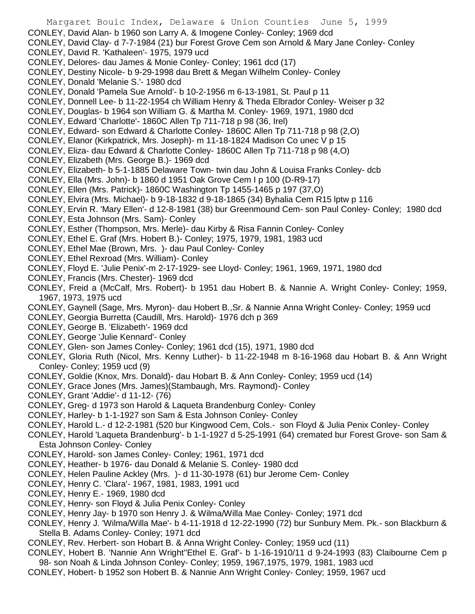Margaret Bouic Index, Delaware & Union Counties June 5, 1999 CONLEY, David Alan- b 1960 son Larry A. & Imogene Conley- Conley; 1969 dcd CONLEY, David Clay- d 7-7-1984 (21) bur Forest Grove Cem son Arnold & Mary Jane Conley- Conley CONLEY, David R. 'Kathaleen'- 1975, 1979 ucd CONLEY, Delores- dau James & Monie Conley- Conley; 1961 dcd (17) CONLEY, Destiny Nicole- b 9-29-1998 dau Brett & Megan Wilhelm Conley- Conley CONLEY, Donald 'Melanie S.'- 1980 dcd CONLEY, Donald 'Pamela Sue Arnold'- b 10-2-1956 m 6-13-1981, St. Paul p 11 CONLEY, Donnell Lee- b 11-22-1954 ch William Henry & Theda Elbrador Conley- Weiser p 32 CONLEY, Douglas- b 1964 son William G. & Martha M. Conley- 1969, 1971, 1980 dcd CONLEY, Edward 'Charlotte'- 1860C Allen Tp 711-718 p 98 (36, Irel) CONLEY, Edward- son Edward & Charlotte Conley- 1860C Allen Tp 711-718 p 98 (2,O) CONLEY, Elanor (Kirkpatrick, Mrs. Joseph)- m 11-18-1824 Madison Co unec V p 15 CONLEY, Eliza- dau Edward & Charlotte Conley- 1860C Allen Tp 711-718 p 98 (4,O) CONLEY, Elizabeth (Mrs. George B.)- 1969 dcd CONLEY, Elizabeth- b 5-1-1885 Delaware Town- twin dau John & Louisa Franks Conley- dcb CONLEY, Ella (Mrs. John)- b 1860 d 1951 Oak Grove Cem I p 100 (D-R9-17) CONLEY, Ellen (Mrs. Patrick)- 1860C Washington Tp 1455-1465 p 197 (37,O) CONLEY, Elvira (Mrs. Michael)- b 9-18-1832 d 9-18-1865 (34) Byhalia Cem R15 lptw p 116 CONLEY, Ervin R. 'Mary Ellen'- d 12-8-1981 (38) bur Greenmound Cem- son Paul Conley- Conley; 1980 dcd CONLEY, Esta Johnson (Mrs. Sam)- Conley CONLEY, Esther (Thompson, Mrs. Merle)- dau Kirby & Risa Fannin Conley- Conley CONLEY, Ethel E. Graf (Mrs. Hobert B.)- Conley; 1975, 1979, 1981, 1983 ucd CONLEY, Ethel Mae (Brown, Mrs. )- dau Paul Conley- Conley CONLEY, Ethel Rexroad (Mrs. William)- Conley CONLEY, Floyd E. 'Julie Penix'-m 2-17-1929- see Lloyd- Conley; 1961, 1969, 1971, 1980 dcd CONLEY, Francis (Mrs. Chester)- 1969 dcd CONLEY, Freid a (McCalf, Mrs. Robert)- b 1951 dau Hobert B. & Nannie A. Wright Conley- Conley; 1959, 1967, 1973, 1975 ucd CONLEY, Gaynell (Sage, Mrs. Myron)- dau Hobert B.,Sr. & Nannie Anna Wright Conley- Conley; 1959 ucd CONLEY, Georgia Burretta (Caudill, Mrs. Harold)- 1976 dch p 369 CONLEY, George B. 'Elizabeth'- 1969 dcd CONLEY, George 'Julie Kennard'- Conley CONLEY, Glen- son James Conley- Conley; 1961 dcd (15), 1971, 1980 dcd CONLEY, Gloria Ruth (Nicol, Mrs. Kenny Luther)- b 11-22-1948 m 8-16-1968 dau Hobart B. & Ann Wright Conley- Conley; 1959 ucd (9) CONLEY, Goldie (Knox, Mrs. Donald)- dau Hobart B. & Ann Conley- Conley; 1959 ucd (14) CONLEY, Grace Jones (Mrs. James)(Stambaugh, Mrs. Raymond)- Conley CONLEY, Grant 'Addie'- d 11-12- (76) CONLEY, Greg- d 1973 son Harold & Laqueta Brandenburg Conley- Conley CONLEY, Harley- b 1-1-1927 son Sam & Esta Johnson Conley- Conley CONLEY, Harold L.- d 12-2-1981 (520 bur Kingwood Cem, Cols.- son Floyd & Julia Penix Conley- Conley CONLEY, Harold 'Laqueta Brandenburg'- b 1-1-1927 d 5-25-1991 (64) cremated bur Forest Grove- son Sam & Esta Johnson Conley- Conley CONLEY, Harold- son James Conley- Conley; 1961, 1971 dcd CONLEY, Heather- b 1976- dau Donald & Melanie S. Conley- 1980 dcd CONLEY, Helen Pauline Ackley (Mrs. )- d 11-30-1978 (61) bur Jerome Cem- Conley

- CONLEY, Henry C. 'Clara'- 1967, 1981, 1983, 1991 ucd
- CONLEY, Henry E.- 1969, 1980 dcd
- CONLEY, Henry- son Floyd & Julia Penix Conley- Conley
- CONLEY, Henry Jay- b 1970 son Henry J. & Wilma/Willa Mae Conley- Conley; 1971 dcd
- CONLEY, Henry J. 'Wilma/Willa Mae'- b 4-11-1918 d 12-22-1990 (72) bur Sunbury Mem. Pk.- son Blackburn & Stella B. Adams Conley- Conley; 1971 dcd
- CONLEY, Rev. Herbert- son Hobart B. & Anna Wright Conley- Conley; 1959 ucd (11)
- CONLEY, Hobert B. 'Nannie Ann Wright''Ethel E. Graf'- b 1-16-1910/11 d 9-24-1993 (83) Claibourne Cem p 98- son Noah & Linda Johnson Conley- Conley; 1959, 1967,1975, 1979, 1981, 1983 ucd
- CONLEY, Hobert- b 1952 son Hobert B. & Nannie Ann Wright Conley- Conley; 1959, 1967 ucd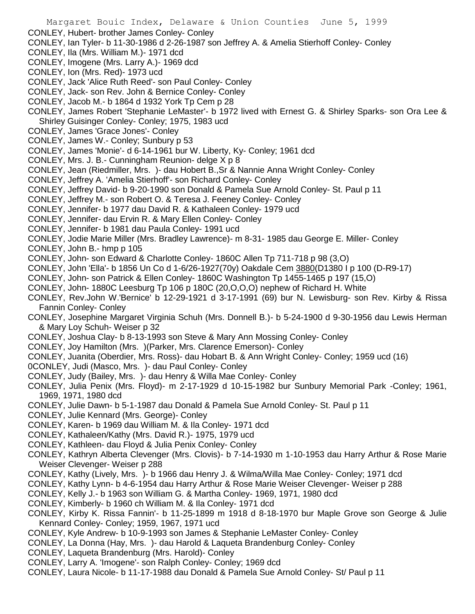- CONLEY, Hubert- brother James Conley- Conley
- CONLEY, Ian Tyler- b 11-30-1986 d 2-26-1987 son Jeffrey A. & Amelia Stierhoff Conley- Conley
- CONLEY, Ila (Mrs. William M.)- 1971 dcd
- CONLEY, Imogene (Mrs. Larry A.)- 1969 dcd
- CONLEY, Ion (Mrs. Red)- 1973 ucd
- CONLEY, Jack 'Alice Ruth Reed'- son Paul Conley- Conley
- CONLEY, Jack- son Rev. John & Bernice Conley- Conley
- CONLEY, Jacob M.- b 1864 d 1932 York Tp Cem p 28
- CONLEY, James Robert 'Stephanie LeMaster'- b 1972 lived with Ernest G. & Shirley Sparks- son Ora Lee & Shirley Guisinger Conley- Conley; 1975, 1983 ucd
- CONLEY, James 'Grace Jones'- Conley
- CONLEY, James W.- Conley; Sunbury p 53
- CONLEY, James 'Monie'- d 6-14-1961 bur W. Liberty, Ky- Conley; 1961 dcd
- CONLEY, Mrs. J. B.- Cunningham Reunion- delge X p 8
- CONLEY, Jean (Riedmiller, Mrs. )- dau Hobert B.,Sr & Nannie Anna Wright Conley- Conley
- CONLEY, Jeffrey A. 'Amelia Stierhoff'- son Richard Conley- Conley
- CONLEY, Jeffrey David- b 9-20-1990 son Donald & Pamela Sue Arnold Conley- St. Paul p 11
- CONLEY, Jeffrey M.- son Robert O. & Teresa J. Feeney Conley- Conley
- CONLEY, Jennifer- b 1977 dau David R. & Kathaleen Conley- 1979 ucd
- CONLEY, Jennifer- dau Ervin R. & Mary Ellen Conley- Conley
- CONLEY, Jennifer- b 1981 dau Paula Conley- 1991 ucd
- CONLEY, Jodie Marie Miller (Mrs. Bradley Lawrence)- m 8-31- 1985 dau George E. Miller- Conley
- CONLEY, John B.- hmp p 105
- CONLEY, John- son Edward & Charlotte Conley- 1860C Allen Tp 711-718 p 98 (3,O)
- CONLEY, John 'Ella'- b 1856 Un Co d 1-6/26-1927(70y) Oakdale Cem 3880(D1380 I p 100 (D-R9-17)
- CONLEY, John- son Patrick & Ellen Conley- 1860C Washington Tp 1455-1465 p 197 (15,O)
- CONLEY, John- 1880C Leesburg Tp 106 p 180C (20,O,O,O) nephew of Richard H. White
- CONLEY, Rev.John W.'Bernice' b 12-29-1921 d 3-17-1991 (69) bur N. Lewisburg- son Rev. Kirby & Rissa Fannin Conley- Conley
- CONLEY, Josephine Margaret Virginia Schuh (Mrs. Donnell B.)- b 5-24-1900 d 9-30-1956 dau Lewis Herman & Mary Loy Schuh- Weiser p 32
- CONLEY, Joshua Clay- b 8-13-1993 son Steve & Mary Ann Mossing Conley- Conley
- CONLEY, Joy Hamilton (Mrs. )(Parker, Mrs. Clarence Emerson)- Conley
- CONLEY, Juanita (Oberdier, Mrs. Ross)- dau Hobart B. & Ann Wright Conley- Conley; 1959 ucd (16)
- 0CONLEY, Judi (Masco, Mrs. )- dau Paul Conley- Conley
- CONLEY, Judy (Bailey, Mrs. )- dau Henry & Willa Mae Conley- Conley
- CONLEY, Julia Penix (Mrs. Floyd)- m 2-17-1929 d 10-15-1982 bur Sunbury Memorial Park -Conley; 1961, 1969, 1971, 1980 dcd
- CONLEY, Julie Dawn- b 5-1-1987 dau Donald & Pamela Sue Arnold Conley- St. Paul p 11
- CONLEY, Julie Kennard (Mrs. George)- Conley
- CONLEY, Karen- b 1969 dau William M. & Ila Conley- 1971 dcd
- CONLEY, Kathaleen/Kathy (Mrs. David R.)- 1975, 1979 ucd
- CONLEY, Kathleen- dau Floyd & Julia Penix Conley- Conley
- CONLEY, Kathryn Alberta Clevenger (Mrs. Clovis)- b 7-14-1930 m 1-10-1953 dau Harry Arthur & Rose Marie Weiser Clevenger- Weiser p 288
- CONLEY, Kathy (Lively, Mrs. )- b 1966 dau Henry J. & Wilma/Willa Mae Conley- Conley; 1971 dcd
- CONLEY, Kathy Lynn- b 4-6-1954 dau Harry Arthur & Rose Marie Weiser Clevenger- Weiser p 288
- CONLEY, Kelly J.- b 1963 son William G. & Martha Conley- 1969, 1971, 1980 dcd
- CONLEY, Kimberly- b 1960 ch William M. & Ila Conley- 1971 dcd
- CONLEY, Kirby K. Rissa Fannin'- b 11-25-1899 m 1918 d 8-18-1970 bur Maple Grove son George & Julie Kennard Conley- Conley; 1959, 1967, 1971 ucd
- CONLEY, Kyle Andrew- b 10-9-1993 son James & Stephanie LeMaster Conley- Conley
- CONLEY, La Donna (Hay, Mrs. )- dau Harold & Laqueta Brandenburg Conley- Conley
- CONLEY, Laqueta Brandenburg (Mrs. Harold)- Conley
- CONLEY, Larry A. 'Imogene'- son Ralph Conley- Conley; 1969 dcd
- CONLEY, Laura Nicole- b 11-17-1988 dau Donald & Pamela Sue Arnold Conley- St/ Paul p 11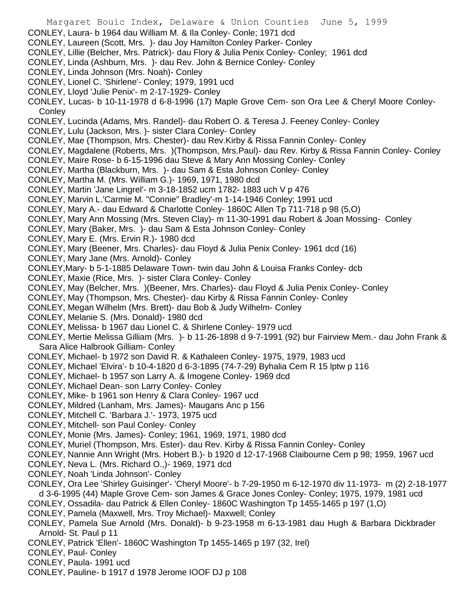- Margaret Bouic Index, Delaware & Union Counties June 5, 1999 CONLEY, Laura- b 1964 dau William M. & Ila Conley- Conle; 1971 dcd CONLEY, Laureen (Scott, Mrs. )- dau Joy Hamilton Conley Parker- Conley CONLEY, Lillie (Belcher, Mrs. Patrick)- dau Flory & Julia Penix Conley- Conley; 1961 dcd CONLEY, Linda (Ashburn, Mrs. )- dau Rev. John & Bernice Conley- Conley CONLEY, Linda Johnson (Mrs. Noah)- Conley CONLEY, Lionel C. 'Shirlene'- Conley; 1979, 1991 ucd CONLEY, Lloyd 'Julie Penix'- m 2-17-1929- Conley CONLEY, Lucas- b 10-11-1978 d 6-8-1996 (17) Maple Grove Cem- son Ora Lee & Cheryl Moore Conley-**Conley** CONLEY, Lucinda (Adams, Mrs. Randel)- dau Robert O. & Teresa J. Feeney Conley- Conley CONLEY, Lulu (Jackson, Mrs. )- sister Clara Conley- Conley CONLEY, Mae (Thompson, Mrs. Chester)- dau Rev.Kirby & Rissa Fannin Conley- Conley CONLEY, Magdalene (Roberts, Mrs. )(Thompson, Mrs.Paul)- dau Rev. Kirby & Rissa Fannin Conley- Conley CONLEY, Maire Rose- b 6-15-1996 dau Steve & Mary Ann Mossing Conley- Conley CONLEY, Martha (Blackburn, Mrs. )- dau Sam & Esta Johnson Conley- Conley CONLEY, Martha M. (Mrs. William G.)- 1969, 1971, 1980 dcd CONLEY, Martin 'Jane Lingrel'- m 3-18-1852 ucm 1782- 1883 uch V p 476 CONLEY, Marvin L.'Carmie M. "Connie" Bradley'-m 1-14-1946 Conley; 1991 ucd CONLEY, Mary A.- dau Edward & Charlotte Conley- 1860C Allen Tp 711-718 p 98 (5,O) CONLEY, Mary Ann Mossing (Mrs. Steven Clay)- m 11-30-1991 dau Robert & Joan Mossing- Conley CONLEY, Mary (Baker, Mrs. )- dau Sam & Esta Johnson Conley- Conley CONLEY, Mary E. (Mrs. Ervin R.)- 1980 dcd CONLEY, Mary (Beener, Mrs. Charles)- dau Floyd & Julia Penix Conley- 1961 dcd (16) CONLEY, Mary Jane (Mrs. Arnold)- Conley CONLEY,Mary- b 5-1-1885 Delaware Town- twin dau John & Louisa Franks Conley- dcb CONLEY, Maxie (Rice, Mrs. )- sister Clara Conley- Conley CONLEY, May (Belcher, Mrs. )(Beener, Mrs. Charles)- dau Floyd & Julia Penix Conley- Conley CONLEY, May (Thompson, Mrs. Chester)- dau Kirby & Rissa Fannin Conley- Conley CONLEY, Megan Wilhelm (Mrs. Brett)- dau Bob & Judy Wilhelm- Conley CONLEY, Melanie S. (Mrs. Donald)- 1980 dcd CONLEY, Melissa- b 1967 dau Lionel C. & Shirlene Conley- 1979 ucd CONLEY, Mertie Melissa Gilliam (Mrs. )- b 11-26-1898 d 9-7-1991 (92) bur Fairview Mem.- dau John Frank & Sara Alice Halbrook Gilliam- Conley CONLEY, Michael- b 1972 son David R. & Kathaleen Conley- 1975, 1979, 1983 ucd CONLEY, Michael 'Elvira'- b 10-4-1820 d 6-3-1895 (74-7-29) Byhalia Cem R 15 lptw p 116 CONLEY, Michael- b 1957 son Larry A. & Imogene Conley- 1969 dcd CONLEY, Michael Dean- son Larry Conley- Conley CONLEY, Mike- b 1961 son Henry & Clara Conley- 1967 ucd CONLEY, Mildred (Lanham, Mrs. James)- Maugans Anc p 156 CONLEY, Mitchell C. 'Barbara J.'- 1973, 1975 ucd CONLEY, Mitchell- son Paul Conley- Conley CONLEY, Monie (Mrs. James)- Conley; 1961, 1969, 1971, 1980 dcd CONLEY, Muriel (Thompson, Mrs. Ester)- dau Rev. Kirby & Rissa Fannin Conley- Conley CONLEY, Nannie Ann Wright (Mrs. Hobert B.)- b 1920 d 12-17-1968 Claibourne Cem p 98; 1959, 1967 ucd CONLEY, Neva L. (Mrs. Richard O.,)- 1969, 1971 dcd CONLEY, Noah 'Linda Johnson'- Conley CONLEY, Ora Lee 'Shirley Guisinger'- 'Cheryl Moore'- b 7-29-1950 m 6-12-1970 div 11-1973- m (2) 2-18-1977 d 3-6-1995 (44) Maple Grove Cem- son James & Grace Jones Conley- Conley; 1975, 1979, 1981 ucd CONLEY, Ossadila- dau Patrick & Ellen Conley- 1860C Washington Tp 1455-1465 p 197 (1,O) CONLEY, Pamela (Maxwell, Mrs. Troy Michael)- Maxwell; Conley CONLEY, Pamela Sue Arnold (Mrs. Donald)- b 9-23-1958 m 6-13-1981 dau Hugh & Barbara Dickbrader
- Arnold- St. Paul p 11 CONLEY, Patrick 'Ellen'- 1860C Washington Tp 1455-1465 p 197 (32, Irel)

CONLEY, Paul- Conley

- CONLEY, Paula- 1991 ucd
- CONLEY, Pauline- b 1917 d 1978 Jerome IOOF DJ p 108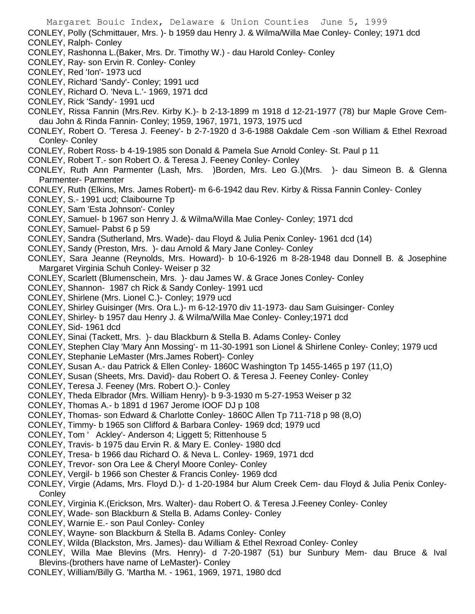CONLEY, Polly (Schmittauer, Mrs. )- b 1959 dau Henry J. & Wilma/Willa Mae Conley- Conley; 1971 dcd CONLEY, Ralph- Conley CONLEY, Rashonna L.(Baker, Mrs. Dr. Timothy W.) - dau Harold Conley- Conley CONLEY, Ray- son Ervin R. Conley- Conley CONLEY, Red 'Ion'- 1973 ucd CONLEY, Richard 'Sandy'- Conley; 1991 ucd CONLEY, Richard O. 'Neva L.'- 1969, 1971 dcd CONLEY, Rick 'Sandy'- 1991 ucd CONLEY, Rissa Fannin (Mrs.Rev. Kirby K.)- b 2-13-1899 m 1918 d 12-21-1977 (78) bur Maple Grove Cemdau John & Rinda Fannin- Conley; 1959, 1967, 1971, 1973, 1975 ucd CONLEY, Robert O. 'Teresa J. Feeney'- b 2-7-1920 d 3-6-1988 Oakdale Cem -son William & Ethel Rexroad Conley- Conley CONLEY, Robert Ross- b 4-19-1985 son Donald & Pamela Sue Arnold Conley- St. Paul p 11 CONLEY, Robert T.- son Robert O. & Teresa J. Feeney Conley- Conley CONLEY, Ruth Ann Parmenter (Lash, Mrs. )Borden, Mrs. Leo G.)(Mrs. )- dau Simeon B. & Glenna Parmenter- Parmenter CONLEY, Ruth (Elkins, Mrs. James Robert)- m 6-6-1942 dau Rev. Kirby & Rissa Fannin Conley- Conley CONLEY, S.- 1991 ucd; Claibourne Tp CONLEY, Sam 'Esta Johnson'- Conley CONLEY, Samuel- b 1967 son Henry J. & Wilma/Willa Mae Conley- Conley; 1971 dcd CONLEY, Samuel- Pabst 6 p 59 CONLEY, Sandra (Sutherland, Mrs. Wade)- dau Floyd & Julia Penix Conley- 1961 dcd (14) CONLEY, Sandy (Preston, Mrs. )- dau Arnold & Mary Jane Conley- Conley CONLEY, Sara Jeanne (Reynolds, Mrs. Howard)- b 10-6-1926 m 8-28-1948 dau Donnell B. & Josephine Margaret Virginia Schuh Conley- Weiser p 32 CONLEY, Scarlett (Blumenschein, Mrs. )- dau James W. & Grace Jones Conley- Conley CONLEY, Shannon- 1987 ch Rick & Sandy Conley- 1991 ucd CONLEY, Shirlene (Mrs. Lionel C.)- Conley; 1979 ucd CONLEY, Shirley Guisinger (Mrs. Ora L.)- m 6-12-1970 div 11-1973- dau Sam Guisinger- Conley CONLEY, Shirley- b 1957 dau Henry J. & Wilma/Willa Mae Conley- Conley;1971 dcd CONLEY, Sid- 1961 dcd CONLEY, Sinai (Tackett, Mrs. )- dau Blackburn & Stella B. Adams Conley- Conley CONLEY, Stephen Clay 'Mary Ann Mossing'- m 11-30-1991 son Lionel & Shirlene Conley- Conley; 1979 ucd CONLEY, Stephanie LeMaster (Mrs.James Robert)- Conley CONLEY, Susan A.- dau Patrick & Ellen Conley- 1860C Washington Tp 1455-1465 p 197 (11,O) CONLEY, Susan (Sheets, Mrs. David)- dau Robert O. & Teresa J. Feeney Conley- Conley CONLEY, Teresa J. Feeney (Mrs. Robert O.)- Conley CONLEY, Theda Elbrador (Mrs. William Henry)- b 9-3-1930 m 5-27-1953 Weiser p 32 CONLEY, Thomas A.- b 1891 d 1967 Jerome IOOF DJ p 108 CONLEY, Thomas- son Edward & Charlotte Conley- 1860C Allen Tp 711-718 p 98 (8,O) CONLEY, Timmy- b 1965 son Clifford & Barbara Conley- 1969 dcd; 1979 ucd CONLEY, Tom ' Ackley'- Anderson 4; Liggett 5; Rittenhouse 5 CONLEY, Travis- b 1975 dau Ervin R. & Mary E. Conley- 1980 dcd CONLEY, Tresa- b 1966 dau Richard O. & Neva L. Conley- 1969, 1971 dcd CONLEY, Trevor- son Ora Lee & Cheryl Moore Conley- Conley CONLEY, Vergil- b 1966 son Chester & Francis Conley- 1969 dcd CONLEY, Virgie (Adams, Mrs. Floyd D.)- d 1-20-1984 bur Alum Creek Cem- dau Floyd & Julia Penix Conley-**Conley** CONLEY, Virginia K.(Erickson, Mrs. Walter)- dau Robert O. & Teresa J.Feeney Conley- Conley CONLEY, Wade- son Blackburn & Stella B. Adams Conley- Conley CONLEY, Warnie E.- son Paul Conley- Conley CONLEY, Wayne- son Blackburn & Stella B. Adams Conley- Conley CONLEY, Wilda (Blackston, Mrs. James)- dau William & Ethel Rexroad Conley- Conley CONLEY, Willa Mae Blevins (Mrs. Henry)- d 7-20-1987 (51) bur Sunbury Mem- dau Bruce & Ival Blevins-(brothers have name of LeMaster)- Conley CONLEY, William/Billy G. 'Martha M. - 1961, 1969, 1971, 1980 dcd

Margaret Bouic Index, Delaware & Union Counties June 5, 1999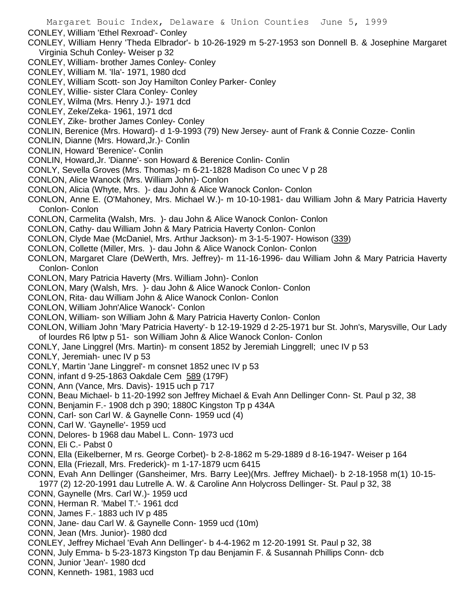- CONLEY, William 'Ethel Rexroad'- Conley
- CONLEY, William Henry 'Theda Elbrador'- b 10-26-1929 m 5-27-1953 son Donnell B. & Josephine Margaret Virginia Schuh Conley- Weiser p 32
- CONLEY, William- brother James Conley- Conley
- CONLEY, William M. 'Ila'- 1971, 1980 dcd
- CONLEY, William Scott- son Joy Hamilton Conley Parker- Conley
- CONLEY, Willie- sister Clara Conley- Conley
- CONLEY, Wilma (Mrs. Henry J.)- 1971 dcd
- CONLEY, Zeke/Zeka- 1961, 1971 dcd
- CONLEY, Zike- brother James Conley- Conley
- CONLIN, Berenice (Mrs. Howard)- d 1-9-1993 (79) New Jersey- aunt of Frank & Connie Cozze- Conlin
- CONLIN, Dianne (Mrs. Howard,Jr.)- Conlin
- CONLIN, Howard 'Berenice'- Conlin
- CONLIN, Howard,Jr. 'Dianne'- son Howard & Berenice Conlin- Conlin
- CONLY, Sevella Groves (Mrs. Thomas)- m 6-21-1828 Madison Co unec V p 28
- CONLON, Alice Wanock (Mrs. William John)- Conlon
- CONLON, Alicia (Whyte, Mrs. )- dau John & Alice Wanock Conlon- Conlon
- CONLON, Anne E. (O'Mahoney, Mrs. Michael W.)- m 10-10-1981- dau William John & Mary Patricia Haverty Conlon- Conlon
- CONLON, Carmelita (Walsh, Mrs. )- dau John & Alice Wanock Conlon- Conlon
- CONLON, Cathy- dau William John & Mary Patricia Haverty Conlon- Conlon
- CONLON, Clyde Mae (McDaniel, Mrs. Arthur Jackson)- m 3-1-5-1907- Howison (339)
- CONLON, Collette (Miller, Mrs. )- dau John & Alice Wanock Conlon- Conlon
- CONLON, Margaret Clare (DeWerth, Mrs. Jeffrey)- m 11-16-1996- dau William John & Mary Patricia Haverty Conlon- Conlon
- CONLON, Mary Patricia Haverty (Mrs. William John)- Conlon
- CONLON, Mary (Walsh, Mrs. )- dau John & Alice Wanock Conlon- Conlon
- CONLON, Rita- dau William John & Alice Wanock Conlon- Conlon
- CONLON, William John'Alice Wanock'- Conlon
- CONLON, William- son William John & Mary Patricia Haverty Conlon- Conlon
- CONLON, William John 'Mary Patricia Haverty'- b 12-19-1929 d 2-25-1971 bur St. John's, Marysville, Our Lady of lourdes R6 lptw p 51- son William John & Alice Wanock Conlon- Conlon
- CONLY, Jane Linggrel (Mrs. Martin)- m consent 1852 by Jeremiah Linggrell; unec IV p 53
- CONLY, Jeremiah- unec IV p 53
- CONLY, Martin 'Jane Linggrel'- m consnet 1852 unec IV p 53
- CONN, infant d 9-25-1863 Oakdale Cem 589 (179F)
- CONN, Ann (Vance, Mrs. Davis)- 1915 uch p 717
- CONN, Beau Michael- b 11-20-1992 son Jeffrey Michael & Evah Ann Dellinger Conn- St. Paul p 32, 38
- CONN, Benjamin F.- 1908 dch p 390; 1880C Kingston Tp p 434A
- CONN, Carl- son Carl W. & Gaynelle Conn- 1959 ucd (4)
- CONN, Carl W. 'Gaynelle'- 1959 ucd
- CONN, Delores- b 1968 dau Mabel L. Conn- 1973 ucd
- CONN, Eli C.- Pabst 0
- CONN, Ella (Eikelberner, M rs. George Corbet)- b 2-8-1862 m 5-29-1889 d 8-16-1947- Weiser p 164
- CONN, Ella (Friezall, Mrs. Frederick)- m 1-17-1879 ucm 6415
- CONN, Evah Ann Dellinger (Gansheimer, Mrs. Barry Lee)(Mrs. Jeffrey Michael)- b 2-18-1958 m(1) 10-15- 1977 (2) 12-20-1991 dau Lutrelle A. W. & Caroline Ann Holycross Dellinger- St. Paul p 32, 38
- CONN, Gaynelle (Mrs. Carl W.)- 1959 ucd
- CONN, Herman R. 'Mabel T.'- 1961 dcd
- CONN, James F.- 1883 uch IV p 485
- CONN, Jane- dau Carl W. & Gaynelle Conn- 1959 ucd (10m)
- CONN, Jean (Mrs. Junior)- 1980 dcd
- CONLEY, Jeffrey Michael 'Evah Ann Dellinger'- b 4-4-1962 m 12-20-1991 St. Paul p 32, 38
- CONN, July Emma- b 5-23-1873 Kingston Tp dau Benjamin F. & Susannah Phillips Conn- dcb
- CONN, Junior 'Jean'- 1980 dcd
- CONN, Kenneth- 1981, 1983 ucd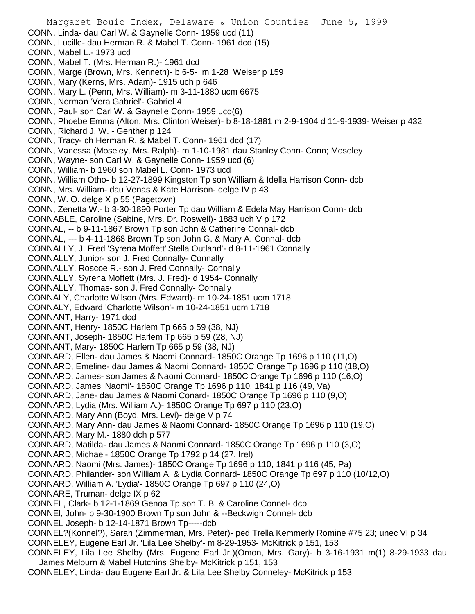Margaret Bouic Index, Delaware & Union Counties June 5, 1999 CONN, Linda- dau Carl W. & Gaynelle Conn- 1959 ucd (11) CONN, Lucille- dau Herman R. & Mabel T. Conn- 1961 dcd (15) CONN, Mabel L.- 1973 ucd CONN, Mabel T. (Mrs. Herman R.)- 1961 dcd CONN, Marge (Brown, Mrs. Kenneth)- b 6-5- m 1-28 Weiser p 159 CONN, Mary (Kerns, Mrs. Adam)- 1915 uch p 646 CONN, Mary L. (Penn, Mrs. William)- m 3-11-1880 ucm 6675 CONN, Norman 'Vera Gabriel'- Gabriel 4 CONN, Paul- son Carl W. & Gaynelle Conn- 1959 ucd(6) CONN, Phoebe Emma (Alton, Mrs. Clinton Weiser)- b 8-18-1881 m 2-9-1904 d 11-9-1939- Weiser p 432 CONN, Richard J. W. - Genther p 124 CONN, Tracy- ch Herman R. & Mabel T. Conn- 1961 dcd (17) CONN, Vanessa (Moseley, Mrs. Ralph)- m 1-10-1981 dau Stanley Conn- Conn; Moseley CONN, Wayne- son Carl W. & Gaynelle Conn- 1959 ucd (6) CONN, William- b 1960 son Mabel L. Conn- 1973 ucd CONN, William Otho- b 12-27-1899 Kingston Tp son William & Idella Harrison Conn- dcb CONN, Mrs. William- dau Venas & Kate Harrison- delge IV p 43 CONN, W. O. delge X p 55 (Pagetown) CONN, Zenetta W.- b 3-30-1890 Porter Tp dau William & Edela May Harrison Conn- dcb CONNABLE, Caroline (Sabine, Mrs. Dr. Roswell)- 1883 uch V p 172 CONNAL, -- b 9-11-1867 Brown Tp son John & Catherine Connal- dcb CONNAL, --- b 4-11-1868 Brown Tp son John G. & Mary A. Connal- dcb CONNALLY, J. Fred 'Syrena Moffett''Stella Outland'- d 8-11-1961 Connally CONNALLY, Junior- son J. Fred Connally- Connally CONNALLY, Roscoe R.- son J. Fred Connally- Connally CONNALLY, Syrena Moffett (Mrs. J. Fred)- d 1954- Connally CONNALLY, Thomas- son J. Fred Connally- Connally CONNALY, Charlotte Wilson (Mrs. Edward)- m 10-24-1851 ucm 1718 CONNALY, Edward 'Charlotte Wilson'- m 10-24-1851 ucm 1718 CONNANT, Harry- 1971 dcd CONNANT, Henry- 1850C Harlem Tp 665 p 59 (38, NJ) CONNANT, Joseph- 1850C Harlem Tp 665 p 59 (28, NJ) CONNANT, Mary- 1850C Harlem Tp 665 p 59 (38, NJ) CONNARD, Ellen- dau James & Naomi Connard- 1850C Orange Tp 1696 p 110 (11,O) CONNARD, Emeline- dau James & Naomi Connard- 1850C Orange Tp 1696 p 110 (18,O) CONNARD, James- son James & Naomi Connard- 1850C Orange Tp 1696 p 110 (16,O) CONNARD, James 'Naomi'- 1850C Orange Tp 1696 p 110, 1841 p 116 (49, Va) CONNARD, Jane- dau James & Naomi Conard- 1850C Orange Tp 1696 p 110 (9,O) CONNARD, Lydia (Mrs. William A.)- 1850C Orange Tp 697 p 110 (23,O) CONNARD, Mary Ann (Boyd, Mrs. Levi)- delge V p 74 CONNARD, Mary Ann- dau James & Naomi Connard- 1850C Orange Tp 1696 p 110 (19,O) CONNARD, Mary M.- 1880 dch p 577 CONNARD, Matilda- dau James & Naomi Connard- 1850C Orange Tp 1696 p 110 (3,O) CONNARD, Michael- 1850C Orange Tp 1792 p 14 (27, Irel) CONNARD, Naomi (Mrs. James)- 1850C Orange Tp 1696 p 110, 1841 p 116 (45, Pa) CONNARD, Philander- son William A. & Lydia Connard- 1850C Orange Tp 697 p 110 (10/12,O) CONNARD, William A. 'Lydia'- 1850C Orange Tp 697 p 110 (24,O) CONNARE, Truman- delge IX p 62 CONNEL, Clark- b 12-1-1869 Genoa Tp son T. B. & Caroline Connel- dcb CONNEl, John- b 9-30-1900 Brown Tp son John & --Beckwigh Connel- dcb CONNEL Joseph- b 12-14-1871 Brown Tp-----dcb CONNEL?(Konnel?), Sarah (Zimmerman, Mrs. Peter)- ped Trella Kemmerly Romine #75 23; unec VI p 34 CONNELEY, Eugene Earl Jr. 'Lila Lee Shelby'- m 8-29-1953- McKitrick p 151, 153 CONNELEY, Lila Lee Shelby (Mrs. Eugene Earl Jr.)(Omon, Mrs. Gary)- b 3-16-1931 m(1) 8-29-1933 dau James Melburn & Mabel Hutchins Shelby- McKitrick p 151, 153 CONNELEY, Linda- dau Eugene Earl Jr. & Lila Lee Shelby Conneley- McKitrick p 153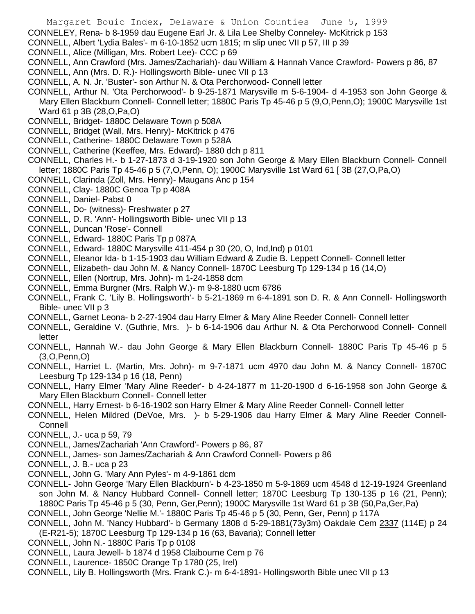CONNELEY, Rena- b 8-1959 dau Eugene Earl Jr. & Lila Lee Shelby Conneley- McKitrick p 153

- CONNELL, Albert 'Lydia Bales'- m 6-10-1852 ucm 1815; m slip unec VII p 57, III p 39
- CONNELL, Alice (Milligan, Mrs. Robert Lee)- CCC p 69
- CONNELL, Ann Crawford (Mrs. James/Zachariah)- dau William & Hannah Vance Crawford- Powers p 86, 87
- CONNELL, Ann (Mrs. D. R.)- Hollingsworth Bible- unec VII p 13
- CONNELL, A. N. Jr. 'Buster'- son Arthur N. & Ota Perchorwood- Connell letter
- CONNELL, Arthur N. 'Ota Perchorwood'- b 9-25-1871 Marysville m 5-6-1904- d 4-1953 son John George & Mary Ellen Blackburn Connell- Connell letter; 1880C Paris Tp 45-46 p 5 (9,O,Penn,O); 1900C Marysville 1st Ward 61 p 3B (28,O,Pa,O)
- CONNELL, Bridget- 1880C Delaware Town p 508A
- CONNELL, Bridget (Wall, Mrs. Henry)- McKitrick p 476
- CONNELL, Catherine- 1880C Delaware Town p 528A
- CONNELL, Catherine (Keeffee, Mrs. Edward)- 1880 dch p 811
- CONNELL, Charles H.- b 1-27-1873 d 3-19-1920 son John George & Mary Ellen Blackburn Connell- Connell letter; 1880C Paris Tp 45-46 p 5 (7,O,Penn, O); 1900C Marysville 1st Ward 61 [ 3B (27,O,Pa,O)
- CONNELL, Clarinda (Zoll, Mrs. Henry)- Maugans Anc p 154
- CONNELL, Clay- 1880C Genoa Tp p 408A
- CONNELL, Daniel- Pabst 0
- CONNELL, Do- (witness)- Freshwater p 27
- CONNELL, D. R. 'Ann'- Hollingsworth Bible- unec VII p 13
- CONNELL, Duncan 'Rose'- Connell
- CONNELL, Edward- 1880C Paris Tp p 087A
- CONNELL, Edward- 1880C Marysville 411-454 p 30 (20, O, Ind,Ind) p 0101
- CONNELL, Eleanor Ida- b 1-15-1903 dau William Edward & Zudie B. Leppett Connell- Connell letter
- CONNELL, Elizabeth- dau John M. & Nancy Connell- 1870C Leesburg Tp 129-134 p 16 (14,O)
- CONNELL, Ellen (Nortrup, Mrs. John)- m 1-24-1858 dcm
- CONNELL, Emma Burgner (Mrs. Ralph W.)- m 9-8-1880 ucm 6786
- CONNELL, Frank C. 'Lily B. Hollingsworth'- b 5-21-1869 m 6-4-1891 son D. R. & Ann Connell- Hollingsworth Bible- unec VII p 3
- CONNELL, Garnet Leona- b 2-27-1904 dau Harry Elmer & Mary Aline Reeder Connell- Connell letter
- CONNELL, Geraldine V. (Guthrie, Mrs. )- b 6-14-1906 dau Arthur N. & Ota Perchorwood Connell- Connell letter
- CONNELL, Hannah W.- dau John George & Mary Ellen Blackburn Connell- 1880C Paris Tp 45-46 p 5 (3,O,Penn,O)
- CONNELL, Harriet L. (Martin, Mrs. John)- m 9-7-1871 ucm 4970 dau John M. & Nancy Connell- 1870C Leesburg Tp 129-134 p 16 (18, Penn)
- CONNELL, Harry Elmer 'Mary Aline Reeder'- b 4-24-1877 m 11-20-1900 d 6-16-1958 son John George & Mary Ellen Blackburn Connell- Connell letter
- CONNELL, Harry Ernest- b 6-16-1902 son Harry Elmer & Mary Aline Reeder Connell- Connell letter
- CONNELL, Helen Mildred (DeVoe, Mrs. )- b 5-29-1906 dau Harry Elmer & Mary Aline Reeder Connell-**Connell**
- CONNELL, J.- uca p 59, 79
- CONNELL, James/Zachariah 'Ann Crawford'- Powers p 86, 87
- CONNELL, James- son James/Zachariah & Ann Crawford Connell- Powers p 86
- CONNELL, J. B.- uca p 23
- CONNELL, John G. 'Mary Ann Pyles'- m 4-9-1861 dcm
- CONNELL- John George 'Mary Ellen Blackburn'- b 4-23-1850 m 5-9-1869 ucm 4548 d 12-19-1924 Greenland son John M. & Nancy Hubbard Connell- Connell letter; 1870C Leesburg Tp 130-135 p 16 (21, Penn); 1880C Paris Tp 45-46 p 5 (30, Penn, Ger,Penn); 1900C Marysville 1st Ward 61 p 3B (50,Pa,Ger,Pa)
- CONNELL, John George 'Nellie M.'- 1880C Paris Tp 45-46 p 5 (30, Penn, Ger, Penn) p 117A
- CONNELL, John M. 'Nancy Hubbard'- b Germany 1808 d 5-29-1881(73y3m) Oakdale Cem 2337 (114E) p 24 (E-R21-5); 1870C Leesburg Tp 129-134 p 16 (63, Bavaria); Connell letter
- CONNELL, John N.- 1880C Paris Tp p 0108
- CONNELL, Laura Jewell- b 1874 d 1958 Claibourne Cem p 76
- CONNELL, Laurence- 1850C Orange Tp 1780 (25, Irel)
- CONNELL, Lily B. Hollingsworth (Mrs. Frank C.)- m 6-4-1891- Hollingsworth Bible unec VII p 13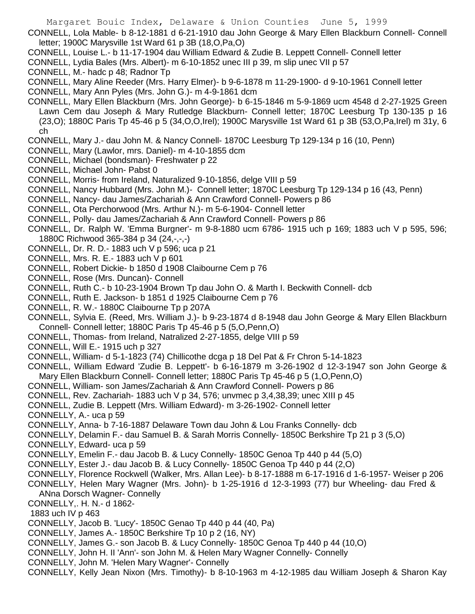CONNELL, Lola Mable- b 8-12-1881 d 6-21-1910 dau John George & Mary Ellen Blackburn Connell- Connell letter; 1900C Marysville 1st Ward 61 p 3B (18,O,Pa,O)

- CONNELL, Louise L.- b 11-17-1904 dau William Edward & Zudie B. Leppett Connell- Connell letter
- CONNELL, Lydia Bales (Mrs. Albert)- m 6-10-1852 unec III p 39, m slip unec VII p 57
- CONNELL, M.- hadc p 48; Radnor Tp
- CONNELL, Mary Aline Reeder (Mrs. Harry Elmer)- b 9-6-1878 m 11-29-1900- d 9-10-1961 Connell letter
- CONNELL, Mary Ann Pyles (Mrs. John G.)- m 4-9-1861 dcm
- CONNELL, Mary Ellen Blackburn (Mrs. John George)- b 6-15-1846 m 5-9-1869 ucm 4548 d 2-27-1925 Green Lawn Cem dau Joseph & Mary Rutledge Blackburn- Connell letter; 1870C Leesburg Tp 130-135 p 16 (23,O); 1880C Paris Tp 45-46 p 5 (34,O,O,Irel); 1900C Marysville 1st Ward 61 p 3B (53,O,Pa,Irel) m 31y, 6 ch
- CONNELL, Mary J.- dau John M. & Nancy Connell- 1870C Leesburg Tp 129-134 p 16 (10, Penn)
- CONNELL, Mary (Lawlor, mrs. Daniel)- m 4-10-1855 dcm
- CONNELL, Michael (bondsman)- Freshwater p 22
- CONNELL, Michael John- Pabst 0
- CONNELL, Morris- from Ireland, Naturalized 9-10-1856, delge VIII p 59
- CONNELL, Nancy Hubbard (Mrs. John M.)- Connell letter; 1870C Leesburg Tp 129-134 p 16 (43, Penn)
- CONNELL, Nancy- dau James/Zachariah & Ann Crawford Connell- Powers p 86
- CONNELL, Ota Perchorwood (Mrs. Arthur N.)- m 5-6-1904- Connell letter
- CONNELL, Polly- dau James/Zachariah & Ann Crawford Connell- Powers p 86
- CONNELL, Dr. Ralph W. 'Emma Burgner'- m 9-8-1880 ucm 6786- 1915 uch p 169; 1883 uch V p 595, 596; 1880C Richwood 365-384 p 34 (24,-,-,-)
- CONNELL, Dr. R. D.- 1883 uch V p 596; uca p 21
- CONNELL, Mrs. R. E.- 1883 uch V p 601
- CONNELL, Robert Dickie- b 1850 d 1908 Claibourne Cem p 76
- CONNELL, Rose (Mrs. Duncan)- Connell
- CONNELL, Ruth C.- b 10-23-1904 Brown Tp dau John O. & Marth I. Beckwith Connell- dcb
- CONNELL, Ruth E. Jackson- b 1851 d 1925 Claibourne Cem p 76
- CONNELL, R. W.- 1880C Claibourne Tp p 207A
- CONNELL, Sylvia E. (Reed, Mrs. William J.)- b 9-23-1874 d 8-1948 dau John George & Mary Ellen Blackburn Connell- Connell letter; 1880C Paris Tp 45-46 p 5 (5,O,Penn,O)
- CONNELL, Thomas- from Ireland, Natralized 2-27-1855, delge VIII p 59
- CONNELL, Will E.- 1915 uch p 327
- CONNELL, William- d 5-1-1823 (74) Chillicothe dcga p 18 Del Pat & Fr Chron 5-14-1823
- CONNELL, William Edward 'Zudie B. Leppett'- b 6-16-1879 m 3-26-1902 d 12-3-1947 son John George & Mary Ellen Blackburn Connell- Connell letter; 1880C Paris Tp 45-46 p 5 (1,O,Penn,O)
- CONNELL, William- son James/Zachariah & Ann Crawford Connell- Powers p 86
- CONNELL, Rev. Zachariah- 1883 uch V p 34, 576; unvmec p 3,4,38,39; unec XIII p 45
- CONNELL, Zudie B. Leppett (Mrs. William Edward)- m 3-26-1902- Connell letter
- CONNELLY, A.- uca p 59
- CONNELLY, Anna- b 7-16-1887 Delaware Town dau John & Lou Franks Connelly- dcb
- CONNELLY, Delamin F.- dau Samuel B. & Sarah Morris Connelly- 1850C Berkshire Tp 21 p 3 (5,O)
- CONNELLY, Edward- uca p 59
- CONNELLY, Emelin F.- dau Jacob B. & Lucy Connelly- 1850C Genoa Tp 440 p 44 (5,O)
- CONNELLY, Ester J.- dau Jacob B. & Lucy Connelly- 1850C Genoa Tp 440 p 44 (2,O)
- CONNELLY, Florence Rockwell (Walker, Mrs. Allan Lee)- b 8-17-1888 m 6-17-1916 d 1-6-1957- Weiser p 206
- CONNELLY, Helen Mary Wagner (Mrs. John)- b 1-25-1916 d 12-3-1993 (77) bur Wheeling- dau Fred & ANna Dorsch Wagner- Connelly
- CONNELLY,. H. N.- d 1862-
- 1883 uch IV p 463
- CONNELLY, Jacob B. 'Lucy'- 1850C Genao Tp 440 p 44 (40, Pa)
- CONNELLY, James A.- 1850C Berkshire Tp 10 p 2 (16, NY)
- CONNELLY, James G.- son Jacob B. & Lucy Connelly- 1850C Genoa Tp 440 p 44 (10,O)
- CONNELLY, John H. II 'Ann'- son John M. & Helen Mary Wagner Connelly- Connelly
- CONNELLY, John M. 'Helen Mary Wagner'- Connelly
- CONNELLY, Kelly Jean Nixon (Mrs. Timothy)- b 8-10-1963 m 4-12-1985 dau William Joseph & Sharon Kay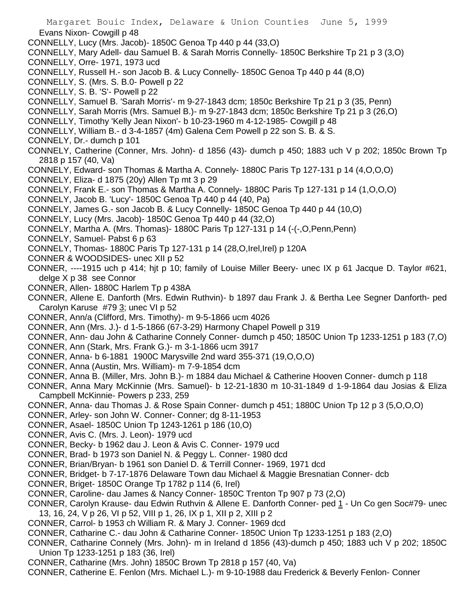Margaret Bouic Index, Delaware & Union Counties June 5, 1999 Evans Nixon- Cowgill p 48 CONNELLY, Lucy (Mrs. Jacob)- 1850C Genoa Tp 440 p 44 (33,O) CONNELLY, Mary Adell- dau Samuel B. & Sarah Morris Connelly- 1850C Berkshire Tp 21 p 3 (3,O) CONNELLY, Orre- 1971, 1973 ucd CONNELLY, Russell H.- son Jacob B. & Lucy Connelly- 1850C Genoa Tp 440 p 44 (8,O) CONNELLY, S. (Mrs. S. B.0- Powell p 22 CONNELLY, S. B. 'S'- Powell p 22 CONNELLY, Samuel B. 'Sarah Morris'- m 9-27-1843 dcm; 1850c Berkshire Tp 21 p 3 (35, Penn) CONNELLY, Sarah Morris (Mrs. Samuel B.)- m 9-27-1843 dcm; 1850c Berkshire Tp 21 p 3 (26,O) CONNELLY, Timothy 'Kelly Jean Nixon'- b 10-23-1960 m 4-12-1985- Cowgill p 48 CONNELLY, William B.- d 3-4-1857 (4m) Galena Cem Powell p 22 son S. B. & S. CONNELY, Dr.- dumch p 101 CONNELY, Catherine (Conner, Mrs. John)- d 1856 (43)- dumch p 450; 1883 uch V p 202; 1850c Brown Tp 2818 p 157 (40, Va) CONNELY, Edward- son Thomas & Martha A. Connely- 1880C Paris Tp 127-131 p 14 (4,O,O,O) CONNELY, Eliza- d 1875 (20y) Allen Tp mt 3 p 29 CONNELY, Frank E.- son Thomas & Martha A. Connely- 1880C Paris Tp 127-131 p 14 (1,O,O,O) CONNELY, Jacob B. 'Lucy'- 1850C Genoa Tp 440 p 44 (40, Pa) CONNELY, James G.- son Jacob B. & Lucy Connelly- 1850C Genoa Tp 440 p 44 (10,O) CONNELY, Lucy (Mrs. Jacob)- 1850C Genoa Tp 440 p 44 (32,O) CONNELY, Martha A. (Mrs. Thomas)- 1880C Paris Tp 127-131 p 14 (-(-,O,Penn,Penn) CONNELY, Samuel- Pabst 6 p 63 CONNELY, Thomas- 1880C Paris Tp 127-131 p 14 (28,O,Irel,Irel) p 120A CONNER & WOODSIDES- unec XII p 52 CONNER, ----1915 uch p 414; hjt p 10; family of Louise Miller Beery- unec IX p 61 Jacque D. Taylor #621, delge X p 38 see Connor CONNER, Allen- 1880C Harlem Tp p 438A CONNER, Allene E. Danforth (Mrs. Edwin Ruthvin)- b 1897 dau Frank J. & Bertha Lee Segner Danforth- ped Carolyn Karuse #79 3; unec VI p 52 CONNER, Ann/a (Clifford, Mrs. Timothy)- m 9-5-1866 ucm 4026 CONNER, Ann (Mrs. J.)- d 1-5-1866 (67-3-29) Harmony Chapel Powell p 319 CONNER, Ann- dau John & Catharine Connely Conner- dumch p 450; 1850C Union Tp 1233-1251 p 183 (7,O) CONNER, Ann (Stark, Mrs. Frank G.)- m 3-1-1866 ucm 3917 CONNER, Anna- b 6-1881 1900C Marysville 2nd ward 355-371 (19,O,O,O) CONNER, Anna (Austin, Mrs. William)- m 7-9-1854 dcm CONNER, Anna B. (Miller, Mrs. John B.)- m 1884 dau Michael & Catherine Hooven Conner- dumch p 118 CONNER, Anna Mary McKinnie (Mrs. Samuel)- b 12-21-1830 m 10-31-1849 d 1-9-1864 dau Josias & Eliza Campbell McKinnie- Powers p 233, 259 CONNER, Anna- dau Thomas J. & Rose Spain Conner- dumch p 451; 1880C Union Tp 12 p 3 (5,O,O,O) CONNER, Arley- son John W. Conner- Conner; dg 8-11-1953 CONNER, Asael- 1850C Union Tp 1243-1261 p 186 (10,O) CONNER, Avis C. (Mrs. J. Leon)- 1979 ucd CONNER, Becky- b 1962 dau J. Leon & Avis C. Conner- 1979 ucd CONNER, Brad- b 1973 son Daniel N. & Peggy L. Conner- 1980 dcd CONNER, Brian/Bryan- b 1961 son Daniel D. & Terrill Conner- 1969, 1971 dcd CONNER, Bridget- b 7-17-1876 Delaware Town dau Michael & Maggie Bresnatian Conner- dcb CONNER, Briget- 1850C Orange Tp 1782 p 114 (6, Irel) CONNER, Caroline- dau James & Nancy Conner- 1850C Trenton Tp 907 p 73 (2,O) CONNER, Carolyn Krause- dau Edwin Ruthvin & Allene E. Danforth Conner- ped 1 - Un Co gen Soc#79- unec 13, 16, 24, V p 26, VI p 52, VIII p 1, 26, IX p 1, XII p 2, XIII p 2 CONNER, Carrol- b 1953 ch William R. & Mary J. Conner- 1969 dcd CONNER, Catharine C.- dau John & Catharine Conner- 1850C Union Tp 1233-1251 p 183 (2,O)

- CONNER, Catharine Connely (Mrs. John)- m in Ireland d 1856 (43)-dumch p 450; 1883 uch V p 202; 1850C Union Tp 1233-1251 p 183 (36, Irel)
- CONNER, Catharine (Mrs. John) 1850C Brown Tp 2818 p 157 (40, Va)
- CONNER, Catherine E. Fenlon (Mrs. Michael L.)- m 9-10-1988 dau Frederick & Beverly Fenlon- Conner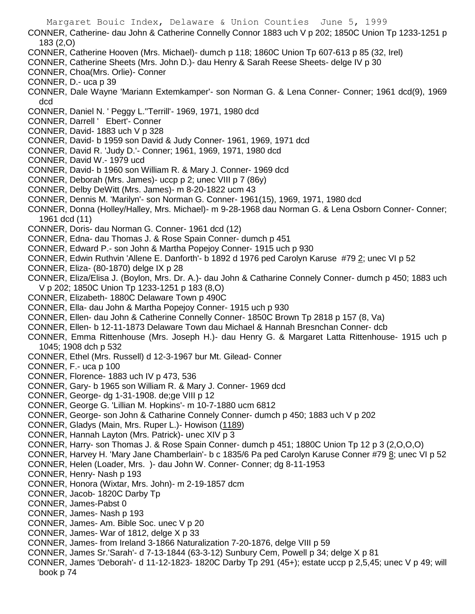Margaret Bouic Index, Delaware & Union Counties June 5, 1999 CONNER, Catherine- dau John & Catherine Connelly Connor 1883 uch V p 202; 1850C Union Tp 1233-1251 p 183 (2,O) CONNER, Catherine Hooven (Mrs. Michael)- dumch p 118; 1860C Union Tp 607-613 p 85 (32, Irel) CONNER, Catherine Sheets (Mrs. John D.)- dau Henry & Sarah Reese Sheets- delge IV p 30 CONNER, Choa(Mrs. Orlie)- Conner CONNER, D.- uca p 39 CONNER, Dale Wayne 'Mariann Extemkamper'- son Norman G. & Lena Conner- Conner; 1961 dcd(9), 1969 dcd CONNER, Daniel N. ' Peggy L.''Terrill'- 1969, 1971, 1980 dcd CONNER, Darrell ' Ebert'- Conner CONNER, David- 1883 uch V p 328 CONNER, David- b 1959 son David & Judy Conner- 1961, 1969, 1971 dcd CONNER, David R. 'Judy D.'- Conner; 1961, 1969, 1971, 1980 dcd CONNER, David W.- 1979 ucd CONNER, David- b 1960 son William R. & Mary J. Conner- 1969 dcd CONNER, Deborah (Mrs. James)- uccp p 2; unec VIII p 7 (86y) CONNER, Delby DeWitt (Mrs. James)- m 8-20-1822 ucm 43 CONNER, Dennis M. 'Marilyn'- son Norman G. Conner- 1961(15), 1969, 1971, 1980 dcd CONNER, Donna (Holley/Halley, Mrs. Michael)- m 9-28-1968 dau Norman G. & Lena Osborn Conner- Conner; 1961 dcd (11) CONNER, Doris- dau Norman G. Conner- 1961 dcd (12) CONNER, Edna- dau Thomas J. & Rose Spain Conner- dumch p 451 CONNER, Edward P.- son John & Martha Popejoy Conner- 1915 uch p 930 CONNER, Edwin Ruthvin 'Allene E. Danforth'- b 1892 d 1976 ped Carolyn Karuse #79 2; unec VI p 52 CONNER, Eliza- (80-1870) delge IX p 28 CONNER, Eliza/Elisa J. (Boylon, Mrs. Dr. A.)- dau John & Catharine Connely Conner- dumch p 450; 1883 uch V p 202; 1850C Union Tp 1233-1251 p 183 (8,O) CONNER, Elizabeth- 1880C Delaware Town p 490C CONNER, Ella- dau John & Martha Popejoy Conner- 1915 uch p 930 CONNER, Ellen- dau John & Catherine Connelly Conner- 1850C Brown Tp 2818 p 157 (8, Va) CONNER, Ellen- b 12-11-1873 Delaware Town dau Michael & Hannah Bresnchan Conner- dcb CONNER, Emma Rittenhouse (Mrs. Joseph H.)- dau Henry G. & Margaret Latta Rittenhouse- 1915 uch p 1045; 1908 dch p 532 CONNER, Ethel (Mrs. Russell) d 12-3-1967 bur Mt. Gilead- Conner CONNER, F.- uca p 100 CONNER, Florence- 1883 uch IV p 473, 536 CONNER, Gary- b 1965 son William R. & Mary J. Conner- 1969 dcd CONNER, George- dg 1-31-1908. de;ge VIII p 12 CONNER, George G. 'Lillian M. Hopkins'- m 10-7-1880 ucm 6812 CONNER, George- son John & Catharine Connely Conner- dumch p 450; 1883 uch V p 202 CONNER, Gladys (Main, Mrs. Ruper L.)- Howison (1189) CONNER, Hannah Layton (Mrs. Patrick)- unec XIV p 3 CONNER, Harry- son Thomas J. & Rose Spain Conner- dumch p 451; 1880C Union Tp 12 p 3 (2,O,O,O) CONNER, Harvey H. 'Mary Jane Chamberlain'- b c 1835/6 Pa ped Carolyn Karuse Conner #79 8; unec VI p 52 CONNER, Helen (Loader, Mrs. )- dau John W. Conner- Conner; dg 8-11-1953 CONNER, Henry- Nash p 193 CONNER, Honora (Wixtar, Mrs. John)- m 2-19-1857 dcm CONNER, Jacob- 1820C Darby Tp CONNER, James-Pabst 0 CONNER, James- Nash p 193 CONNER, James- Am. Bible Soc. unec V p 20 CONNER, James- War of 1812, delge X p 33 CONNER, James- from Ireland 3-1866 Naturalization 7-20-1876, delge VIII p 59 CONNER, James Sr.'Sarah'- d 7-13-1844 (63-3-12) Sunbury Cem, Powell p 34; delge X p 81 CONNER, James 'Deborah'- d 11-12-1823- 1820C Darby Tp 291 (45+); estate uccp p 2,5,45; unec V p 49; will book p 74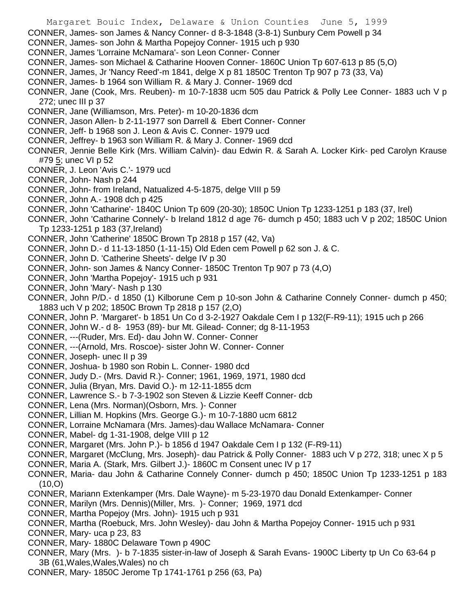CONNER, James- son James & Nancy Conner- d 8-3-1848 (3-8-1) Sunbury Cem Powell p 34

- CONNER, James- son John & Martha Popejoy Conner- 1915 uch p 930
- CONNER, James 'Lorraine McNamara'- son Leon Conner- Conner
- CONNER, James- son Michael & Catharine Hooven Conner- 1860C Union Tp 607-613 p 85 (5,O)
- CONNER, James, Jr 'Nancy Reed'-m 1841, delge X p 81 1850C Trenton Tp 907 p 73 (33, Va)
- CONNER, James- b 1964 son William R. & Mary J. Conner- 1969 dcd
- CONNER, Jane (Cook, Mrs. Reuben)- m 10-7-1838 ucm 505 dau Patrick & Polly Lee Conner- 1883 uch V p 272; unec III p 37
- CONNER, Jane (Williamson, Mrs. Peter)- m 10-20-1836 dcm
- CONNER, Jason Allen- b 2-11-1977 son Darrell & Ebert Conner- Conner
- CONNER, Jeff- b 1968 son J. Leon & Avis C. Conner- 1979 ucd
- CONNER, Jeffrey- b 1963 son William R. & Mary J. Conner- 1969 dcd
- CONNER, Jennie Belle Kirk (Mrs. William Calvin)- dau Edwin R. & Sarah A. Locker Kirk- ped Carolyn Krause #79 5; unec VI p 52
- CONNER, J. Leon 'Avis C.'- 1979 ucd
- CONNER, John- Nash p 244
- CONNER, John- from Ireland, Natualized 4-5-1875, delge VIII p 59
- CONNER, John A.- 1908 dch p 425
- CONNER, John 'Catharine'- 1840C Union Tp 609 (20-30); 1850C Union Tp 1233-1251 p 183 (37, Irel)
- CONNER, John 'Catharine Connely'- b Ireland 1812 d age 76- dumch p 450; 1883 uch V p 202; 1850C Union Tp 1233-1251 p 183 (37,Ireland)
- CONNER, John 'Catherine' 1850C Brown Tp 2818 p 157 (42, Va)
- CONNER, John D.- d 11-13-1850 (1-11-15) Old Eden cem Powell p 62 son J. & C.
- CONNER, John D. 'Catherine Sheets'- delge IV p 30
- CONNER, John- son James & Nancy Conner- 1850C Trenton Tp 907 p 73 (4,O)
- CONNER, John 'Martha Popejoy'- 1915 uch p 931
- CONNER, John 'Mary'- Nash p 130
- CONNER, John P/D.- d 1850 (1) Kilborune Cem p 10-son John & Catharine Connely Conner- dumch p 450; 1883 uch V p 202; 1850C Brown Tp 2818 p 157 (2,O)
- CONNER, John P. 'Margaret'- b 1851 Un Co d 3-2-1927 Oakdale Cem I p 132(F-R9-11); 1915 uch p 266
- CONNER, John W.- d 8- 1953 (89)- bur Mt. Gilead- Conner; dg 8-11-1953
- CONNER, ---(Ruder, Mrs. Ed)- dau John W. Conner- Conner
- CONNER, ---(Arnold, Mrs. Roscoe)- sister John W. Conner- Conner
- CONNER, Joseph- unec II p 39
- CONNER, Joshua- b 1980 son Robin L. Conner- 1980 dcd
- CONNER, Judy D.- (Mrs. David R.)- Conner; 1961, 1969, 1971, 1980 dcd
- CONNER, Julia (Bryan, Mrs. David O.)- m 12-11-1855 dcm
- CONNER, Lawrence S.- b 7-3-1902 son Steven & Lizzie Keeff Conner- dcb
- CONNER, Lena (Mrs. Norman)(Osborn, Mrs. )- Conner
- CONNER, Lillian M. Hopkins (Mrs. George G.)- m 10-7-1880 ucm 6812
- CONNER, Lorraine McNamara (Mrs. James)-dau Wallace McNamara- Conner
- CONNER, Mabel- dg 1-31-1908, delge VIII p 12
- CONNER, Margaret (Mrs. John P.)- b 1856 d 1947 Oakdale Cem I p 132 (F-R9-11)
- CONNER, Margaret (McClung, Mrs. Joseph)- dau Patrick & Polly Conner- 1883 uch V p 272, 318; unec X p 5
- CONNER, Maria A. (Stark, Mrs. Gilbert J.)- 1860C m Consent unec IV p 17
- CONNER, Maria- dau John & Catharine Connely Conner- dumch p 450; 1850C Union Tp 1233-1251 p 183 (10,O)
- CONNER, Mariann Extenkamper (Mrs. Dale Wayne)- m 5-23-1970 dau Donald Extenkamper- Conner
- CONNER, Marilyn (Mrs. Dennis)(Miller, Mrs. )- Conner; 1969, 1971 dcd
- CONNER, Martha Popejoy (Mrs. John)- 1915 uch p 931
- CONNER, Martha (Roebuck, Mrs. John Wesley)- dau John & Martha Popejoy Conner- 1915 uch p 931
- CONNER, Mary- uca p 23, 83
- CONNER, Mary- 1880C Delaware Town p 490C
- CONNER, Mary (Mrs. )- b 7-1835 sister-in-law of Joseph & Sarah Evans- 1900C Liberty tp Un Co 63-64 p 3B (61,Wales,Wales,Wales) no ch
- CONNER, Mary- 1850C Jerome Tp 1741-1761 p 256 (63, Pa)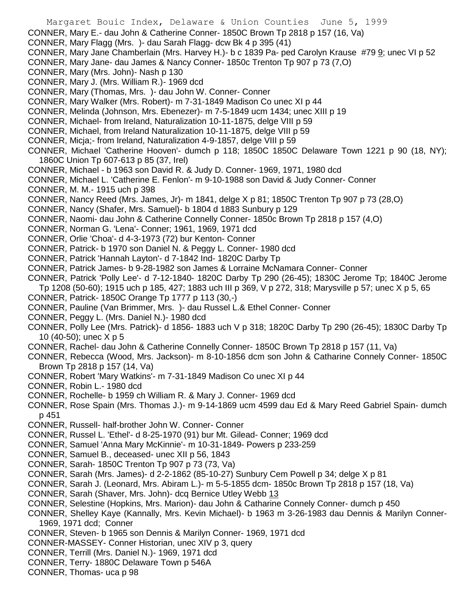Margaret Bouic Index, Delaware & Union Counties June 5, 1999 CONNER, Mary E.- dau John & Catherine Conner- 1850C Brown Tp 2818 p 157 (16, Va) CONNER, Mary Flagg (Mrs. )- dau Sarah Flagg- dcw Bk 4 p 395 (41) CONNER, Mary Jane Chamberlain (Mrs. Harvey H.)- b c 1839 Pa- ped Carolyn Krause #79 9; unec VI p 52 CONNER, Mary Jane- dau James & Nancy Conner- 1850c Trenton Tp 907 p 73 (7,O) CONNER, Mary (Mrs. John)- Nash p 130 CONNER, Mary J. (Mrs. William R.)- 1969 dcd CONNER, Mary (Thomas, Mrs. )- dau John W. Conner- Conner CONNER, Mary Walker (Mrs. Robert)- m 7-31-1849 Madison Co unec XI p 44 CONNER, Melinda (Johnson, Mrs. Ebenezer)- m 7-5-1849 ucm 1434; unec XIII p 19 CONNER, Michael- from Ireland, Naturalization 10-11-1875, delge VIII p 59 CONNER, Michael, from Ireland Naturalization 10-11-1875, delge VIII p 59 CONNER, Micja;- from Ireland, Naturalization 4-9-1857, delge VIII p 59 CONNER, Michael 'Catherine Hooven'- dumch p 118; 1850C 1850C Delaware Town 1221 p 90 (18, NY); 1860C Union Tp 607-613 p 85 (37, Irel) CONNER, Michael - b 1963 son David R. & Judy D. Conner- 1969, 1971, 1980 dcd CONNER, Michael L. 'Catherine E. Fenlon'- m 9-10-1988 son David & Judy Conner- Conner CONNER, M. M.- 1915 uch p 398 CONNER, Nancy Reed (Mrs. James, Jr)- m 1841, delge X p 81; 1850C Trenton Tp 907 p 73 (28,O) CONNER, Nancy (Shafer, Mrs. Samuel)- b 1804 d 1883 Sunbury p 129 CONNER, Naomi- dau John & Catherine Connelly Conner- 1850c Brown Tp 2818 p 157 (4,O) CONNER, Norman G. 'Lena'- Conner; 1961, 1969, 1971 dcd CONNER, Orlie 'Choa'- d 4-3-1973 (72) bur Kenton- Conner CONNER, Patrick- b 1970 son Daniel N. & Peggy L. Conner- 1980 dcd CONNER, Patrick 'Hannah Layton'- d 7-1842 Ind- 1820C Darby Tp CONNER, Patrick James- b 9-28-1982 son James & Lorraine McNamara Conner- Conner CONNER, Patrick 'Polly Lee'- d 7-12-1840- 1820C Darby Tp 290 (26-45); 1830C Jerome Tp; 1840C Jerome Tp 1208 (50-60); 1915 uch p 185, 427; 1883 uch III p 369, V p 272, 318; Marysville p 57; unec X p 5, 65 CONNER, Patrick- 1850C Orange Tp 1777 p 113 (30,-) CONNER, Pauline (Van Brimmer, Mrs. )- dau Russel L.& Ethel Conner- Conner CONNER, Peggy L. (Mrs. Daniel N.)- 1980 dcd CONNER, Polly Lee (Mrs. Patrick)- d 1856- 1883 uch V p 318; 1820C Darby Tp 290 (26-45); 1830C Darby Tp 10 (40-50); unec X p 5 CONNER, Rachel- dau John & Catherine Connelly Conner- 1850C Brown Tp 2818 p 157 (11, Va) CONNER, Rebecca (Wood, Mrs. Jackson)- m 8-10-1856 dcm son John & Catharine Connely Conner- 1850C Brown Tp 2818 p 157 (14, Va) CONNER, Robert 'Mary Watkins'- m 7-31-1849 Madison Co unec XI p 44 CONNER, Robin L.- 1980 dcd CONNER, Rochelle- b 1959 ch William R. & Mary J. Conner- 1969 dcd CONNER, Rose Spain (Mrs. Thomas J.)- m 9-14-1869 ucm 4599 dau Ed & Mary Reed Gabriel Spain- dumch p 451 CONNER, Russell- half-brother John W. Conner- Conner CONNER, Russel L. 'Ethel'- d 8-25-1970 (91) bur Mt. Gilead- Conner; 1969 dcd CONNER, Samuel 'Anna Mary McKinnie'- m 10-31-1849- Powers p 233-259 CONNER, Samuel B., deceased- unec XII p 56, 1843 CONNER, Sarah- 1850C Trenton Tp 907 p 73 (73, Va) CONNER, Sarah (Mrs. James)- d 2-2-1862 (85-10-27) Sunbury Cem Powell p 34; delge X p 81 CONNER, Sarah J. (Leonard, Mrs. Abiram L.)- m 5-5-1855 dcm- 1850c Brown Tp 2818 p 157 (18, Va)

- CONNER, Sarah (Shaver, Mrs. John)- dcq Bernice Utley Webb 13
- CONNER, Selestine (Hopkins, Mrs. Marion)- dau John & Catharine Connely Conner- dumch p 450
- CONNER, Shelley Kaye (Kannally, Mrs. Kevin Michael)- b 1963 m 3-26-1983 dau Dennis & Marilyn Conner-1969, 1971 dcd; Conner
- CONNER, Steven- b 1965 son Dennis & Marilyn Conner- 1969, 1971 dcd
- CONNER-MASSEY- Conner Historian, unec XIV p 3, query
- CONNER, Terrill (Mrs. Daniel N.)- 1969, 1971 dcd
- CONNER, Terry- 1880C Delaware Town p 546A
- CONNER, Thomas- uca p 98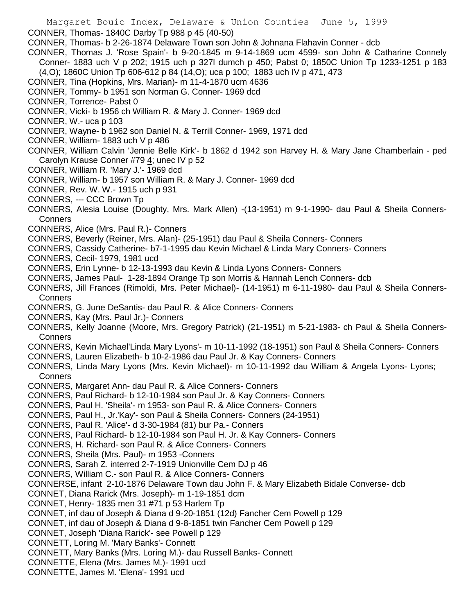Margaret Bouic Index, Delaware & Union Counties June 5, 1999 CONNER, Thomas- 1840C Darby Tp 988 p 45 (40-50) CONNER, Thomas- b 2-26-1874 Delaware Town son John & Johnana Flahavin Conner - dcb CONNER, Thomas J. 'Rose Spain'- b 9-20-1845 m 9-14-1869 ucm 4599- son John & Catharine Connely Conner- 1883 uch V p 202; 1915 uch p 327l dumch p 450; Pabst 0; 1850C Union Tp 1233-1251 p 183 (4,O); 1860C Union Tp 606-612 p 84 (14,O); uca p 100; 1883 uch IV p 471, 473 CONNER, Tina (Hopkins, Mrs. Marian)- m 11-4-1870 ucm 4636 CONNER, Tommy- b 1951 son Norman G. Conner- 1969 dcd CONNER, Torrence- Pabst 0 CONNER, Vicki- b 1956 ch William R. & Mary J. Conner- 1969 dcd CONNER, W.- uca p 103 CONNER, Wayne- b 1962 son Daniel N. & Terrill Conner- 1969, 1971 dcd CONNER, William- 1883 uch V p 486 CONNER, William Calvin 'Jennie Belle Kirk'- b 1862 d 1942 son Harvey H. & Mary Jane Chamberlain - ped Carolyn Krause Conner #79 4; unec IV p 52 CONNER, William R. 'Mary J.'- 1969 dcd CONNER, William- b 1957 son William R. & Mary J. Conner- 1969 dcd CONNER, Rev. W. W.- 1915 uch p 931 CONNERS, --- CCC Brown Tp CONNERS, Alesia Louise (Doughty, Mrs. Mark Allen) -(13-1951) m 9-1-1990- dau Paul & Sheila Conners-Conners CONNERS, Alice (Mrs. Paul R.)- Conners CONNERS, Beverly (Reiner, Mrs. Alan)- (25-1951) dau Paul & Sheila Conners- Conners CONNERS, Cassidy Catherine- b7-1-1995 dau Kevin Michael & Linda Mary Conners- Conners CONNERS, Cecil- 1979, 1981 ucd CONNERS, Erin Lynne- b 12-13-1993 dau Kevin & Linda Lyons Conners- Conners CONNERS, James Paul- 1-28-1894 Orange Tp son Morris & Hannah Lench Conners- dcb CONNERS, Jill Frances (Rimoldi, Mrs. Peter Michael)- (14-1951) m 6-11-1980- dau Paul & Sheila Conners-**Conners** CONNERS, G. June DeSantis- dau Paul R. & Alice Conners- Conners CONNERS, Kay (Mrs. Paul Jr.)- Conners CONNERS, Kelly Joanne (Moore, Mrs. Gregory Patrick) (21-1951) m 5-21-1983- ch Paul & Sheila Conners-**Conners** CONNERS, Kevin Michael'Linda Mary Lyons'- m 10-11-1992 (18-1951) son Paul & Sheila Conners- Conners CONNERS, Lauren Elizabeth- b 10-2-1986 dau Paul Jr. & Kay Conners- Conners CONNERS, Linda Mary Lyons (Mrs. Kevin Michael)- m 10-11-1992 dau William & Angela Lyons- Lyons; Conners CONNERS, Margaret Ann- dau Paul R. & Alice Conners- Conners CONNERS, Paul Richard- b 12-10-1984 son Paul Jr. & Kay Conners- Conners CONNERS, Paul H. 'Sheila'- m 1953- son Paul R. & Alice Conners- Conners CONNERS, Paul H., Jr.'Kay'- son Paul & Sheila Conners- Conners (24-1951) CONNERS, Paul R. 'Alice'- d 3-30-1984 (81) bur Pa.- Conners CONNERS, Paul Richard- b 12-10-1984 son Paul H. Jr. & Kay Conners- Conners CONNERS, H. Richard- son Paul R. & Alice Conners- Conners CONNERS, Sheila (Mrs. Paul)- m 1953 -Conners CONNERS, Sarah Z. interred 2-7-1919 Unionville Cem DJ p 46 CONNERS, William C.- son Paul R. & Alice Conners- Conners CONNERSE, infant 2-10-1876 Delaware Town dau John F. & Mary Elizabeth Bidale Converse- dcb CONNET, Diana Rarick (Mrs. Joseph)- m 1-19-1851 dcm CONNET, Henry- 1835 men 31 #71 p 53 Harlem Tp CONNET, inf dau of Joseph & Diana d 9-20-1851 (12d) Fancher Cem Powell p 129 CONNET, inf dau of Joseph & Diana d 9-8-1851 twin Fancher Cem Powell p 129 CONNET, Joseph 'Diana Rarick'- see Powell p 129 CONNETT, Loring M. 'Mary Banks'- Connett CONNETT, Mary Banks (Mrs. Loring M.)- dau Russell Banks- Connett CONNETTE, Elena (Mrs. James M.)- 1991 ucd CONNETTE, James M. 'Elena'- 1991 ucd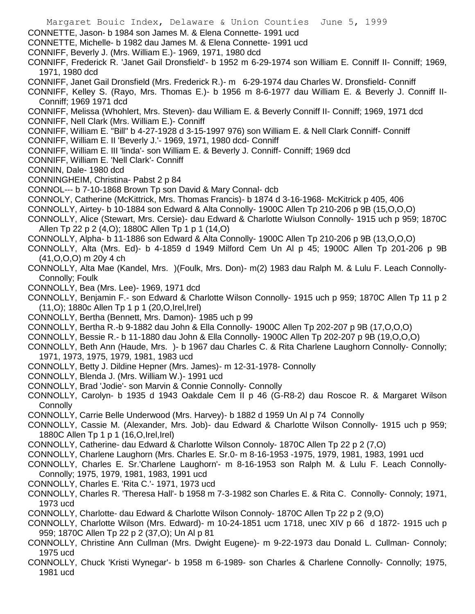- Margaret Bouic Index, Delaware & Union Counties June 5, 1999 CONNETTE, Jason- b 1984 son James M. & Elena Connette- 1991 ucd CONNETTE, Michelle- b 1982 dau James M. & Elena Connette- 1991 ucd CONNIFF, Beverly J. (Mrs. William E.)- 1969, 1971, 1980 dcd CONNIFF, Frederick R. 'Janet Gail Dronsfield'- b 1952 m 6-29-1974 son William E. Conniff II- Conniff; 1969, 1971, 1980 dcd CONNIFF, Janet Gail Dronsfield (Mrs. Frederick R.)- m 6-29-1974 dau Charles W. Dronsfield- Conniff CONNIFF, Kelley S. (Rayo, Mrs. Thomas E.)- b 1956 m 8-6-1977 dau William E. & Beverly J. Conniff II-Conniff; 1969 1971 dcd CONNIFF, Melissa (Whohlert, Mrs. Steven)- dau William E. & Beverly Conniff II- Conniff; 1969, 1971 dcd CONNIFF, Nell Clark (Mrs. William E.)- Conniff CONNIFF, William E. "Bill" b 4-27-1928 d 3-15-1997 976) son William E. & Nell Clark Conniff- Conniff CONNIFF, William E. II 'Beverly J.'- 1969, 1971, 1980 dcd- Conniff CONNIFF, William E. III 'linda'- son William E. & Beverly J. Conniff- Conniff; 1969 dcd CONNIFF, William E. 'Nell Clark'- Conniff CONNIN, Dale- 1980 dcd CONNINGHEIM, Christina- Pabst 2 p 84 CONNOL--- b 7-10-1868 Brown Tp son David & Mary Connal- dcb CONNOLY, Catherine (McKittrick, Mrs. Thomas Francis)- b 1874 d 3-16-1968- McKitrick p 405, 406 CONNOLLY, Airtey- b 10-1884 son Edward & Alta Connolly- 1900C Allen Tp 210-206 p 9B (15,O,O,O) CONNOLLY, Alice (Stewart, Mrs. Cersie)- dau Edward & Charlotte Wiulson Connolly- 1915 uch p 959; 1870C Allen Tp 22 p 2 (4,O); 1880C Allen Tp 1 p 1 (14,O) CONNOLLY, Alpha- b 11-1886 son Edward & Alta Connolly- 1900C Allen Tp 210-206 p 9B (13,O,O,O) CONNOLLY, Alta (Mrs. Ed)- b 4-1859 d 1949 Milford Cem Un Al p 45; 1900C Allen Tp 201-206 p 9B (41,O,O,O) m 20y 4 ch CONNOLLY, Alta Mae (Kandel, Mrs. )(Foulk, Mrs. Don)- m(2) 1983 dau Ralph M. & Lulu F. Leach Connolly-Connolly; Foulk CONNOLLY, Bea (Mrs. Lee)- 1969, 1971 dcd CONNOLLY, Benjamin F.- son Edward & Charlotte Wilson Connolly- 1915 uch p 959; 1870C Allen Tp 11 p 2 (11,O); 1880c Allen Tp 1 p 1 (20,O,Irel,Irel) CONNOLLY, Bertha (Bennett, Mrs. Damon)- 1985 uch p 99 CONNOLLY, Bertha R.-b 9-1882 dau John & Ella Connolly- 1900C Allen Tp 202-207 p 9B (17,O,O,O) CONNOLLY, Bessie R.- b 11-1880 dau John & Ella Connolly- 1900C Allen Tp 202-207 p 9B (19,O,O,O) CONNOLLY, Beth Ann (Haude, Mrs. )- b 1967 dau Charles C. & Rita Charlene Laughorn Connolly- Connolly; 1971, 1973, 1975, 1979, 1981, 1983 ucd CONNOLLY, Betty J. Dildine Hepner (Mrs. James)- m 12-31-1978- Connolly CONNOLLY, Blenda J. (Mrs. William W.)- 1991 ucd CONNOLLY, Brad 'Jodie'- son Marvin & Connie Connolly- Connolly CONNOLLY, Carolyn- b 1935 d 1943 Oakdale Cem II p 46 (G-R8-2) dau Roscoe R. & Margaret Wilson **Connolly** CONNOLLY, Carrie Belle Underwood (Mrs. Harvey)- b 1882 d 1959 Un Al p 74 Connolly CONNOLLY, Cassie M. (Alexander, Mrs. Job)- dau Edward & Charlotte Wilson Connolly- 1915 uch p 959; 1880C Allen Tp 1 p 1 (16, O, Irel, Irel) CONNOLLY, Catherine- dau Edward & Charlotte Wilson Connoly- 1870C Allen Tp 22 p 2 (7,O) CONNOLLY, Charlene Laughorn (Mrs. Charles E. Sr.0- m 8-16-1953 -1975, 1979, 1981, 1983, 1991 ucd CONNOLLY, Charles E. Sr.'Charlene Laughorn'- m 8-16-1953 son Ralph M. & Lulu F. Leach Connolly-Connolly; 1975, 1979, 1981, 1983, 1991 ucd
	- CONNOLLY, Charles E. 'Rita C.'- 1971, 1973 ucd
	- CONNOLLY, Charles R. 'Theresa Hall'- b 1958 m 7-3-1982 son Charles E. & Rita C. Connolly- Connoly; 1971, 1973 ucd
	- CONNOLLY, Charlotte- dau Edward & Charlotte Wilson Connoly- 1870C Allen Tp 22 p 2 (9,O)
	- CONNOLLY, Charlotte Wilson (Mrs. Edward)- m 10-24-1851 ucm 1718, unec XIV p 66 d 1872- 1915 uch p 959; 1870C Allen Tp 22 p 2 (37,O); Un Al p 81
	- CONNOLLY, Christine Ann Cullman (Mrs. Dwight Eugene)- m 9-22-1973 dau Donald L. Cullman- Connoly; 1975 ucd
	- CONNOLLY, Chuck 'Kristi Wynegar'- b 1958 m 6-1989- son Charles & Charlene Connolly- Connolly; 1975, 1981 ucd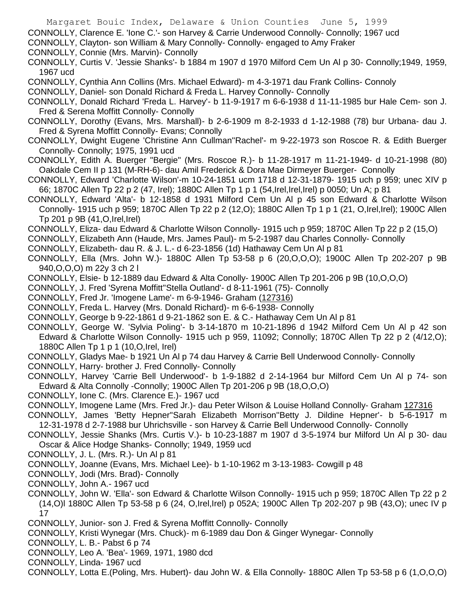CONNOLLY, Clayton- son William & Mary Connolly- Connolly- engaged to Amy Fraker

CONNOLLY, Connie (Mrs. Marvin)- Connolly

CONNOLLY, Curtis V. 'Jessie Shanks'- b 1884 m 1907 d 1970 Milford Cem Un Al p 30- Connolly;1949, 1959, 1967 ucd

CONNOLLY, Cynthia Ann Collins (Mrs. Michael Edward)- m 4-3-1971 dau Frank Collins- Connoly

CONNOLLY, Daniel- son Donald Richard & Freda L. Harvey Connolly- Connolly

CONNOLLY, Donald Richard 'Freda L. Harvey'- b 11-9-1917 m 6-6-1938 d 11-11-1985 bur Hale Cem- son J. Fred & Serena Moffitt Connolly- Connolly

- CONNOLLY, Dorothy (Evans, Mrs. Marshall)- b 2-6-1909 m 8-2-1933 d 1-12-1988 (78) bur Urbana- dau J. Fred & Syrena Moffitt Connolly- Evans; Connolly
- CONNOLLY, Dwight Eugene 'Christine Ann Cullman''Rachel'- m 9-22-1973 son Roscoe R. & Edith Buerger Connolly- Connolly; 1975, 1991 ucd
- CONNOLLY, Edith A. Buerger "Bergie" (Mrs. Roscoe R.)- b 11-28-1917 m 11-21-1949- d 10-21-1998 (80) Oakdale Cem II p 131 (M-RH-6)- dau Amil Frederick & Dora Mae Dirmeyer Buerger- Connolly
- CONNOLLY, Edward 'Charlotte Wilson'-m 10-24-1851 ucm 1718 d 12-31-1879- 1915 uch p 959; unec XIV p 66; 1870C Allen Tp 22 p 2 (47, Irel); 1880C Allen Tp 1 p 1 (54,Irel,Irel,Irel) p 0050; Un A; p 81
- CONNOLLY, Edward 'Alta'- b 12-1858 d 1931 Milford Cem Un Al p 45 son Edward & Charlotte Wilson Connolly- 1915 uch p 959; 1870C Allen Tp 22 p 2 (12,O); 1880C Allen Tp 1 p 1 (21, O,Irel,Irel); 1900C Allen Tp 201 p 9B (41,O,Irel,Irel)
- CONNOLLY, Eliza- dau Edward & Charlotte Wilson Connolly- 1915 uch p 959; 1870C Allen Tp 22 p 2 (15,O)

CONNOLLY, Elizabeth Ann (Haude, Mrs. James Paul)- m 5-2-1987 dau Charles Connolly- Connolly

- CONNOLLY, Elizabeth- dau R. & J. L.- d 6-23-1856 (1d) Hathaway Cem Un Al p 81
- CONNOLLY, Ella (Mrs. John W.)- 1880C Allen Tp 53-58 p 6 (20,O,O,O); 1900C Allen Tp 202-207 p 9B 940,O,O,O) m 22y 3 ch 2 l
- CONNOLLY, Elsie- b 12-1889 dau Edward & Alta Conolly- 1900C Allen Tp 201-206 p 9B (10,O,O,O)
- CONNOLLY, J. Fred 'Syrena Moffitt''Stella Outland'- d 8-11-1961 (75)- Connolly
- CONNOLLY, Fred Jr. 'Imogene Lame'- m 6-9-1946- Graham (127316)
- CONNOLLY, Freda L. Harvey (Mrs. Donald Richard)- m 6-6-1938- Connolly
- CONNOLLY, George b 9-22-1861 d 9-21-1862 son E. & C.- Hathaway Cem Un Al p 81
- CONNOLLY, George W. 'Sylvia Poling'- b 3-14-1870 m 10-21-1896 d 1942 Milford Cem Un Al p 42 son Edward & Charlotte Wilson Connolly- 1915 uch p 959, 11092; Connolly; 1870C Allen Tp 22 p 2 (4/12,O); 1880C Allen Tp 1 p 1 (10,O,Irel, Irel)
- CONNOLLY, Gladys Mae- b 1921 Un Al p 74 dau Harvey & Carrie Bell Underwood Connolly- Connolly
- CONNOLLY, Harry- brother J. Fred Connolly- Connolly
- CONNOLLY, Harvey 'Carrie Bell Underwood'- b 1-9-1882 d 2-14-1964 bur Milford Cem Un Al p 74- son Edward & Alta Connolly -Connolly; 1900C Allen Tp 201-206 p 9B (18,O,O,O)
- CONNOLLY, Ione C. (Mrs. Clarence E.)- 1967 ucd
- CONNOLLY, Imogene Lame (Mrs. Fred Jr.)- dau Peter Wilson & Louise Holland Connolly- Graham 127316
- CONNOLLY, James 'Betty Hepner''Sarah Elizabeth Morrison''Betty J. Dildine Hepner'- b 5-6-1917 m 12-31-1978 d 2-7-1988 bur Uhrichsville - son Harvey & Carrie Bell Underwood Connolly- Connolly
- CONNOLLY, Jessie Shanks (Mrs. Curtis V.)- b 10-23-1887 m 1907 d 3-5-1974 bur Milford Un Al p 30- dau Oscar & Alice Hodge Shanks- Connolly; 1949, 1959 ucd
- CONNOLLY, J. L. (Mrs. R.)- Un Al p 81
- CONNOLLY, Joanne (Evans, Mrs. Michael Lee)- b 1-10-1962 m 3-13-1983- Cowgill p 48
- CONNOLLY, Jodi (Mrs. Brad)- Connolly
- CONNOLLY, John A.- 1967 ucd
- CONNOLLY, John W. 'Ella'- son Edward & Charlotte Wilson Connolly- 1915 uch p 959; 1870C Allen Tp 22 p 2 (14,O)l 1880C Allen Tp 53-58 p 6 (24, O,Irel,Irel) p 052A; 1900C Allen Tp 202-207 p 9B (43,O); unec IV p 17
- CONNOLLY, Junior- son J. Fred & Syrena Moffitt Connolly- Connolly
- CONNOLLY, Kristi Wynegar (Mrs. Chuck)- m 6-1989 dau Don & Ginger Wynegar- Connolly
- CONNOLLY, L. B.- Pabst 6 p 74
- CONNOLLY, Leo A. 'Bea'- 1969, 1971, 1980 dcd
- CONNOLLY, Linda- 1967 ucd
- CONNOLLY, Lotta E.(Poling, Mrs. Hubert)- dau John W. & Ella Connolly- 1880C Allen Tp 53-58 p 6 (1,O,O,O)